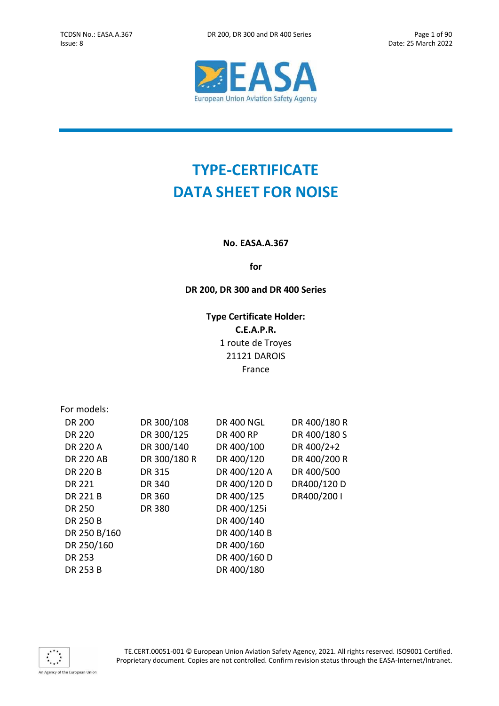

# **TYPE-CERTIFICATE DATA SHEET FOR NOISE**

#### **No. EASA.A.367**

**for**

#### **DR 200, DR 300 and DR 400 Series**

## **Type Certificate Holder:**

**C.E.A.P.R.** 1 route de Troyes 21121 DAROIS France

For models: DR 250 DR 380 DR 400/125i DR 250 B DR 400/140 DR 250 B/160 DR 400/140 B DR 250/160 DR 400/160 DR 253 DR 400/160 D DR 253 B DR 400/180

DR 200 DR 300/108 DR 400 NGL DR 400/180 R DR 220 DR 300/125 DR 400 RP DR 400/180 S DR 220 A DR 300/140 DR 400/100 DR 400/2+2 DR 220 AB DR 300/180 R DR 400/120 DR 400/200 R DR 220 B DR 315 DR 400/120 A DR 400/500 DR 221 DR 340 DR 400/120 D DR 400/120 D DR 221 B DR 360 DR 400/125 DR 400/200 I

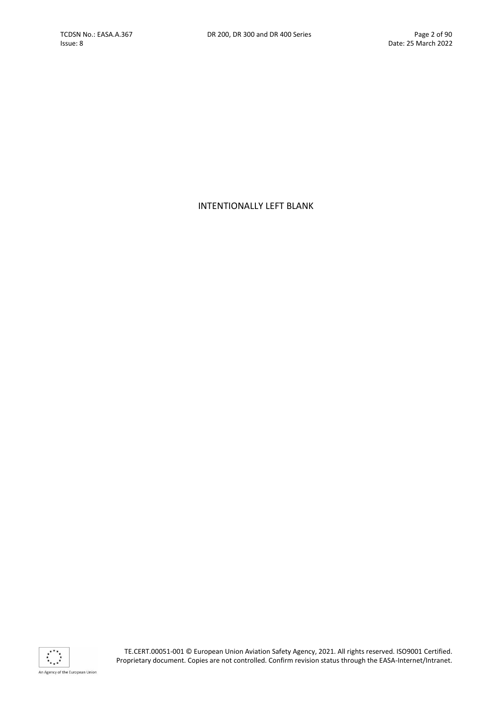### INTENTIONALLY LEFT BLANK

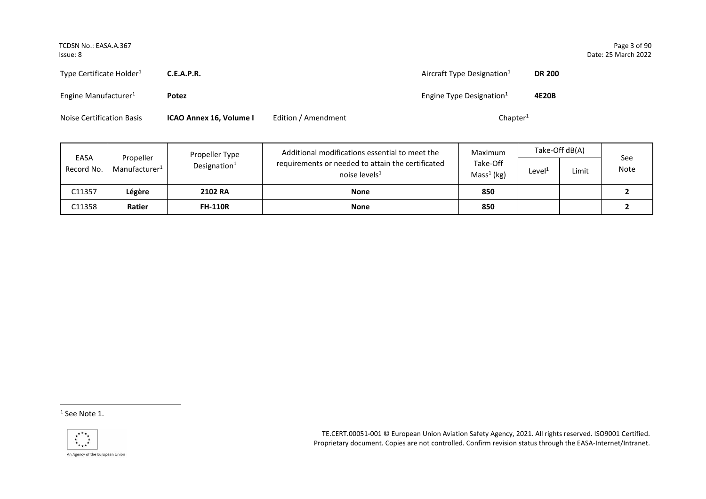| TCDSN No.: EASA.A.367<br>Issue: 8    |                                |                     |                                        |               | Page 3 of 90<br>Date: 25 March 2022 |
|--------------------------------------|--------------------------------|---------------------|----------------------------------------|---------------|-------------------------------------|
| Type Certificate Holder <sup>1</sup> | C.E.A.P.R.                     |                     | Aircraft Type Designation <sup>1</sup> | <b>DR 200</b> |                                     |
| Engine Manufacturer <sup>1</sup>     | Potez                          |                     | Engine Type Designation <sup>1</sup>   | 4E20B         |                                     |
| <b>Noise Certification Basis</b>     | <b>ICAO Annex 16, Volume I</b> | Edition / Amendment | Chapter $1$                            |               |                                     |

| EASA       |                                        | Propeller Type  | Additional modifications essential to meet the                        | Maximum                            |                                 | Take-Off dB(A) | See  |
|------------|----------------------------------------|-----------------|-----------------------------------------------------------------------|------------------------------------|---------------------------------|----------------|------|
| Record No. | Propeller<br>Manufacturer <sup>1</sup> | Designation $1$ | requirements or needed to attain the certificated<br>noise levels $1$ | Take-Off<br>Mass <sup>1</sup> (kg) | Level $^{\scriptscriptstyle 1}$ | Limit          | Note |
| C11357     | Légère                                 | 2102 RA         | <b>None</b>                                                           | 850                                |                                 |                |      |
| C11358     | Ratier                                 | <b>FH-110R</b>  | <b>None</b>                                                           | 850                                |                                 |                |      |

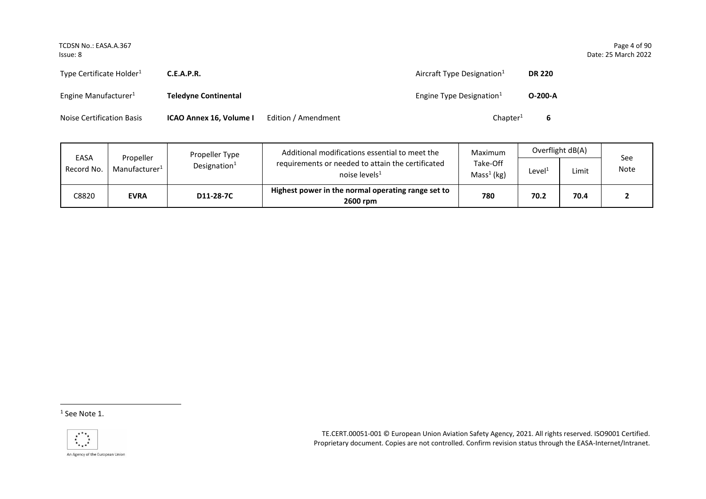| TCDSN No.: EASA.A.367<br>Issue: 8    |                             |                     |                                        |               | Page 4 of 90<br>Date: 25 March 2022 |
|--------------------------------------|-----------------------------|---------------------|----------------------------------------|---------------|-------------------------------------|
| Type Certificate Holder <sup>1</sup> | C.E.A.P.R.                  |                     | Aircraft Type Designation <sup>1</sup> | <b>DR 220</b> |                                     |
| Engine Manufacturer <sup>1</sup>     | <b>Teledyne Continental</b> |                     | Engine Type Designation <sup>1</sup>   | O-200-A       |                                     |
| <b>Noise Certification Basis</b>     | ICAO Annex 16, Volume I     | Edition / Amendment | Chapter <sup>1</sup>                   | 6             |                                     |

| EASA       | Propeller                 | Propeller Type  | Additional modifications essential to meet the                                 | Maximum                            | Overflight dB(A)   |       | See  |
|------------|---------------------------|-----------------|--------------------------------------------------------------------------------|------------------------------------|--------------------|-------|------|
| Record No. | Manufacturer <sup>1</sup> | Designation $1$ | requirements or needed to attain the certificated<br>noise levels <sup>1</sup> | Take-Off<br>Mass <sup>1</sup> (kg) | Level <sup>1</sup> | Limit | Note |
| C8820      | EVRA                      | D11-28-7C       | Highest power in the normal operating range set to<br>2600 rpm                 | 780                                | 70.2               | 70.4  |      |

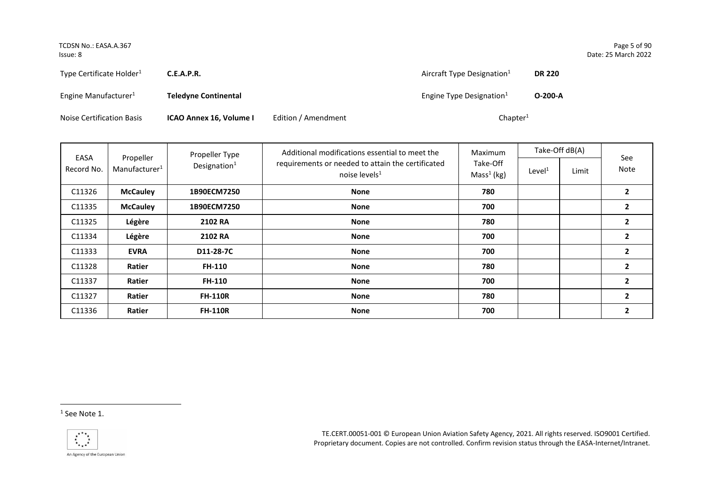| TCDSN No.: EASA.A.367<br>Issue: 8    |                             |                     |                                        |               | Page 5 of 90<br>Date: 25 March 2022 |
|--------------------------------------|-----------------------------|---------------------|----------------------------------------|---------------|-------------------------------------|
| Type Certificate Holder <sup>1</sup> | C.E.A.P.R.                  |                     | Aircraft Type Designation <sup>1</sup> | <b>DR 220</b> |                                     |
| Engine Manufacturer <sup>1</sup>     | <b>Teledyne Continental</b> |                     | Engine Type Designation <sup>1</sup>   | O-200-A       |                                     |
| Noise Certification Basis            | ICAO Annex 16, Volume I     | Edition / Amendment | Chapter <sup>1</sup>                   |               |                                     |

| Propeller<br>EASA |                           | Propeller Type  | Additional modifications essential to meet the                                 | Maximum                            | Take-Off dB(A)     |       | See          |
|-------------------|---------------------------|-----------------|--------------------------------------------------------------------------------|------------------------------------|--------------------|-------|--------------|
| Record No.        | Manufacturer <sup>1</sup> | Designation $1$ | requirements or needed to attain the certificated<br>noise levels <sup>1</sup> | Take-Off<br>Mass <sup>1</sup> (kg) | Level <sup>1</sup> | Limit | Note         |
| C11326            | <b>McCauley</b>           | 1B90ECM7250     | <b>None</b>                                                                    | 780                                |                    |       | 2            |
| C11335            | <b>McCauley</b>           | 1B90ECM7250     | <b>None</b>                                                                    | 700                                |                    |       | $\mathbf{2}$ |
| C11325            | Légère                    | 2102 RA         | <b>None</b>                                                                    | 780                                |                    |       | $\mathbf{2}$ |
| C11334            | Légère                    | 2102 RA         | <b>None</b>                                                                    | 700                                |                    |       | $\mathbf{2}$ |
| C11333            | <b>EVRA</b>               | D11-28-7C       | <b>None</b>                                                                    | 700                                |                    |       | $\mathbf{2}$ |
| C11328            | Ratier                    | <b>FH-110</b>   | <b>None</b>                                                                    | 780                                |                    |       | $\mathbf{2}$ |
| C11337            | Ratier                    | <b>FH-110</b>   | <b>None</b>                                                                    | 700                                |                    |       | $\mathbf{z}$ |
| C11327            | Ratier                    | <b>FH-110R</b>  | <b>None</b>                                                                    | 780                                |                    |       | $\mathbf{2}$ |
| C11336            | Ratier                    | <b>FH-110R</b>  | <b>None</b>                                                                    | 700                                |                    |       | $\mathbf{2}$ |

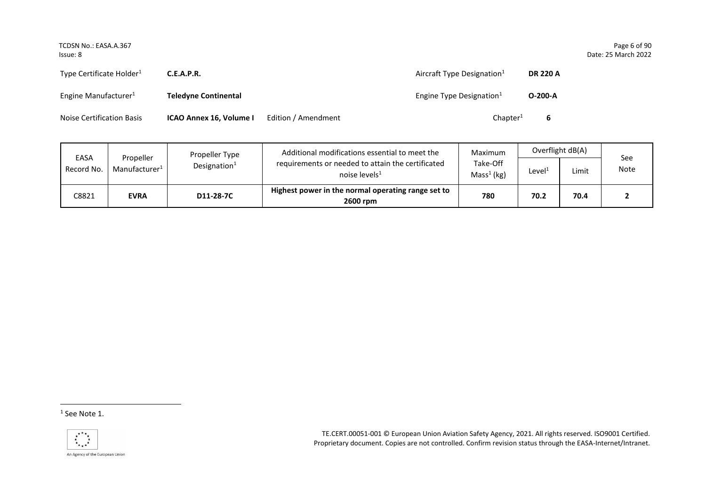| TCDSN No.: EASA.A.367<br>Issue: 8    |                             |                     |                                        |                 | Page 6 of 90<br>Date: 25 March 2022 |
|--------------------------------------|-----------------------------|---------------------|----------------------------------------|-----------------|-------------------------------------|
| Type Certificate Holder <sup>1</sup> | C.E.A.P.R.                  |                     | Aircraft Type Designation <sup>1</sup> | <b>DR 220 A</b> |                                     |
| Engine Manufacturer <sup>1</sup>     | <b>Teledyne Continental</b> |                     | Engine Type Designation <sup>1</sup>   | O-200-A         |                                     |
| <b>Noise Certification Basis</b>     | ICAO Annex 16, Volume I     | Edition / Amendment | Chapter <sup>1</sup>                   | 6               |                                     |

| EASA       | Propeller<br>Manufacturer <sup>1</sup> | Propeller Type  | Additional modifications essential to meet the                                 | Maximum                            | Overflight dB(A) |       | See  |
|------------|----------------------------------------|-----------------|--------------------------------------------------------------------------------|------------------------------------|------------------|-------|------|
| Record No. |                                        | Designation $1$ | requirements or needed to attain the certificated<br>noise levels <sup>1</sup> | Take-Off<br>Mass <sup>1</sup> (kg) | Level $^{\rm 1}$ | Limit | Note |
| C8821      | EVRA                                   | D11-28-7C       | Highest power in the normal operating range set to<br>2600 rpm                 | 780                                | 70.2             | 70.4  |      |

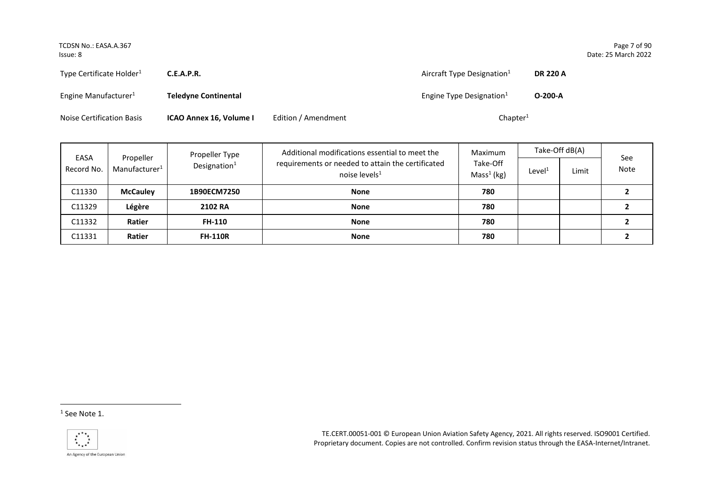| TCDSN No.: EASA.A.367<br>Issue: 8    |                             |                     |                                        |                 | Page 7 of 90<br>Date: 25 March 2022 |
|--------------------------------------|-----------------------------|---------------------|----------------------------------------|-----------------|-------------------------------------|
| Type Certificate Holder <sup>1</sup> | <b>C.E.A.P.R.</b>           |                     | Aircraft Type Designation <sup>1</sup> | <b>DR 220 A</b> |                                     |
| Engine Manufacturer <sup>1</sup>     | <b>Teledyne Continental</b> |                     | Engine Type Designation <sup>1</sup>   | O-200-A         |                                     |
| Noise Certification Basis            | ICAO Annex 16, Volume I     | Edition / Amendment | Chapter $1$                            |                 |                                     |

| <b>EASA</b> |                                        | Propeller Type  | Additional modifications essential to meet the                        | Maximum                            | Take-Off dB(A)     |       | See  |
|-------------|----------------------------------------|-----------------|-----------------------------------------------------------------------|------------------------------------|--------------------|-------|------|
| Record No.  | Propeller<br>Manufacturer <sup>1</sup> | Designation $1$ | requirements or needed to attain the certificated<br>noise levels $1$ | Take-Off<br>Mass <sup>1</sup> (kg) | Level <sup>1</sup> | Limit | Note |
| C11330      | <b>McCauley</b>                        | 1B90ECM7250     | <b>None</b>                                                           | 780                                |                    |       |      |
| C11329      | Légère                                 | 2102 RA         | <b>None</b>                                                           | 780                                |                    |       |      |
| C11332      | <b>Ratier</b>                          | <b>FH-110</b>   | <b>None</b>                                                           | 780                                |                    |       |      |
| C11331      | <b>Ratier</b>                          | <b>FH-110R</b>  | <b>None</b>                                                           | 780                                |                    |       |      |

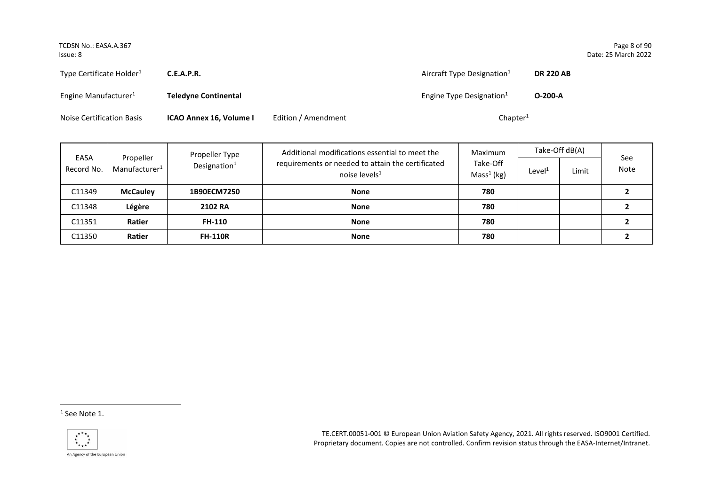| TCDSN No.: EASA.A.367<br>Issue: 8    |                             |                     |                                        |                  | Page 8 of 90<br>Date: 25 March 2022 |
|--------------------------------------|-----------------------------|---------------------|----------------------------------------|------------------|-------------------------------------|
| Type Certificate Holder <sup>1</sup> | C.E.A.P.R.                  |                     | Aircraft Type Designation <sup>1</sup> | <b>DR 220 AB</b> |                                     |
| Engine Manufacturer <sup>1</sup>     | <b>Teledyne Continental</b> |                     | Engine Type Designation <sup>1</sup>   | O-200-A          |                                     |
| Noise Certification Basis            | ICAO Annex 16, Volume I     | Edition / Amendment | Chapter <sup>1</sup>                   |                  |                                     |

| EASA       |                                        | Propeller Type           | Additional modifications essential to meet the                        | Maximum                            |                    | Take-Off dB(A) | See         |
|------------|----------------------------------------|--------------------------|-----------------------------------------------------------------------|------------------------------------|--------------------|----------------|-------------|
| Record No. | Propeller<br>Manufacturer <sup>1</sup> | Designation <sup>1</sup> | requirements or needed to attain the certificated<br>noise levels $1$ | Take-Off<br>Mass <sup>1</sup> (kg) | Level <sup>1</sup> | Limit          | <b>Note</b> |
| C11349     | <b>McCauley</b>                        | 1B90ECM7250              | <b>None</b>                                                           | 780                                |                    |                |             |
| C11348     | Légère                                 | 2102 RA                  | <b>None</b>                                                           | 780                                |                    |                |             |
| C11351     | Ratier                                 | <b>FH-110</b>            | <b>None</b>                                                           | 780                                |                    |                |             |
| C11350     | Ratier                                 | <b>FH-110R</b>           | <b>None</b>                                                           | 780                                |                    |                |             |

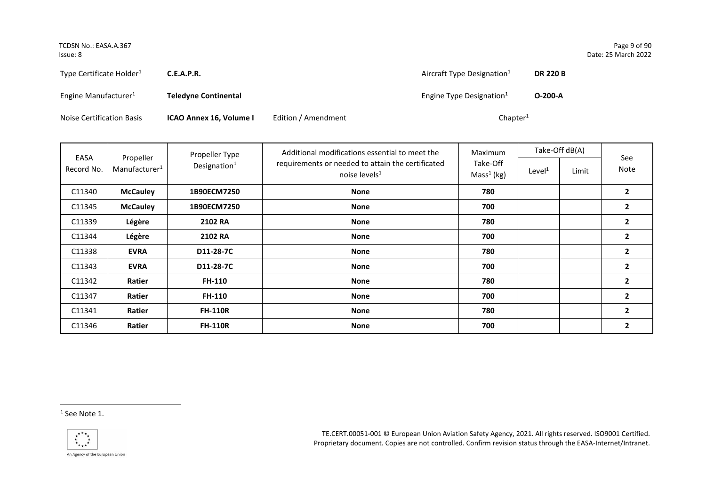| TCDSN No.: EASA.A.367<br>Issue: 8    |                             |                     |                                        | Page 9 of 90<br>Date: 25 March 2022 |
|--------------------------------------|-----------------------------|---------------------|----------------------------------------|-------------------------------------|
| Type Certificate Holder <sup>1</sup> | C.E.A.P.R.                  |                     | Aircraft Type Designation <sup>1</sup> | <b>DR 220 B</b>                     |
| Engine Manufacturer <sup>1</sup>     | <b>Teledyne Continental</b> |                     | Engine Type Designation <sup>1</sup>   | O-200-A                             |
| <b>Noise Certification Basis</b>     | ICAO Annex 16, Volume I     | Edition / Amendment |                                        | Chapter $1$                         |

| EASA<br>Propeller |                           | Propeller Type  | Additional modifications essential to meet the                        | <b>Maximum</b>                     | Take-Off dB(A)     |       | See            |
|-------------------|---------------------------|-----------------|-----------------------------------------------------------------------|------------------------------------|--------------------|-------|----------------|
| Record No.        | Manufacturer <sup>1</sup> | Designation $1$ | requirements or needed to attain the certificated<br>noise levels $1$ | Take-Off<br>Mass <sup>1</sup> (kg) | Level <sup>1</sup> | Limit | Note           |
| C11340            | <b>McCauley</b>           | 1B90ECM7250     | <b>None</b>                                                           | 780                                |                    |       | $\overline{2}$ |
| C11345            | <b>McCauley</b>           | 1B90ECM7250     | <b>None</b>                                                           | 700                                |                    |       | $\overline{2}$ |
| C11339            | Légère                    | 2102 RA         | <b>None</b>                                                           | 780                                |                    |       | $\overline{2}$ |
| C11344            | Légère                    | 2102 RA         | <b>None</b>                                                           | 700                                |                    |       | $\overline{2}$ |
| C11338            | <b>EVRA</b>               | D11-28-7C       | <b>None</b>                                                           | 780                                |                    |       | $\overline{2}$ |
| C11343            | <b>EVRA</b>               | D11-28-7C       | <b>None</b>                                                           | 700                                |                    |       | $\overline{2}$ |
| C11342            | Ratier                    | <b>FH-110</b>   | <b>None</b>                                                           | 780                                |                    |       | $\overline{2}$ |
| C11347            | Ratier                    | <b>FH-110</b>   | <b>None</b>                                                           | 700                                |                    |       | $\overline{2}$ |
| C11341            | Ratier                    | <b>FH-110R</b>  | <b>None</b>                                                           | 780                                |                    |       | $\overline{2}$ |
| C11346            | Ratier                    | <b>FH-110R</b>  | <b>None</b>                                                           | 700                                |                    |       | $\overline{2}$ |

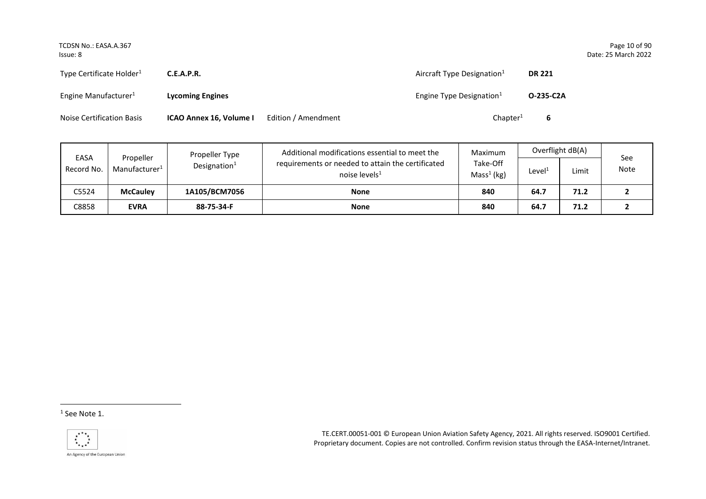| TCDSN No.: EASA.A.367<br>Issue: 8    |                                |                     |                                        |                      |               | Page 10 of 90<br>Date: 25 March 2022 |
|--------------------------------------|--------------------------------|---------------------|----------------------------------------|----------------------|---------------|--------------------------------------|
| Type Certificate Holder <sup>1</sup> | C.E.A.P.R.                     |                     | Aircraft Type Designation <sup>1</sup> |                      | <b>DR 221</b> |                                      |
| Engine Manufacturer <sup>1</sup>     | <b>Lycoming Engines</b>        |                     | Engine Type Designation <sup>1</sup>   |                      | O-235-C2A     |                                      |
| <b>Noise Certification Basis</b>     | <b>ICAO Annex 16, Volume I</b> | Edition / Amendment |                                        | Chapter <sup>1</sup> | 6             |                                      |

| EASA       | Propeller                 | Propeller Type  | Additional modifications essential to meet the                                 | Maximum                            | Overflight dB(A)   |       |             |
|------------|---------------------------|-----------------|--------------------------------------------------------------------------------|------------------------------------|--------------------|-------|-------------|
| Record No. | Manufacturer <sup>1</sup> | Designation $1$ | requirements or needed to attain the certificated<br>noise levels <sup>1</sup> | Take-Off<br>Mass <sup>1</sup> (kg) | Level <sup>1</sup> | Limit | See<br>Note |
| C5524      | <b>McCauley</b>           | 1A105/BCM7056   | <b>None</b>                                                                    | 840                                | 64.7               | 71.2  |             |
| C8858      | <b>EVRA</b>               | 88-75-34-F      | <b>None</b>                                                                    | 840                                | 64.7               | 71.2  |             |

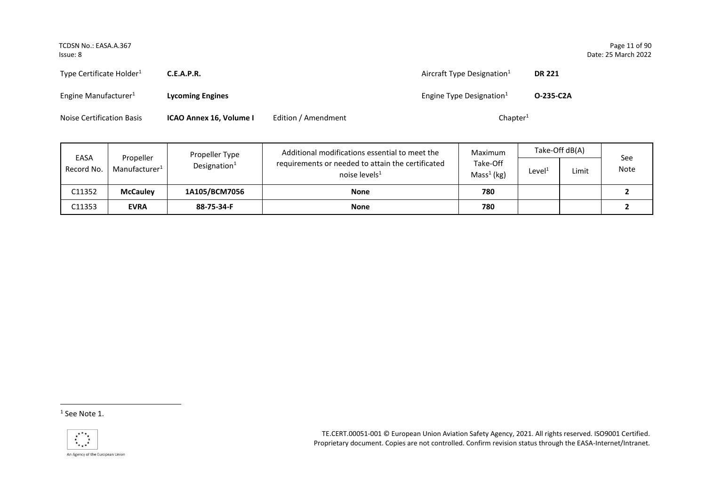| TCDSN No.: EASA.A.367<br>Issue: 8    |                                |                     |                                        |               | Page 11 of 90<br>Date: 25 March 2022 |
|--------------------------------------|--------------------------------|---------------------|----------------------------------------|---------------|--------------------------------------|
| Type Certificate Holder <sup>1</sup> | C.E.A.P.R.                     |                     | Aircraft Type Designation <sup>1</sup> | <b>DR 221</b> |                                      |
| Engine Manufacturer <sup>1</sup>     | <b>Lycoming Engines</b>        |                     | Engine Type Designation <sup>1</sup>   | O-235-C2A     |                                      |
| Noise Certification Basis            | <b>ICAO Annex 16, Volume I</b> | Edition / Amendment | Chapter $1$                            |               |                                      |

| <b>EASA</b> | Propeller                 | Propeller Type  | Additional modifications essential to meet the                                 | Maximum                            | Take-Off dB(A)   |       |             |
|-------------|---------------------------|-----------------|--------------------------------------------------------------------------------|------------------------------------|------------------|-------|-------------|
| Record No.  | Manufacturer <sup>1</sup> | Designation $1$ | requirements or needed to attain the certificated<br>noise levels <sup>1</sup> | Take-Off<br>Mass <sup>1</sup> (kg) | Level $^{\rm 1}$ | Limit | See<br>Note |
| C11352      | <b>McCauley</b>           | 1A105/BCM7056   | <b>None</b>                                                                    | 780                                |                  |       |             |
| C11353      | <b>EVRA</b>               | 88-75-34-F      | <b>None</b>                                                                    | 780                                |                  |       |             |

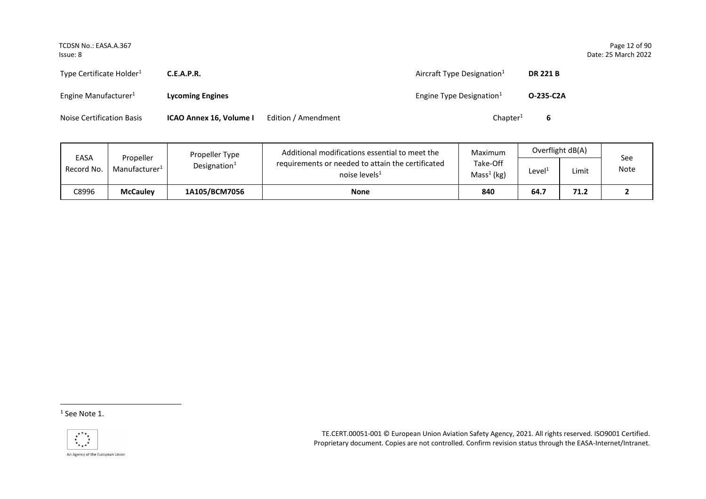| TCDSN No.: EASA.A.367<br>Issue: 8    |                                                |                                        | Page 12 of 90<br>Date: 25 March 2022 |
|--------------------------------------|------------------------------------------------|----------------------------------------|--------------------------------------|
| Type Certificate Holder <sup>1</sup> | C.E.A.P.R.                                     | Aircraft Type Designation <sup>1</sup> | <b>DR 221 B</b>                      |
| Engine Manufacturer <sup>1</sup>     | <b>Lycoming Engines</b>                        | Engine Type Designation <sup>1</sup>   | O-235-C2A                            |
| Noise Certification Basis            | Edition / Amendment<br>ICAO Annex 16, Volume I | Chapter <sup>1</sup>                   | 6                                    |

| EASA       |                                        | Propeller Type  | Additional modifications essential to meet the                                 | Maximum                            | Overflight dB(A) |       |             |
|------------|----------------------------------------|-----------------|--------------------------------------------------------------------------------|------------------------------------|------------------|-------|-------------|
| Record No. | Propeller<br>Manufacturer <sup>1</sup> | Designation $1$ | requirements or needed to attain the certificated<br>noise levels <sup>1</sup> | Take-Off<br>Mass <sup>1</sup> (kg) | Level $^{\rm 1}$ | Limit | See<br>Note |
| C8996      | <b>McCauley</b>                        | 1A105/BCM7056   | <b>None</b>                                                                    | 840                                | 64.7             | 71.2  |             |

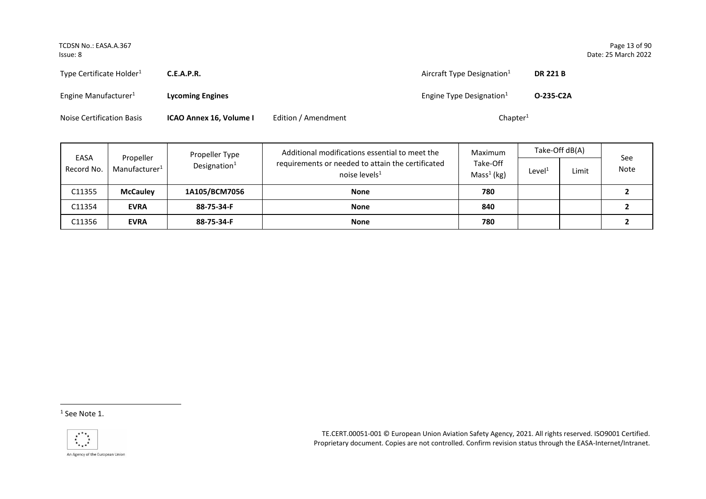| TCDSN No.: EASA.A.367<br>Issue: 8    |                                |                     |                                        |                 | Page 13 of 90<br>Date: 25 March 2022 |
|--------------------------------------|--------------------------------|---------------------|----------------------------------------|-----------------|--------------------------------------|
| Type Certificate Holder <sup>1</sup> | C.E.A.P.R.                     |                     | Aircraft Type Designation <sup>1</sup> | <b>DR 221 B</b> |                                      |
| Engine Manufacturer <sup>1</sup>     | <b>Lycoming Engines</b>        |                     | Engine Type Designation <sup>1</sup>   | O-235-C2A       |                                      |
| Noise Certification Basis            | <b>ICAO Annex 16, Volume I</b> | Edition / Amendment | Chapter $1$                            |                 |                                      |

| EASA       |                                        | Additional modifications essential to meet the<br>Propeller Type<br>requirements or needed to attain the certificated<br>Designation $1$<br>noise levels <sup>1</sup> |                                    | Maximum   | Take-Off dB(A) |  | See<br>Note |
|------------|----------------------------------------|-----------------------------------------------------------------------------------------------------------------------------------------------------------------------|------------------------------------|-----------|----------------|--|-------------|
| Record No. | Propeller<br>Manufacturer <sup>1</sup> |                                                                                                                                                                       | Take-Off<br>Mass <sup>1</sup> (kg) | Level $1$ | Limit          |  |             |
| C11355     | <b>McCauley</b>                        | 1A105/BCM7056                                                                                                                                                         | <b>None</b>                        | 780       |                |  |             |
| C11354     | <b>EVRA</b>                            | 88-75-34-F                                                                                                                                                            | <b>None</b>                        | 840       |                |  |             |
| C11356     | <b>EVRA</b>                            | 88-75-34-F                                                                                                                                                            | <b>None</b>                        | 780       |                |  |             |

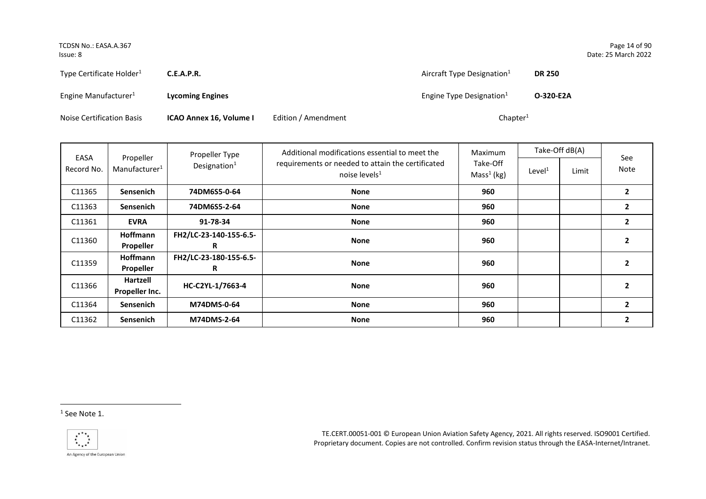| TCDSN No.: EASA.A.367<br>Issue: 8    |                                |                     |                                        |               | Page 14 of 90<br>Date: 25 March 2022 |
|--------------------------------------|--------------------------------|---------------------|----------------------------------------|---------------|--------------------------------------|
| Type Certificate Holder <sup>1</sup> | <b>C.E.A.P.R.</b>              |                     | Aircraft Type Designation <sup>1</sup> | <b>DR 250</b> |                                      |
| Engine Manufacturer <sup>1</sup>     | <b>Lycoming Engines</b>        |                     | Engine Type Designation <sup>1</sup>   | O-320-E2A     |                                      |
| Noise Certification Basis            | <b>ICAO Annex 16, Volume I</b> | Edition / Amendment | Chapter <sup>1</sup>                   |               |                                      |

| EASA<br>Propeller | Propeller Type               | Additional modifications essential to meet the | Maximum                                                               | Take-Off dB(A)                     |                    | See   |              |
|-------------------|------------------------------|------------------------------------------------|-----------------------------------------------------------------------|------------------------------------|--------------------|-------|--------------|
| Record No.        | Manufacturer <sup>1</sup>    | Designation $1$                                | requirements or needed to attain the certificated<br>noise levels $1$ | Take-Off<br>Mass <sup>1</sup> (kg) | Level <sup>1</sup> | Limit | Note         |
| C11365            | Sensenich                    | 74DM6S5-0-64                                   | <b>None</b>                                                           | 960                                |                    |       | $\mathbf{2}$ |
| C11363            | <b>Sensenich</b>             | 74DM6S5-2-64                                   | <b>None</b>                                                           | 960                                |                    |       | $\mathbf{2}$ |
| C11361            | <b>EVRA</b>                  | 91-78-34                                       | <b>None</b>                                                           | 960                                |                    |       | $\mathbf{2}$ |
| C11360            | Hoffmann<br>Propeller        | FH2/LC-23-140-155-6.5-<br>R                    | <b>None</b>                                                           | 960                                |                    |       | 2            |
| C11359            | <b>Hoffmann</b><br>Propeller | FH2/LC-23-180-155-6.5-<br>R                    | <b>None</b>                                                           | 960                                |                    |       | $\mathbf{2}$ |
| C11366            | Hartzell<br>Propeller Inc.   | HC-C2YL-1/7663-4                               | <b>None</b>                                                           | 960                                |                    |       | $\mathbf{2}$ |
| C11364            | <b>Sensenich</b>             | M74DMS-0-64                                    | <b>None</b>                                                           | 960                                |                    |       | $\mathbf{2}$ |
| C11362            | Sensenich                    | M74DMS-2-64                                    | <b>None</b>                                                           | 960                                |                    |       | 2            |

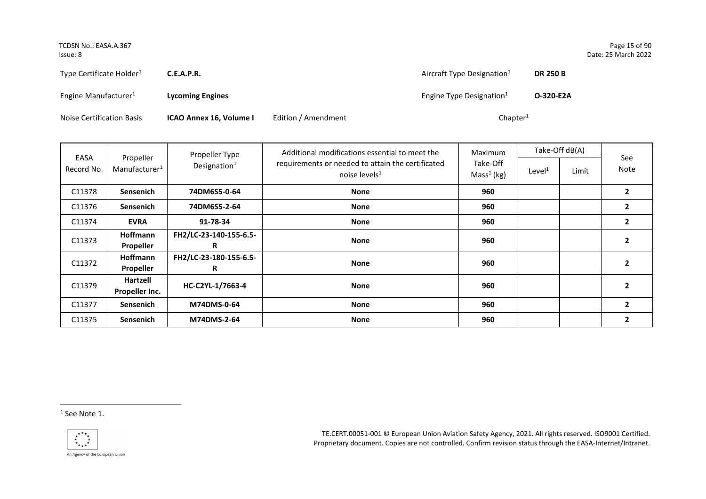| TCDSN No.: EASA.A.367<br>Issue: 8    |                                |                     |                                        | Page 15 of 90<br>Date: 25 March 2022 |
|--------------------------------------|--------------------------------|---------------------|----------------------------------------|--------------------------------------|
| Type Certificate Holder <sup>1</sup> | C.E.A.P.R.                     |                     | Aircraft Type Designation <sup>1</sup> | <b>DR 250 B</b>                      |
| Engine Manufacturer <sup>1</sup>     | <b>Lycoming Engines</b>        |                     | Engine Type Designation <sup>1</sup>   | O-320-E2A                            |
| Noise Certification Basis            | <b>ICAO Annex 16, Volume I</b> | Edition / Amendment | Chapter <sup>1</sup>                   |                                      |

| EASA<br>Propeller<br>Manufacturer <sup>1</sup><br>Record No. | Propeller Type             | Additional modifications essential to meet the                                 | <b>Maximum</b>                     | Take-Off dB(A)     |       | See  |                |
|--------------------------------------------------------------|----------------------------|--------------------------------------------------------------------------------|------------------------------------|--------------------|-------|------|----------------|
|                                                              | Designation $1$            | requirements or needed to attain the certificated<br>noise levels <sup>1</sup> | Take-Off<br>Mass <sup>1</sup> (kg) | Level <sup>1</sup> | Limit | Note |                |
| C11378                                                       | <b>Sensenich</b>           | 74DM6S5-0-64                                                                   | <b>None</b>                        | 960                |       |      | $\mathbf{2}$   |
| C11376                                                       | <b>Sensenich</b>           | 74DM6S5-2-64                                                                   | <b>None</b>                        | 960                |       |      | $\mathbf{2}$   |
| C11374                                                       | <b>EVRA</b>                | 91-78-34                                                                       | <b>None</b>                        | 960                |       |      | $\mathbf{2}$   |
| C11373                                                       | Hoffmann<br>Propeller      | FH2/LC-23-140-155-6.5-<br>R                                                    | <b>None</b>                        | 960                |       |      | $\overline{2}$ |
| C11372                                                       | Hoffmann<br>Propeller      | FH2/LC-23-180-155-6.5-<br>R                                                    | <b>None</b>                        | 960                |       |      | $\mathbf{2}$   |
| C11379                                                       | Hartzell<br>Propeller Inc. | HC-C2YL-1/7663-4                                                               | <b>None</b>                        | 960                |       |      | $\mathbf{2}$   |
| C11377                                                       | <b>Sensenich</b>           | M74DMS-0-64                                                                    | <b>None</b>                        | 960                |       |      | $\overline{2}$ |
| C11375                                                       | <b>Sensenich</b>           | M74DMS-2-64                                                                    | <b>None</b>                        | 960                |       |      | 2              |

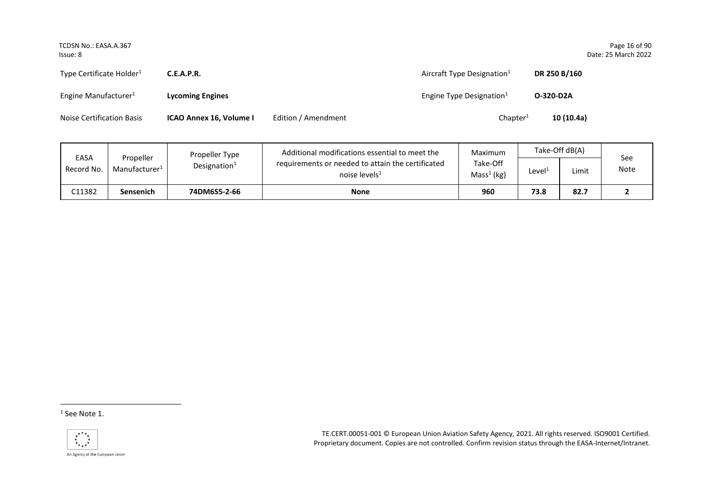| TCDSN No.: EASA.A.367<br>Issue: 8    |                         |                     |                                        | Page 16 of 90<br>Date: 25 March 2022 |
|--------------------------------------|-------------------------|---------------------|----------------------------------------|--------------------------------------|
| Type Certificate Holder <sup>1</sup> | C.E.A.P.R.              |                     | Aircraft Type Designation <sup>1</sup> | DR 250 B/160                         |
| Engine Manufacturer <sup>1</sup>     | <b>Lycoming Engines</b> |                     | Engine Type Designation <sup>1</sup>   | O-320-D2A                            |
| Noise Certification Basis            | ICAO Annex 16, Volume I | Edition / Amendment | Chapter <sup>1</sup>                   | 10 (10.4a)                           |

| EASA       | Propeller Type                         | Additional modifications essential to meet the | Maximum                                                                        | Take-Off dB(A)                     |       |       |             |
|------------|----------------------------------------|------------------------------------------------|--------------------------------------------------------------------------------|------------------------------------|-------|-------|-------------|
| Record No. | Propeller<br>Manufacturer <sup>1</sup> | Designation $1$                                | requirements or needed to attain the certificated<br>noise levels <sup>1</sup> | Take-Off<br>Mass <sup>1</sup> (kg) | Level | Limit | See<br>Note |
| C11382     | <b>Sensenich</b>                       | 74DM6S5-2-66                                   | <b>None</b>                                                                    | 960                                | 73.8  | 82.7  |             |

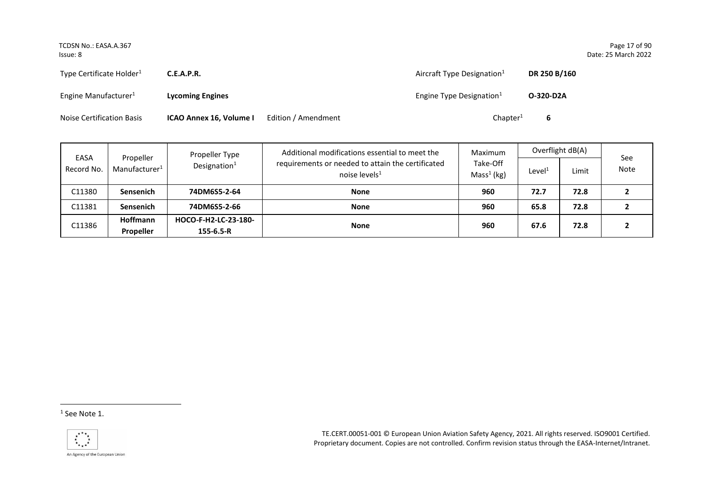| TCDSN No.: EASA.A.367<br>Issue: 8    |                         |                     |                                        |              | Page 17 of 90<br>Date: 25 March 2022 |
|--------------------------------------|-------------------------|---------------------|----------------------------------------|--------------|--------------------------------------|
| Type Certificate Holder <sup>1</sup> | C.E.A.P.R.              |                     | Aircraft Type Designation <sup>1</sup> | DR 250 B/160 |                                      |
| Engine Manufacturer <sup>1</sup>     | <b>Lycoming Engines</b> |                     | Engine Type Designation <sup>1</sup>   | O-320-D2A    |                                      |
| <b>Noise Certification Basis</b>     | ICAO Annex 16, Volume I | Edition / Amendment | Chapter <sup>1</sup>                   | 6            |                                      |

| EASA<br>Propeller | Propeller Type               | Additional modifications essential to meet the                                                    | Maximum                            | Overflight dB(A)   |       | See  |  |
|-------------------|------------------------------|---------------------------------------------------------------------------------------------------|------------------------------------|--------------------|-------|------|--|
| Record No.        | Manufacturer <sup>1</sup>    | requirements or needed to attain the certificated<br>Designation $1$<br>noise levels <sup>1</sup> | Take-Off<br>Mass <sup>1</sup> (kg) | Level <sup>1</sup> | Limit | Note |  |
| C11380            | <b>Sensenich</b>             | 74DM6S5-2-64                                                                                      | <b>None</b>                        | 960                | 72.7  | 72.8 |  |
| C11381            | <b>Sensenich</b>             | 74DM6S5-2-66                                                                                      | <b>None</b>                        | 960                | 65.8  | 72.8 |  |
| C11386            | <b>Hoffmann</b><br>Propeller | HOCO-F-H2-LC-23-180-<br>$155 - 6.5 - R$                                                           | <b>None</b>                        | 960                | 67.6  | 72.8 |  |

 $\mathbf{r}$ 

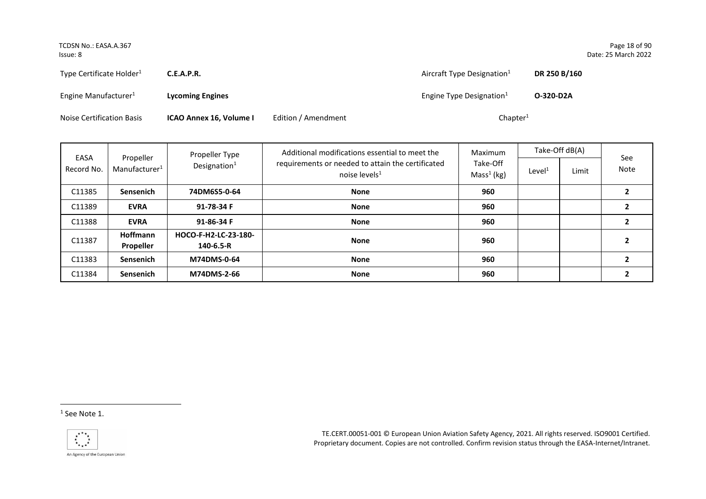| TCDSN No.: EASA.A.367<br>Issue: 8    |                         |                     |                                        | Page 18 of 90<br>Date: 25 March 2022 |
|--------------------------------------|-------------------------|---------------------|----------------------------------------|--------------------------------------|
| Type Certificate Holder <sup>1</sup> | C.E.A.P.R.              |                     | Aircraft Type Designation <sup>1</sup> | DR 250 B/160                         |
| Engine Manufacturer <sup>1</sup>     | <b>Lycoming Engines</b> |                     | Engine Type Designation <sup>1</sup>   | O-320-D2A                            |
| Noise Certification Basis            | ICAO Annex 16, Volume I | Edition / Amendment | Chapter <sup>1</sup>                   |                                      |

| EASA<br>Propeller | Propeller Type               | Additional modifications essential to meet the | Maximum                                                               | Take-Off dB(A)                     |                    | See   |      |
|-------------------|------------------------------|------------------------------------------------|-----------------------------------------------------------------------|------------------------------------|--------------------|-------|------|
| Record No.        | Manufacturer <sup>1</sup>    | Designation $1$                                | requirements or needed to attain the certificated<br>noise levels $1$ | Take-Off<br>Mass <sup>1</sup> (kg) | Level <sup>1</sup> | Limit | Note |
| C11385            | Sensenich                    | 74DM6S5-0-64                                   | <b>None</b>                                                           | 960                                |                    |       |      |
| C11389            | <b>EVRA</b>                  | 91-78-34 F                                     | <b>None</b>                                                           | 960                                |                    |       |      |
| C11388            | <b>EVRA</b>                  | 91-86-34 F                                     | <b>None</b>                                                           | 960                                |                    |       |      |
| C11387            | <b>Hoffmann</b><br>Propeller | HOCO-F-H2-LC-23-180-<br>140-6.5-R              | <b>None</b>                                                           | 960                                |                    |       | ∍    |
| C11383            | Sensenich                    | M74DMS-0-64                                    | <b>None</b>                                                           | 960                                |                    |       |      |
| C11384            | Sensenich                    | M74DMS-2-66                                    | <b>None</b>                                                           | 960                                |                    |       |      |

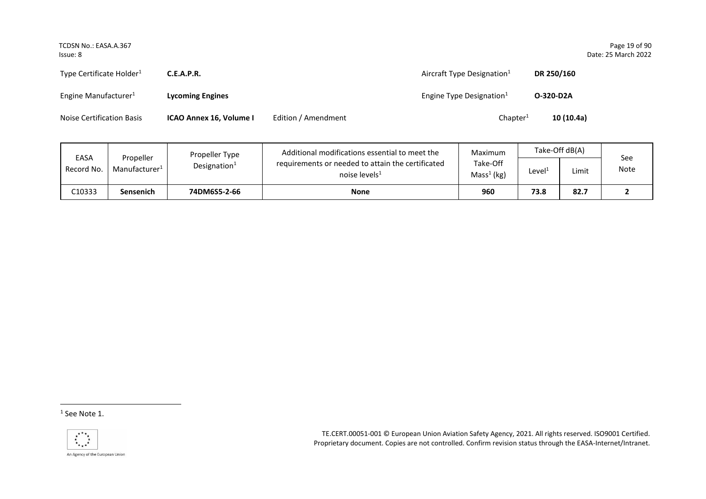| TCDSN No.: EASA.A.367<br>Issue: 8    |                                |                     |                                        | Page 19 of 90<br>Date: 25 March 2022 |
|--------------------------------------|--------------------------------|---------------------|----------------------------------------|--------------------------------------|
| Type Certificate Holder <sup>1</sup> | C.E.A.P.R.                     |                     | Aircraft Type Designation <sup>1</sup> | DR 250/160                           |
| Engine Manufacturer <sup>1</sup>     | <b>Lycoming Engines</b>        |                     | Engine Type Designation <sup>1</sup>   | O-320-D2A                            |
| Noise Certification Basis            | <b>ICAO Annex 16, Volume I</b> | Edition / Amendment | Chapter $1$                            | 10 (10.4a)                           |

| EASA       |                                        | Propeller Type  | Additional modifications essential to meet the                                 | Maximum                            | Take-Off dB(A) |       | See  |
|------------|----------------------------------------|-----------------|--------------------------------------------------------------------------------|------------------------------------|----------------|-------|------|
| Record No. | Propeller<br>Manufacturer <sup>1</sup> | Designation $1$ | requirements or needed to attain the certificated<br>noise levels <sup>1</sup> | Take-Off<br>Mass <sup>1</sup> (kg) | Level          | Limit | Note |
| C10333     | <b>Sensenich</b>                       | 74DM6S5-2-66    | <b>None</b>                                                                    | 960                                | 73.8           | 82.7  |      |

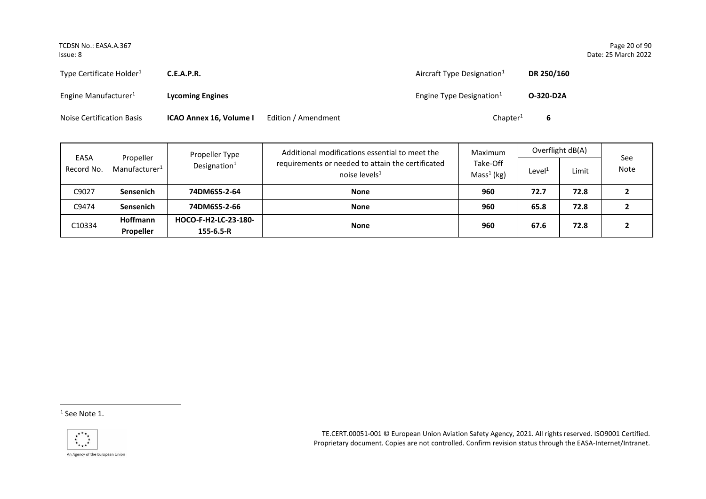| TCDSN No.: EASA.A.367<br>Issue: 8    |                                |                     |                                        |            | Page 20 of 90<br>Date: 25 March 2022 |
|--------------------------------------|--------------------------------|---------------------|----------------------------------------|------------|--------------------------------------|
| Type Certificate Holder <sup>1</sup> | C.E.A.P.R.                     |                     | Aircraft Type Designation <sup>1</sup> | DR 250/160 |                                      |
| Engine Manufacturer <sup>1</sup>     | <b>Lycoming Engines</b>        |                     | Engine Type Designation <sup>1</sup>   | O-320-D2A  |                                      |
| Noise Certification Basis            | <b>ICAO Annex 16, Volume I</b> | Edition / Amendment | Chapter <sup>1</sup>                   | 6          |                                      |

| Propeller<br>EASA<br>Manufacturer <sup>1</sup><br>Record No. | Propeller Type                                                                           | Additional modifications essential to meet the | Maximum            | Overflight dB(A) |      | See  |  |
|--------------------------------------------------------------|------------------------------------------------------------------------------------------|------------------------------------------------|--------------------|------------------|------|------|--|
|                                                              | requirements or needed to attain the certificated<br>Designation $1$<br>noise levels $1$ | Take-Off<br>Mass <sup>1</sup> (kg)             | Level <sup>1</sup> | Limit            | Note |      |  |
| C9027                                                        | Sensenich                                                                                | 74DM6S5-2-64                                   | <b>None</b>        | 960              | 72.7 | 72.8 |  |
| C9474                                                        | <b>Sensenich</b>                                                                         | 74DM6S5-2-66                                   | <b>None</b>        | 960              | 65.8 | 72.8 |  |
| C10334                                                       | Hoffmann<br>Propeller                                                                    | HOCO-F-H2-LC-23-180-<br>$155 - 6.5 - R$        | <b>None</b>        | 960              | 67.6 | 72.8 |  |

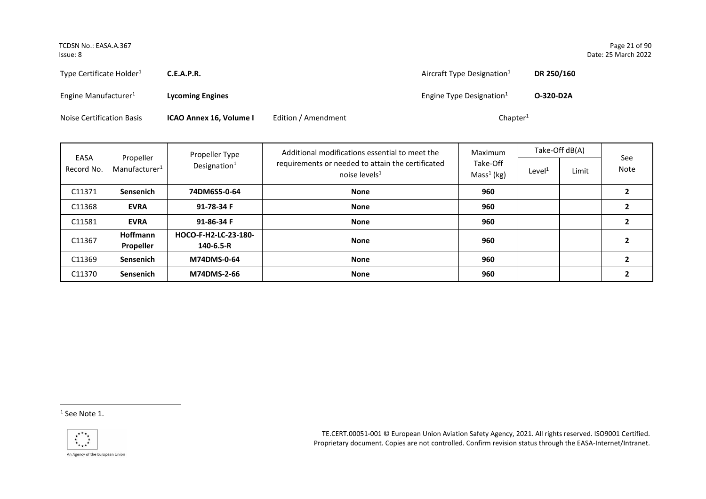| TCDSN No.: EASA.A.367<br>Issue: 8    |                         |                     |                                        |            | Page 21 of 90<br>Date: 25 March 2022 |
|--------------------------------------|-------------------------|---------------------|----------------------------------------|------------|--------------------------------------|
| Type Certificate Holder <sup>1</sup> | C.E.A.P.R.              |                     | Aircraft Type Designation <sup>1</sup> | DR 250/160 |                                      |
| Engine Manufacturer <sup>1</sup>     | <b>Lycoming Engines</b> |                     | Engine Type Designation <sup>1</sup>   | O-320-D2A  |                                      |
| <b>Noise Certification Basis</b>     | ICAO Annex 16, Volume I | Edition / Amendment | Chapter <sup>1</sup>                   |            |                                      |

| EASA       | Propeller                 | Propeller Type                    | Additional modifications essential to meet the                                 | Maximum                            | Take-Off dB(A)     |       | See  |
|------------|---------------------------|-----------------------------------|--------------------------------------------------------------------------------|------------------------------------|--------------------|-------|------|
| Record No. | Manufacturer <sup>1</sup> | Designation $1$                   | requirements or needed to attain the certificated<br>noise levels <sup>1</sup> | Take-Off<br>Mass <sup>1</sup> (kg) | Level <sup>1</sup> | Limit | Note |
| C11371     | <b>Sensenich</b>          | 74DM6S5-0-64                      | <b>None</b>                                                                    | 960                                |                    |       |      |
| C11368     | <b>EVRA</b>               | 91-78-34 F                        | <b>None</b>                                                                    | 960                                |                    |       |      |
| C11581     | <b>EVRA</b>               | 91-86-34 F                        | <b>None</b>                                                                    | 960                                |                    |       |      |
| C11367     | Hoffmann<br>Propeller     | HOCO-F-H2-LC-23-180-<br>140-6.5-R | <b>None</b>                                                                    | 960                                |                    |       |      |
| C11369     | <b>Sensenich</b>          | <b>M74DMS-0-64</b>                | <b>None</b>                                                                    | 960                                |                    |       |      |
| C11370     | Sensenich                 | M74DMS-2-66                       | <b>None</b>                                                                    | 960                                |                    |       |      |

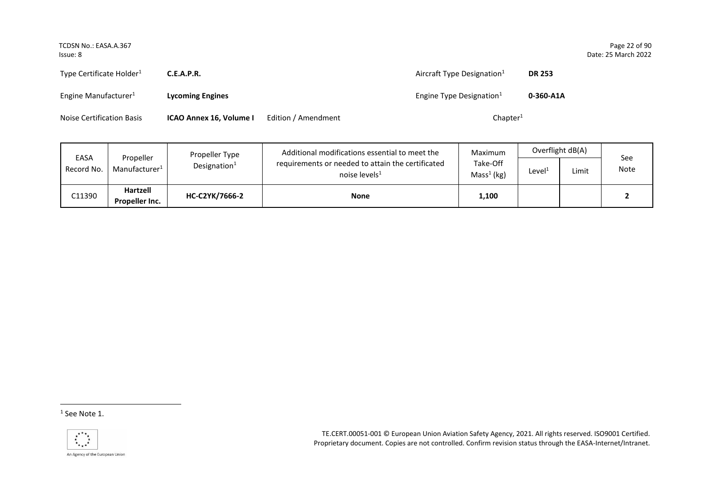| TCDSN No.: EASA.A.367<br>Issue: 8    |                         |                     |                                        |               | Page 22 of 90<br>Date: 25 March 2022 |
|--------------------------------------|-------------------------|---------------------|----------------------------------------|---------------|--------------------------------------|
| Type Certificate Holder <sup>1</sup> | C.E.A.P.R.              |                     | Aircraft Type Designation <sup>1</sup> | <b>DR 253</b> |                                      |
| Engine Manufacturer <sup>1</sup>     | <b>Lycoming Engines</b> |                     | Engine Type Designation <sup>1</sup>   | 0-360-A1A     |                                      |
| Noise Certification Basis            | ICAO Annex 16, Volume I | Edition / Amendment | Chapter <sup>1</sup>                   |               |                                      |

|                    |                                        | Propeller Type  | Additional modifications essential to meet the                                 | Maximum                            | Overflight dB(A)   |       |             |
|--------------------|----------------------------------------|-----------------|--------------------------------------------------------------------------------|------------------------------------|--------------------|-------|-------------|
| EASA<br>Record No. | Propeller<br>Manufacturer <sup>1</sup> | Designation $1$ | requirements or needed to attain the certificated<br>noise levels <sup>1</sup> | Take-Off<br>Mass <sup>1</sup> (kg) | Level <sup>1</sup> | Limit | See<br>Note |
| C11390             | Hartzell<br>Propeller Inc.             | HC-C2YK/7666-2  | <b>None</b>                                                                    | 1,100                              |                    |       |             |

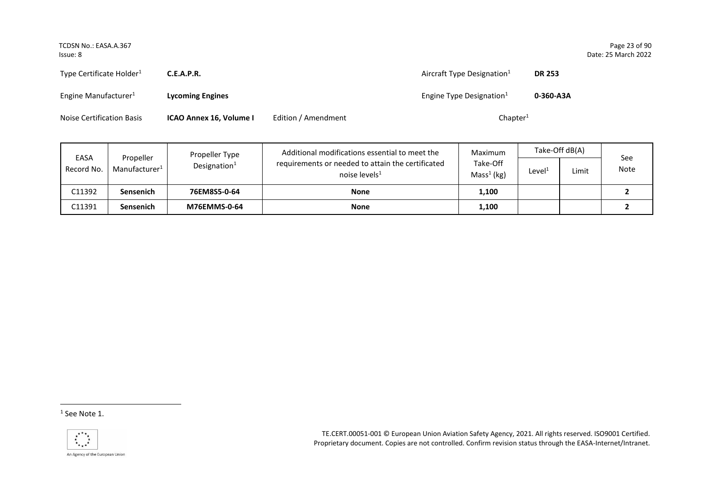| TCDSN No.: EASA.A.367<br>Issue: 8    |                         |                     |                                        |               | Page 23 of 90<br>Date: 25 March 2022 |
|--------------------------------------|-------------------------|---------------------|----------------------------------------|---------------|--------------------------------------|
| Type Certificate Holder <sup>1</sup> | C.E.A.P.R.              |                     | Aircraft Type Designation <sup>1</sup> | <b>DR 253</b> |                                      |
| Engine Manufacturer <sup>1</sup>     | <b>Lycoming Engines</b> |                     | Engine Type Designation <sup>1</sup>   | 0-360-A3A     |                                      |
| Noise Certification Basis            | ICAO Annex 16, Volume I | Edition / Amendment | Chapter <sup>1</sup>                   |               |                                      |

| EASA       |                                        | Propeller Type      | Additional modifications essential to meet the                                 | Maximum                            |                    | Take-Off dB(A) |                    |
|------------|----------------------------------------|---------------------|--------------------------------------------------------------------------------|------------------------------------|--------------------|----------------|--------------------|
| Record No. | Propeller<br>Manufacturer <sup>1</sup> | Designation $1$     | requirements or needed to attain the certificated<br>noise levels <sup>1</sup> | Take-Off<br>Mass <sup>1</sup> (kg) | Level <sup>1</sup> | Limit          | See<br><b>Note</b> |
| C11392     | <b>Sensenich</b>                       | 76EM8S5-0-64        | None                                                                           | 1,100                              |                    |                |                    |
| C11391     | <b>Sensenich</b>                       | <b>M76EMMS-0-64</b> | None                                                                           | 1,100                              |                    |                |                    |

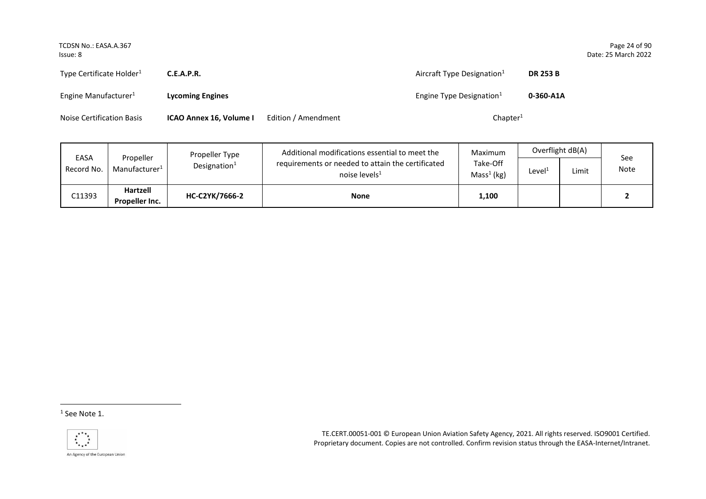| TCDSN No.: EASA.A.367<br>Issue: 8    |                                |                     |                                        |                 | Page 24 of 90<br>Date: 25 March 2022 |
|--------------------------------------|--------------------------------|---------------------|----------------------------------------|-----------------|--------------------------------------|
| Type Certificate Holder <sup>1</sup> | C.E.A.P.R.                     |                     | Aircraft Type Designation <sup>1</sup> | <b>DR 253 B</b> |                                      |
| Engine Manufacturer <sup>1</sup>     | <b>Lycoming Engines</b>        |                     | Engine Type Designation <sup>1</sup>   | 0-360-A1A       |                                      |
| Noise Certification Basis            | <b>ICAO Annex 16, Volume I</b> | Edition / Amendment | Chapter $1$                            |                 |                                      |

| EASA       | Propeller                         | Propeller Type                                                                           | Additional modifications essential to meet the | Maximum                            | Overflight dB(A)   |       |                    |
|------------|-----------------------------------|------------------------------------------------------------------------------------------|------------------------------------------------|------------------------------------|--------------------|-------|--------------------|
| Record No. | Manufacturer <sup>1</sup>         | requirements or needed to attain the certificated<br>Designation $1$<br>noise levels $1$ |                                                | Take-Off<br>Mass <sup>1</sup> (kg) | Level <sup>1</sup> | Limit | See<br><b>Note</b> |
| C11393     | Hartzell<br><b>Propeller Inc.</b> | HC-C2YK/7666-2                                                                           | <b>None</b>                                    | 1,100                              |                    |       |                    |

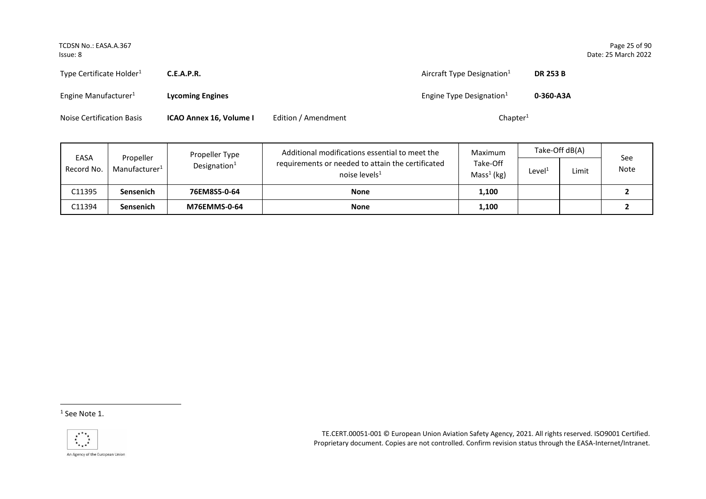| TCDSN No.: EASA.A.367<br>Issue: 8    |                                |                     |                                        |                 | Page 25 of 90<br>Date: 25 March 2022 |
|--------------------------------------|--------------------------------|---------------------|----------------------------------------|-----------------|--------------------------------------|
| Type Certificate Holder <sup>1</sup> | C.E.A.P.R.                     |                     | Aircraft Type Designation <sup>1</sup> | <b>DR 253 B</b> |                                      |
| Engine Manufacturer <sup>1</sup>     | <b>Lycoming Engines</b>        |                     | Engine Type Designation <sup>1</sup>   | 0-360-A3A       |                                      |
| Noise Certification Basis            | <b>ICAO Annex 16, Volume I</b> | Edition / Amendment | Chapter $1$                            |                 |                                      |

| EASA       |                                        | Propeller Type      | Additional modifications essential to meet the                                 | Maximum                            |                    | Take-Off dB(A) |                    |
|------------|----------------------------------------|---------------------|--------------------------------------------------------------------------------|------------------------------------|--------------------|----------------|--------------------|
| Record No. | Propeller<br>Manufacturer <sup>1</sup> | Designation $1$     | requirements or needed to attain the certificated<br>noise levels <sup>1</sup> | Take-Off<br>Mass <sup>1</sup> (kg) | Level <sup>1</sup> | Limit          | See<br><b>Note</b> |
| C11395     | <b>Sensenich</b>                       | 76EM8S5-0-64        | None                                                                           | 1,100                              |                    |                |                    |
| C11394     | <b>Sensenich</b>                       | <b>M76EMMS-0-64</b> | None                                                                           | 1,100                              |                    |                |                    |

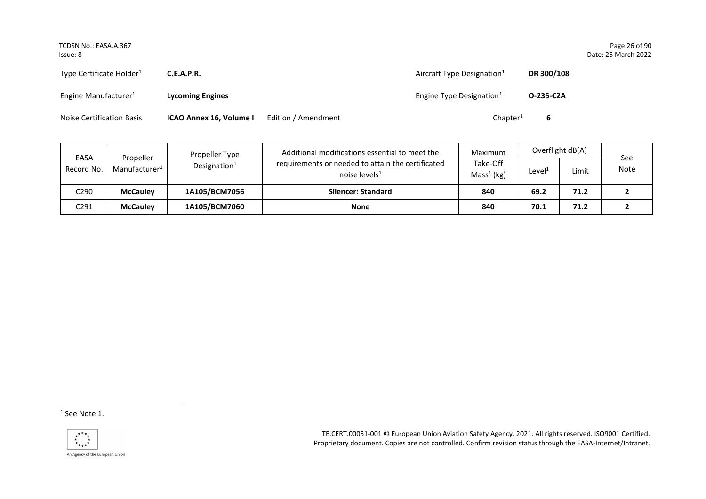| TCDSN No.: EASA.A.367<br>Issue: 8    |                         |                     |                                        |            | Page 26 of 90<br>Date: 25 March 2022 |
|--------------------------------------|-------------------------|---------------------|----------------------------------------|------------|--------------------------------------|
| Type Certificate Holder <sup>1</sup> | C.E.A.P.R.              |                     | Aircraft Type Designation <sup>1</sup> | DR 300/108 |                                      |
| Engine Manufacturer <sup>1</sup>     | <b>Lycoming Engines</b> |                     | Engine Type Designation <sup>1</sup>   | O-235-C2A  |                                      |
| Noise Certification Basis            | ICAO Annex 16, Volume I | Edition / Amendment | Chapter $1$                            | 6          |                                      |

| <b>EASA</b> |                                        | Propeller Type  | Additional modifications essential to meet the                        | Maximum                            | Overflight dB(A) |       | See  |
|-------------|----------------------------------------|-----------------|-----------------------------------------------------------------------|------------------------------------|------------------|-------|------|
| Record No.  | Propeller<br>Manufacturer <sup>1</sup> | Designation $1$ | requirements or needed to attain the certificated<br>noise levels $1$ | Take-Off<br>Mass <sup>1</sup> (kg) | Level $^{\rm 1}$ | Limit | Note |
| C290        | <b>McCaulev</b>                        | 1A105/BCM7056   | <b>Silencer: Standard</b>                                             | 840                                | 69.2             | 71.2  |      |
| C291        | <b>McCaulev</b>                        | 1A105/BCM7060   | <b>None</b>                                                           | 840                                | 70.1             | 71.2  |      |

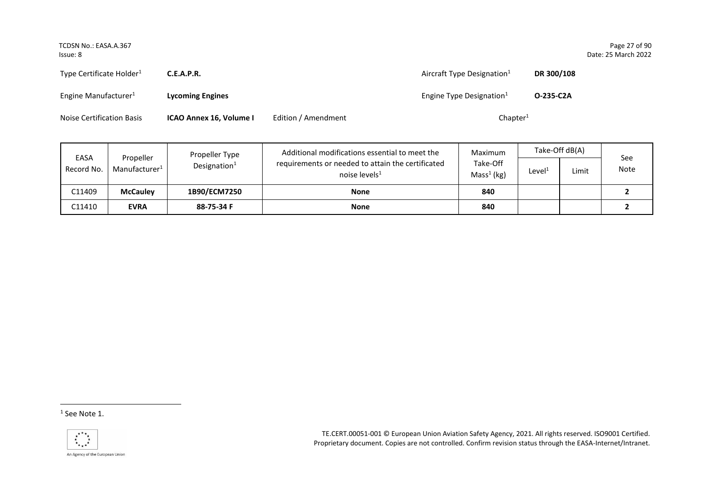| TCDSN No.: EASA.A.367<br>Issue: 8    |                         |                     |                                        |            | Page 27 of 90<br>Date: 25 March 2022 |
|--------------------------------------|-------------------------|---------------------|----------------------------------------|------------|--------------------------------------|
| Type Certificate Holder <sup>1</sup> | C.E.A.P.R.              |                     | Aircraft Type Designation <sup>1</sup> | DR 300/108 |                                      |
| Engine Manufacturer <sup>1</sup>     | <b>Lycoming Engines</b> |                     | Engine Type Designation <sup>1</sup>   | O-235-C2A  |                                      |
| <b>Noise Certification Basis</b>     | ICAO Annex 16, Volume I | Edition / Amendment | Chapter <sup>1</sup>                   |            |                                      |

| <b>EASA</b> |                                        | Propeller Type  | Additional modifications essential to meet the                                 | Maximum                            |                    | Take-Off dB(A) |             |
|-------------|----------------------------------------|-----------------|--------------------------------------------------------------------------------|------------------------------------|--------------------|----------------|-------------|
| Record No.  | Propeller<br>Manufacturer <sup>1</sup> | Designation $1$ | requirements or needed to attain the certificated<br>noise levels <sup>1</sup> | Take-Off<br>Mass <sup>1</sup> (kg) | Level <sup>1</sup> | Limit          | See<br>Note |
| C11409      | <b>McCauley</b>                        | 1B90/ECM7250    | <b>None</b>                                                                    | 840                                |                    |                |             |
| C11410      | <b>EVRA</b>                            | 88-75-34 F      | <b>None</b>                                                                    | 840                                |                    |                |             |

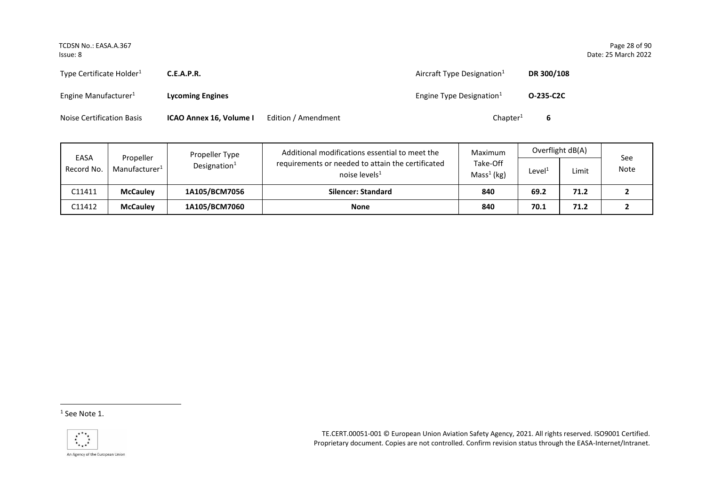| TCDSN No.: EASA.A.367<br>Issue: 8    |                         |                     |                                        |            | Page 28 of 90<br>Date: 25 March 2022 |
|--------------------------------------|-------------------------|---------------------|----------------------------------------|------------|--------------------------------------|
| Type Certificate Holder <sup>1</sup> | C.E.A.P.R.              |                     | Aircraft Type Designation <sup>1</sup> | DR 300/108 |                                      |
| Engine Manufacturer <sup>1</sup>     | <b>Lycoming Engines</b> |                     | Engine Type Designation <sup>1</sup>   | O-235-C2C  |                                      |
| Noise Certification Basis            | ICAO Annex 16, Volume I | Edition / Amendment | Chapter $1$                            | 6          |                                      |

| EASA       |                                        | Propeller Type  | Additional modifications essential to meet the                        | Maximum | Overflight dB(A)                   |                  |       |             |
|------------|----------------------------------------|-----------------|-----------------------------------------------------------------------|---------|------------------------------------|------------------|-------|-------------|
| Record No. | Propeller<br>Manufacturer <sup>1</sup> | Designation $1$ | requirements or needed to attain the certificated<br>noise levels $1$ |         | Take-Off<br>Mass <sup>1</sup> (kg) | Level $^{\rm 1}$ | Limit | See<br>Note |
| C11411     | <b>McCauley</b>                        | 1A105/BCM7056   | <b>Silencer: Standard</b>                                             | 840     | 69.2                               | 71.2             |       |             |
| C11412     | <b>McCauley</b>                        | 1A105/BCM7060   | <b>None</b>                                                           | 840     | 70.1                               | 71.2             |       |             |

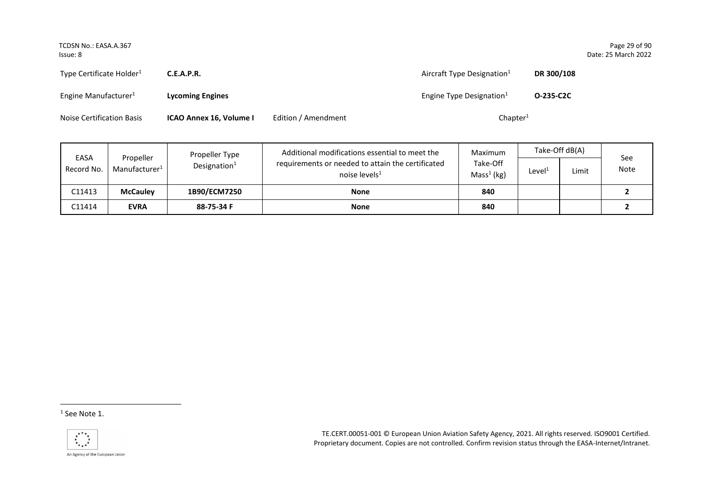| TCDSN No.: EASA.A.367<br>Issue: 8    |                         |                     |                                        |            | Page 29 of 90<br>Date: 25 March 2022 |
|--------------------------------------|-------------------------|---------------------|----------------------------------------|------------|--------------------------------------|
| Type Certificate Holder <sup>1</sup> | C.E.A.P.R.              |                     | Aircraft Type Designation <sup>1</sup> | DR 300/108 |                                      |
| Engine Manufacturer <sup>1</sup>     | <b>Lycoming Engines</b> |                     | Engine Type Designation <sup>1</sup>   | O-235-C2C  |                                      |
| <b>Noise Certification Basis</b>     | ICAO Annex 16, Volume I | Edition / Amendment | Chapter <sup>1</sup>                   |            |                                      |

| EASA |            | Propeller Type                         | Additional modifications essential to meet the | Maximum                                                                        |                                    | Take-Off dB(A)   |       |             |
|------|------------|----------------------------------------|------------------------------------------------|--------------------------------------------------------------------------------|------------------------------------|------------------|-------|-------------|
|      | Record No. | Propeller<br>Manufacturer <sup>1</sup> | Designation $1$                                | requirements or needed to attain the certificated<br>noise levels <sup>1</sup> | Take-Off<br>Mass <sup>1</sup> (kg) | Level $^{\rm 1}$ | Limit | See<br>Note |
|      | C11413     | <b>McCauley</b>                        | 1B90/ECM7250                                   | <b>None</b>                                                                    | 840                                |                  |       |             |
|      | C11414     | <b>EVRA</b>                            | 88-75-34 F                                     | <b>None</b>                                                                    | 840                                |                  |       |             |

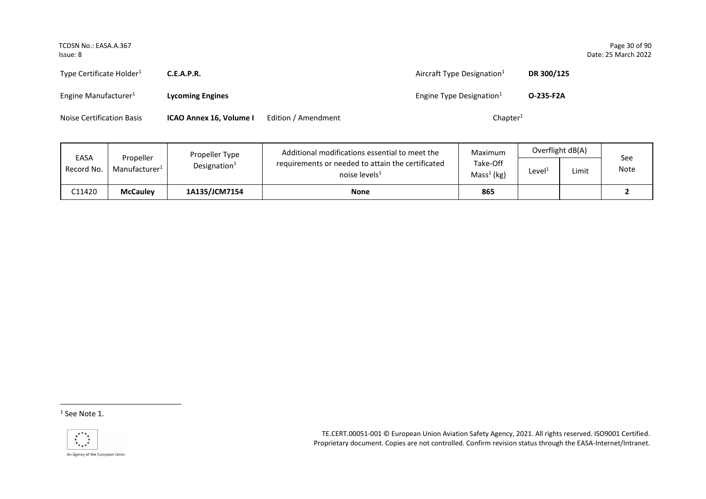| TCDSN No.: EASA.A.367<br>Issue: 8    |                         |                     |                                        |            | Page 30 of 90<br>Date: 25 March 2022 |
|--------------------------------------|-------------------------|---------------------|----------------------------------------|------------|--------------------------------------|
| Type Certificate Holder <sup>1</sup> | C.E.A.P.R.              |                     | Aircraft Type Designation <sup>1</sup> | DR 300/125 |                                      |
| Engine Manufacturer <sup>1</sup>     | <b>Lycoming Engines</b> |                     | Engine Type Designation <sup>1</sup>   | O-235-F2A  |                                      |
| <b>Noise Certification Basis</b>     | ICAO Annex 16, Volume I | Edition / Amendment | Chapter $1$                            |            |                                      |

|                           |                                        | Propeller Type  | Additional modifications essential to meet the                                 | Maximum                            | Overflight dB(A) |       |             |
|---------------------------|----------------------------------------|-----------------|--------------------------------------------------------------------------------|------------------------------------|------------------|-------|-------------|
| <b>EASA</b><br>Record No. | Propeller<br>Manufacturer <sup>1</sup> | Designation $1$ | requirements or needed to attain the certificated<br>noise levels <sup>1</sup> | Take-Off<br>Mass <sup>1</sup> (kg) | Level $^1$       | .imit | See<br>Note |
| C11420                    | <b>McCaulev</b>                        | 1A135/JCM7154   | <b>None</b>                                                                    | 865                                |                  |       |             |

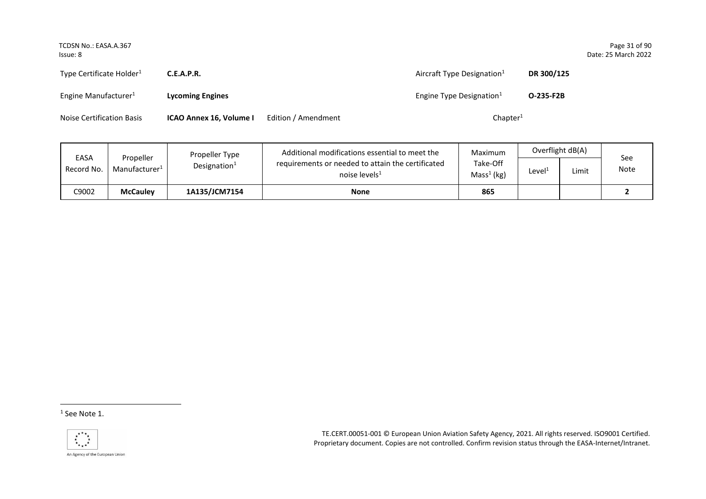| TCDSN No.: EASA.A.367<br>Issue: 8    |                         |                     |                                        |            | Page 31 of 90<br>Date: 25 March 2022 |
|--------------------------------------|-------------------------|---------------------|----------------------------------------|------------|--------------------------------------|
| Type Certificate Holder <sup>1</sup> | C.E.A.P.R.              |                     | Aircraft Type Designation <sup>1</sup> | DR 300/125 |                                      |
| Engine Manufacturer <sup>1</sup>     | <b>Lycoming Engines</b> |                     | Engine Type Designation <sup>1</sup>   | O-235-F2B  |                                      |
| Noise Certification Basis            | ICAO Annex 16, Volume I | Edition / Amendment | Chapter $1$                            |            |                                      |

|                    |                                        | Propeller Type  | Additional modifications essential to meet the                                 | Maximum                            | Overflight dB(A) |       |             |
|--------------------|----------------------------------------|-----------------|--------------------------------------------------------------------------------|------------------------------------|------------------|-------|-------------|
| EASA<br>Record No. | Propeller<br>Manufacturer <sup>1</sup> | Designation $1$ | requirements or needed to attain the certificated<br>noise levels <sup>1</sup> | Take-Off<br>Mass <sup>1</sup> (kg) | Level $1$        | Limit | See<br>Note |
| C9002              | <b>McCaulev</b>                        | 1A135/JCM7154   | <b>None</b>                                                                    | 865                                |                  |       |             |

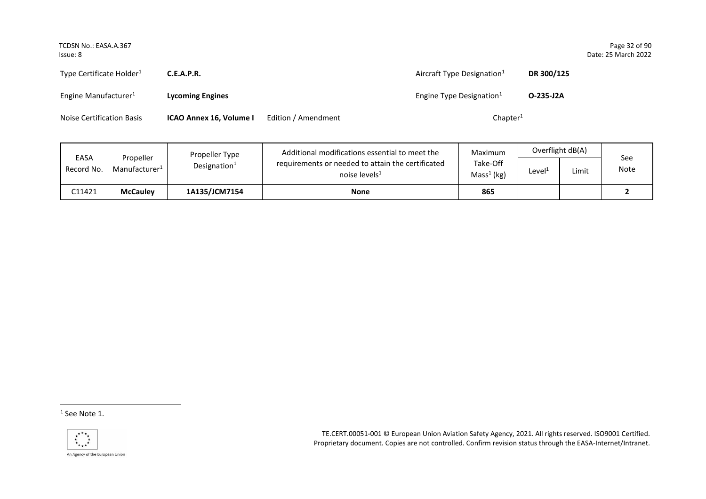| TCDSN No.: EASA.A.367<br>Issue: 8    |                         |                     |                                        |            | Page 32 of 90<br>Date: 25 March 2022 |
|--------------------------------------|-------------------------|---------------------|----------------------------------------|------------|--------------------------------------|
| Type Certificate Holder <sup>1</sup> | C.E.A.P.R.              |                     | Aircraft Type Designation <sup>1</sup> | DR 300/125 |                                      |
| Engine Manufacturer <sup>1</sup>     | <b>Lycoming Engines</b> |                     | Engine Type Designation <sup>1</sup>   | O-235-J2A  |                                      |
| <b>Noise Certification Basis</b>     | ICAO Annex 16, Volume I | Edition / Amendment | Chapter $1$                            |            |                                      |

|                    |                                        | Propeller Type  | Additional modifications essential to meet the                                 | Maximum                            |                  | Overflight dB(A) |             |
|--------------------|----------------------------------------|-----------------|--------------------------------------------------------------------------------|------------------------------------|------------------|------------------|-------------|
| EASA<br>Record No. | Propeller<br>Manufacturer <sup>1</sup> | Designation $1$ | requirements or needed to attain the certificated<br>noise levels <sup>1</sup> | Take-Off<br>Mass <sup>1</sup> (kg) | Level $^{\rm 1}$ | Limit            | See<br>Note |
| C11421             | <b>McCauley</b>                        | 1A135/JCM7154   | <b>None</b>                                                                    | 865                                |                  |                  |             |

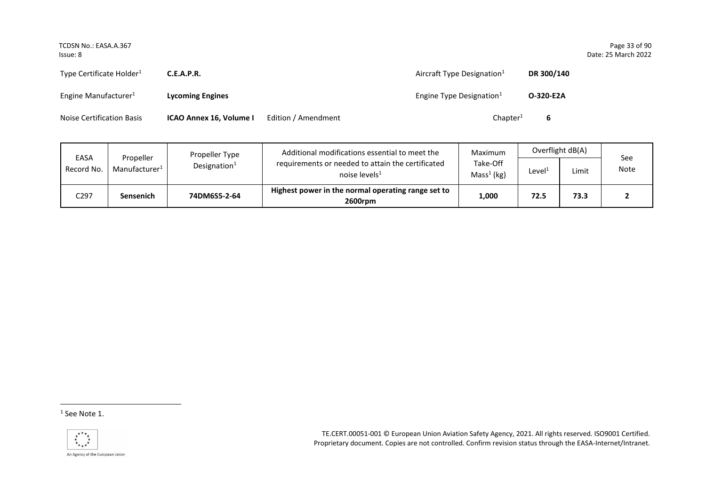| TCDSN No.: EASA.A.367<br>Issue: 8    |                         |                     |                                        |            | Page 33 of 90<br>Date: 25 March 2022 |
|--------------------------------------|-------------------------|---------------------|----------------------------------------|------------|--------------------------------------|
| Type Certificate Holder <sup>1</sup> | C.E.A.P.R.              |                     | Aircraft Type Designation <sup>1</sup> | DR 300/140 |                                      |
| Engine Manufacturer <sup>1</sup>     | <b>Lycoming Engines</b> |                     | Engine Type Designation <sup>1</sup>   | O-320-E2A  |                                      |
| Noise Certification Basis            | ICAO Annex 16, Volume I | Edition / Amendment | Chapter <sup>1</sup>                   | 6          |                                      |

| EASA       | Propeller Type<br>Propeller |                                                                                                   | Additional modifications essential to meet the                | Maximum          | Overflight dB(A) |             |  |
|------------|-----------------------------|---------------------------------------------------------------------------------------------------|---------------------------------------------------------------|------------------|------------------|-------------|--|
| Record No. | Manufacturer <sup>1</sup>   | requirements or needed to attain the certificated<br>Designation $1$<br>noise levels <sup>1</sup> | Take-Off<br>Mass <sup>1</sup> (kg)                            | Level $^{\rm 1}$ | Limit            | See<br>Note |  |
| C297       | <b>Sensenich</b>            | 74DM6S5-2-64                                                                                      | Highest power in the normal operating range set to<br>2600rpm | 1,000            | 72.5             | 73.3        |  |

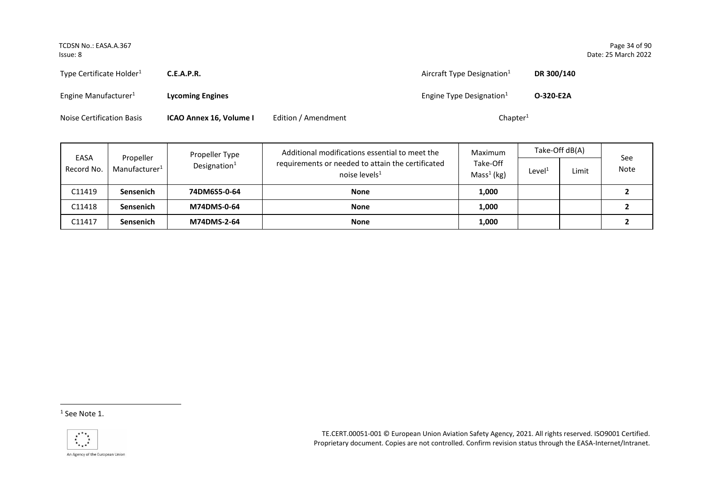| TCDSN No.: EASA.A.367<br>Issue: 8    |                         |                     |                                        |            | Page 34 of 90<br>Date: 25 March 2022 |
|--------------------------------------|-------------------------|---------------------|----------------------------------------|------------|--------------------------------------|
| Type Certificate Holder <sup>1</sup> | C.E.A.P.R.              |                     | Aircraft Type Designation <sup>1</sup> | DR 300/140 |                                      |
| Engine Manufacturer <sup>1</sup>     | <b>Lycoming Engines</b> |                     | Engine Type Designation <sup>1</sup>   | O-320-E2A  |                                      |
| Noise Certification Basis            | ICAO Annex 16, Volume I | Edition / Amendment | Chapter <sup>1</sup>                   |            |                                      |

|                    | Propeller Type                         | Additional modifications essential to meet the | Maximum                                                               | Take-Off dB(A)                     |                    |       |             |
|--------------------|----------------------------------------|------------------------------------------------|-----------------------------------------------------------------------|------------------------------------|--------------------|-------|-------------|
| EASA<br>Record No. | Propeller<br>Manufacturer <sup>1</sup> | Designation $1$                                | requirements or needed to attain the certificated<br>noise levels $1$ | Take-Off<br>Mass <sup>1</sup> (kg) | Level <sup>1</sup> | Limit | See<br>Note |
| C11419             | Sensenich                              | 74DM6S5-0-64                                   | <b>None</b>                                                           | 1,000                              |                    |       |             |
| C11418             | Sensenich                              | <b>M74DMS-0-64</b>                             | <b>None</b>                                                           | 1,000                              |                    |       |             |
| C11417             | Sensenich                              | <b>M74DMS-2-64</b>                             | <b>None</b>                                                           | 1,000                              |                    |       |             |

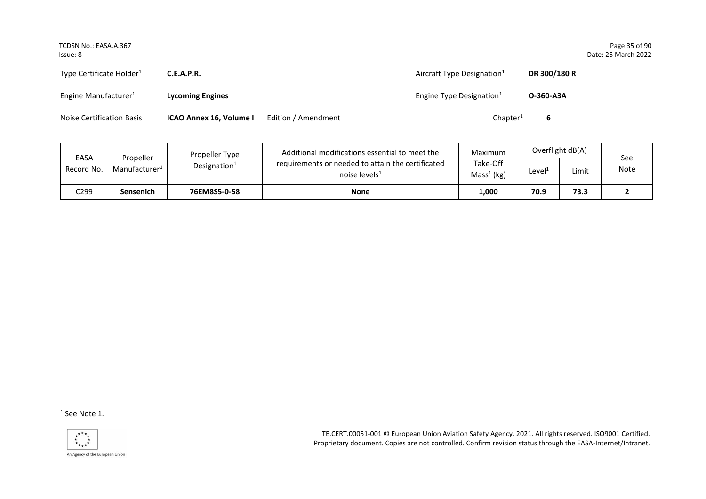| TCDSN No.: EASA.A.367<br>Issue: 8    |                         |                     |                                        |              | Page 35 of 90<br>Date: 25 March 2022 |
|--------------------------------------|-------------------------|---------------------|----------------------------------------|--------------|--------------------------------------|
| Type Certificate Holder <sup>1</sup> | C.E.A.P.R.              |                     | Aircraft Type Designation <sup>1</sup> | DR 300/180 R |                                      |
| Engine Manufacturer <sup>1</sup>     | <b>Lycoming Engines</b> |                     | Engine Type Designation <sup>1</sup>   | O-360-A3A    |                                      |
| <b>Noise Certification Basis</b>     | ICAO Annex 16, Volume I | Edition / Amendment | Chapter <sup>1</sup>                   | 6            |                                      |

|                    | Propeller Type<br>Propeller |                 | Additional modifications essential to meet the                                 | Maximum                            | Overflight dB(A) |       |             |
|--------------------|-----------------------------|-----------------|--------------------------------------------------------------------------------|------------------------------------|------------------|-------|-------------|
| EASA<br>Record No. | Manufacturer <sup>1</sup>   | Designation $1$ | requirements or needed to attain the certificated<br>noise levels <sup>1</sup> | Take-Off<br>Mass <sup>1</sup> (kg) | Level $^{\rm 1}$ | Limit | See<br>Note |
| C299               | Sensenich                   | 76EM8S5-0-58    | <b>None</b>                                                                    | 1,000                              | 70.9             | 73.3  |             |

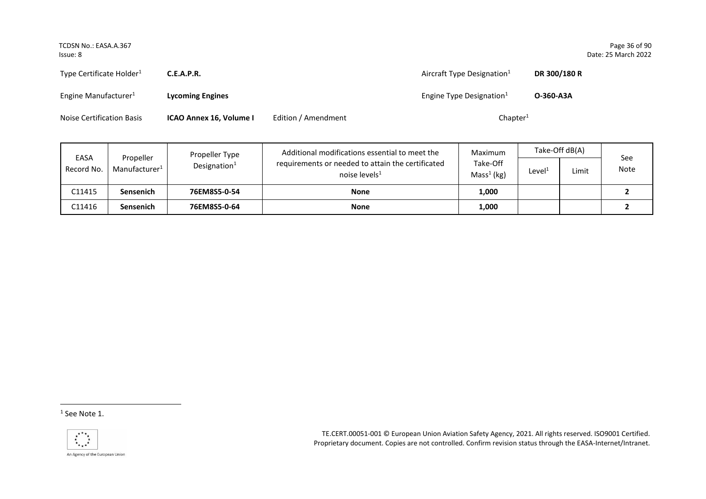| TCDSN No.: EASA.A.367<br>Issue: 8    |                         |                     |                                        | Page 36 of 90<br>Date: 25 March 2022 |
|--------------------------------------|-------------------------|---------------------|----------------------------------------|--------------------------------------|
| Type Certificate Holder <sup>1</sup> | C.E.A.P.R.              |                     | Aircraft Type Designation <sup>1</sup> | DR 300/180 R                         |
| Engine Manufacturer <sup>1</sup>     | <b>Lycoming Engines</b> |                     | Engine Type Designation <sup>1</sup>   | O-360-A3A                            |
| <b>Noise Certification Basis</b>     | ICAO Annex 16, Volume I | Edition / Amendment | Chapter <sup>1</sup>                   |                                      |

|                    |                                        | Propeller Type                                                                           | Additional modifications essential to meet the | Maximum                            | Take-Off dB(A)                  |       | See  |
|--------------------|----------------------------------------|------------------------------------------------------------------------------------------|------------------------------------------------|------------------------------------|---------------------------------|-------|------|
| EASA<br>Record No. | Propeller<br>Manufacturer <sup>1</sup> | requirements or needed to attain the certificated<br>Designation $1$<br>noise levels $1$ |                                                | Take-Off<br>Mass <sup>1</sup> (kg) | Level $^{\scriptscriptstyle 1}$ | Limit | Note |
| C11415             | <b>Sensenich</b>                       | 76EM8S5-0-54                                                                             | <b>None</b>                                    | 1,000                              |                                 |       |      |
| C11416             | <b>Sensenich</b>                       | 76EM8S5-0-64                                                                             | <b>None</b>                                    | 1,000                              |                                 |       |      |

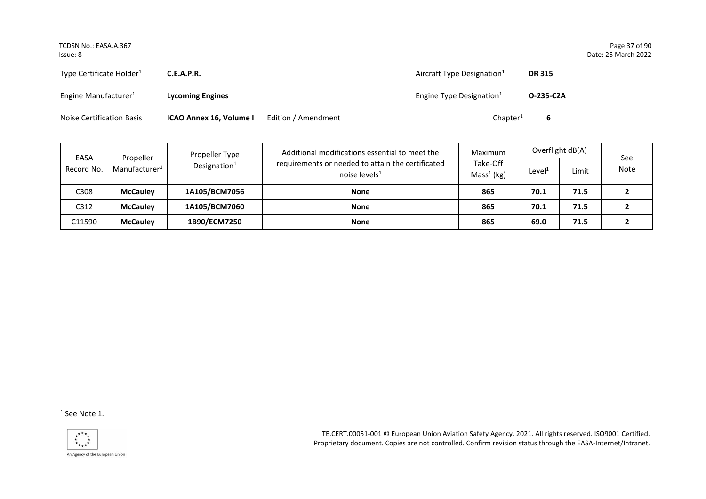| TCDSN No.: EASA.A.367<br>Issue: 8    |                         |                     |                                        |               | Page 37 of 90<br>Date: 25 March 2022 |
|--------------------------------------|-------------------------|---------------------|----------------------------------------|---------------|--------------------------------------|
| Type Certificate Holder <sup>1</sup> | C.E.A.P.R.              |                     | Aircraft Type Designation <sup>1</sup> | <b>DR 315</b> |                                      |
| Engine Manufacturer <sup>1</sup>     | <b>Lycoming Engines</b> |                     | Engine Type Designation <sup>1</sup>   | O-235-C2A     |                                      |
| Noise Certification Basis            | ICAO Annex 16, Volume I | Edition / Amendment | Chanter <sup>1</sup>                   | 6             |                                      |

| <b>EASA</b><br>Record No. | Propeller<br>Manufacturer <sup>1</sup> | Propeller Type<br>Designation $1$ | Additional modifications essential to meet the                                 | Maximum<br>Take-Off<br>Mass <sup>1</sup> (kg) |                    | Overflight dB(A) | See<br>Note |
|---------------------------|----------------------------------------|-----------------------------------|--------------------------------------------------------------------------------|-----------------------------------------------|--------------------|------------------|-------------|
|                           |                                        |                                   | requirements or needed to attain the certificated<br>noise levels <sup>1</sup> |                                               | Level <sup>1</sup> | Limit            |             |
| C308                      | <b>McCauley</b>                        | 1A105/BCM7056                     | None                                                                           | 865                                           | 70.1               | 71.5             |             |
| C312                      | <b>McCauley</b>                        | 1A105/BCM7060                     | <b>None</b>                                                                    | 865                                           | 70.1               | 71.5             |             |
| C11590                    | <b>McCauley</b>                        | 1B90/ECM7250                      | <b>None</b>                                                                    | 865                                           | 69.0               | 71.5             |             |

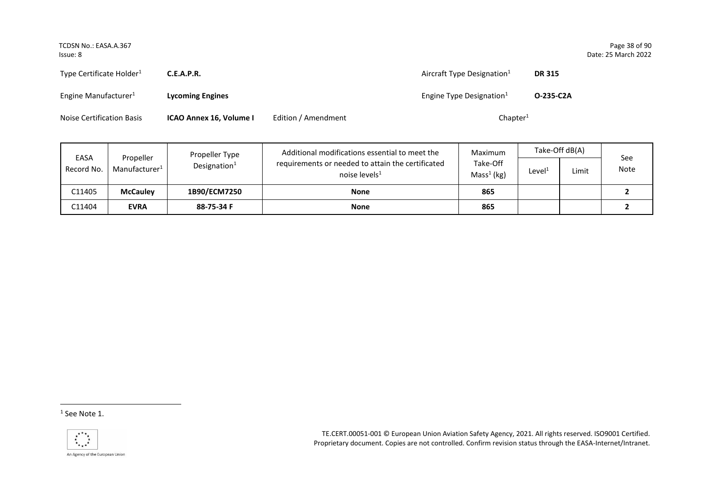| TCDSN No.: EASA.A.367<br>Issue: 8    |                                |                     |                                        |               | Page 38 of 90<br>Date: 25 March 2022 |
|--------------------------------------|--------------------------------|---------------------|----------------------------------------|---------------|--------------------------------------|
| Type Certificate Holder <sup>1</sup> | C.E.A.P.R.                     |                     | Aircraft Type Designation <sup>1</sup> | <b>DR 315</b> |                                      |
| Engine Manufacturer <sup>1</sup>     | <b>Lycoming Engines</b>        |                     | Engine Type Designation <sup>1</sup>   | O-235-C2A     |                                      |
| <b>Noise Certification Basis</b>     | <b>ICAO Annex 16, Volume I</b> | Edition / Amendment | Chapter <sup>1</sup>                   |               |                                      |

| EASA |            | Propeller Type                         | Additional modifications essential to meet the | Maximum                                                                        | Take-Off dB(A)                     |                  | See   |      |
|------|------------|----------------------------------------|------------------------------------------------|--------------------------------------------------------------------------------|------------------------------------|------------------|-------|------|
|      | Record No. | Propeller<br>Manufacturer <sup>1</sup> | Designation $1$                                | requirements or needed to attain the certificated<br>noise levels <sup>1</sup> | Take-Off<br>Mass <sup>1</sup> (kg) | Level $^{\rm 1}$ | Limit | Note |
|      | C11405     | <b>McCauley</b>                        | 1B90/ECM7250                                   | <b>None</b>                                                                    | 865                                |                  |       |      |
|      | C11404     | <b>EVRA</b>                            | 88-75-34 F                                     | <b>None</b>                                                                    | 865                                |                  |       |      |

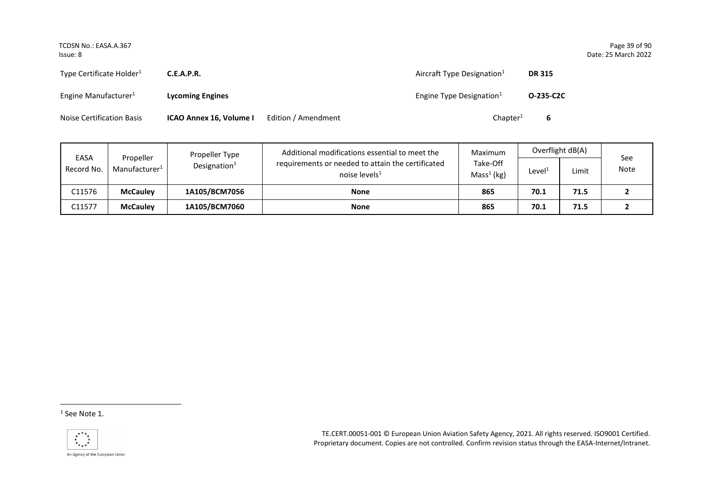| TCDSN No.: EASA.A.367<br>Issue: 8    |                                |                     |                                        |               | Page 39 of 90<br>Date: 25 March 2022 |
|--------------------------------------|--------------------------------|---------------------|----------------------------------------|---------------|--------------------------------------|
| Type Certificate Holder <sup>1</sup> | C.E.A.P.R.                     |                     | Aircraft Type Designation <sup>1</sup> | <b>DR 315</b> |                                      |
| Engine Manufacturer <sup>1</sup>     | <b>Lycoming Engines</b>        |                     | Engine Type Designation <sup>1</sup>   | O-235-C2C     |                                      |
| <b>Noise Certification Basis</b>     | <b>ICAO Annex 16, Volume I</b> | Edition / Amendment | Chapter <sup>1</sup>                   | 6             |                                      |

| EASA       |                           | Propeller Type                                                                                                 | Additional modifications essential to meet the | Maximum                            | Overflight dB(A)   |       | See         |
|------------|---------------------------|----------------------------------------------------------------------------------------------------------------|------------------------------------------------|------------------------------------|--------------------|-------|-------------|
| Record No. | Manufacturer <sup>1</sup> | Propeller<br>requirements or needed to attain the certificated<br>Designation $1$<br>noise levels <sup>1</sup> |                                                | Take-Off<br>Mass <sup>1</sup> (kg) | Level <sup>1</sup> | Limit | <b>Note</b> |
| C11576     | <b>McCauley</b>           | 1A105/BCM7056                                                                                                  | None                                           | 865                                | 70.1               | 71.5  |             |
| C11577     | <b>McCaulev</b>           | 1A105/BCM7060                                                                                                  | <b>None</b>                                    | 865                                | 70.1               | 71.5  |             |

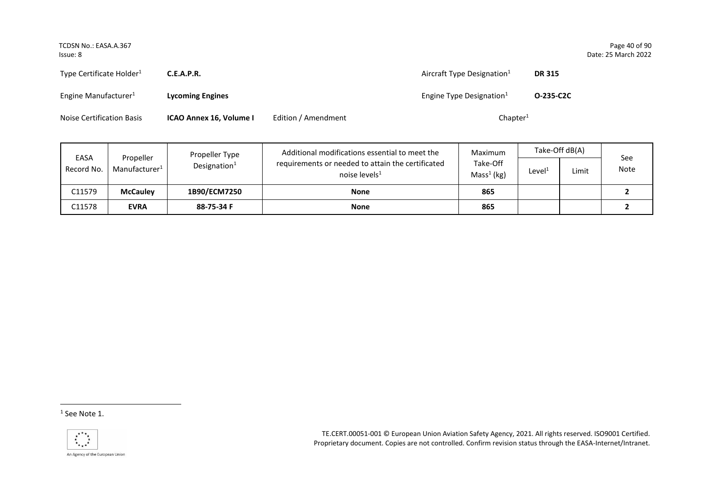| TCDSN No.: EASA.A.367<br>Issue: 8    |                         |                     |                                        |             |               | Page 40 of 90<br>Date: 25 March 2022 |
|--------------------------------------|-------------------------|---------------------|----------------------------------------|-------------|---------------|--------------------------------------|
| Type Certificate Holder <sup>1</sup> | C.E.A.P.R.              |                     | Aircraft Type Designation <sup>1</sup> |             | <b>DR 315</b> |                                      |
| Engine Manufacturer <sup>1</sup>     | <b>Lycoming Engines</b> |                     | Engine Type Designation <sup>1</sup>   |             | O-235-C2C     |                                      |
| <b>Noise Certification Basis</b>     | ICAO Annex 16, Volume I | Edition / Amendment |                                        | Chapter $1$ |               |                                      |

| EASA |            | Propeller Type                         | Additional modifications essential to meet the | Maximum                                                                        | Take-Off dB(A)                     |                  | See   |      |
|------|------------|----------------------------------------|------------------------------------------------|--------------------------------------------------------------------------------|------------------------------------|------------------|-------|------|
|      | Record No. | Propeller<br>Manufacturer <sup>1</sup> | Designation $1$                                | requirements or needed to attain the certificated<br>noise levels <sup>1</sup> | Take-Off<br>Mass <sup>1</sup> (kg) | Level $^{\rm 1}$ | Limit | Note |
|      | C11579     | <b>McCauley</b>                        | 1B90/ECM7250                                   | <b>None</b>                                                                    | 865                                |                  |       |      |
|      | C11578     | <b>EVRA</b>                            | 88-75-34 F                                     | <b>None</b>                                                                    | 865                                |                  |       |      |

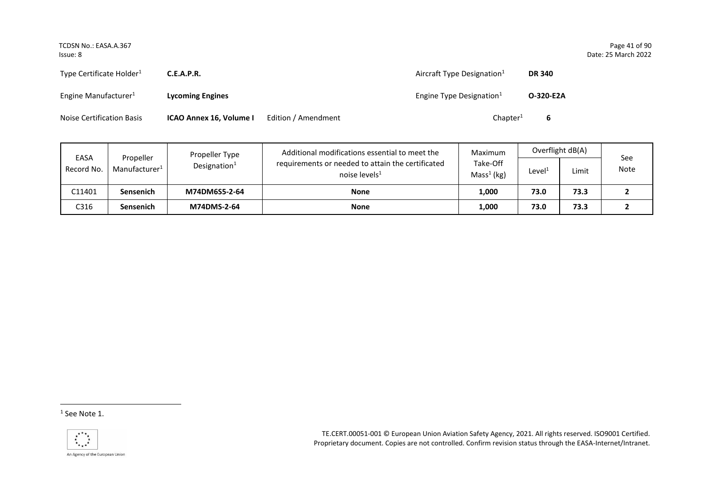| TCDSN No.: EASA.A.367<br>Issue: 8    |                         |                     |                                        | Page 41 of 90<br>Date: 25 March 2022 |
|--------------------------------------|-------------------------|---------------------|----------------------------------------|--------------------------------------|
| Type Certificate Holder <sup>1</sup> | C.E.A.P.R.              |                     | Aircraft Type Designation <sup>1</sup> | <b>DR 340</b>                        |
| Engine Manufacturer <sup>1</sup>     | <b>Lycoming Engines</b> |                     | Engine Type Designation <sup>1</sup>   | O-320-E2A                            |
| <b>Noise Certification Basis</b>     | ICAO Annex 16, Volume I | Edition / Amendment | Chapter <sup>1</sup>                   | 6                                    |

|            |                                                                                                                                                     | Propeller Type | Additional modifications essential to meet the | Maximum            | Overflight dB(A) |                    |  |
|------------|-----------------------------------------------------------------------------------------------------------------------------------------------------|----------------|------------------------------------------------|--------------------|------------------|--------------------|--|
| Record No. | EASA<br>Propeller<br>requirements or needed to attain the certificated<br>Designation $1$<br>Manufacturer <sup>1</sup><br>noise levels <sup>1</sup> |                | Take-Off<br>Mass <sup>1</sup> (kg)             | Level <sup>1</sup> | Limit            | See<br><b>Note</b> |  |
| C11401     | <b>Sensenich</b>                                                                                                                                    | M74DM6S5-2-64  | None                                           | 1.000              | 73.0             | 73.3               |  |
| C316       | <b>Sensenich</b>                                                                                                                                    | M74DMS-2-64    | <b>None</b>                                    | 1,000              | 73.0             | 73.3               |  |

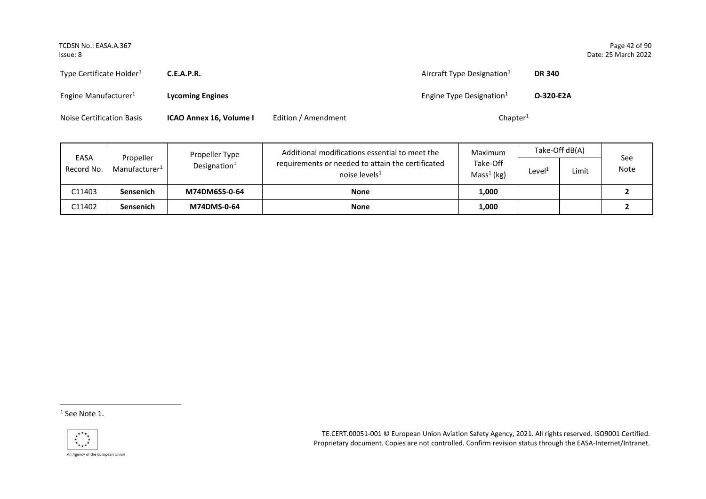| TCDSN No.: EASA.A.367<br>Issue: 8    |                         |                     |                                        |               | Page 42 of 90<br>Date: 25 March 2022 |
|--------------------------------------|-------------------------|---------------------|----------------------------------------|---------------|--------------------------------------|
| Type Certificate Holder <sup>1</sup> | C.E.A.P.R.              |                     | Aircraft Type Designation <sup>1</sup> | <b>DR 340</b> |                                      |
| Engine Manufacturer <sup>1</sup>     | <b>Lycoming Engines</b> |                     | Engine Type Designation <sup>1</sup>   | O-320-E2A     |                                      |
| <b>Noise Certification Basis</b>     | ICAO Annex 16, Volume I | Edition / Amendment | Chapter <sup>1</sup>                   |               |                                      |

|                           | Propeller<br>Manufacturer <sup>1</sup> | Propeller Type<br>Designation $1$ | Additional modifications essential to meet the                                 | Maximum                            | Take-Off dB(A)     |       | See  |
|---------------------------|----------------------------------------|-----------------------------------|--------------------------------------------------------------------------------|------------------------------------|--------------------|-------|------|
| <b>EASA</b><br>Record No. |                                        |                                   | requirements or needed to attain the certificated<br>noise levels <sup>1</sup> | Take-Off<br>Mass <sup>1</sup> (kg) | Level <sup>1</sup> | Limit | Note |
| C11403                    | <b>Sensenich</b>                       | M74DM6S5-0-64                     | <b>None</b>                                                                    | 1,000                              |                    |       |      |
| C11402                    | <b>Sensenich</b>                       | <b>M74DMS-0-64</b>                | <b>None</b>                                                                    | 1,000                              |                    |       |      |

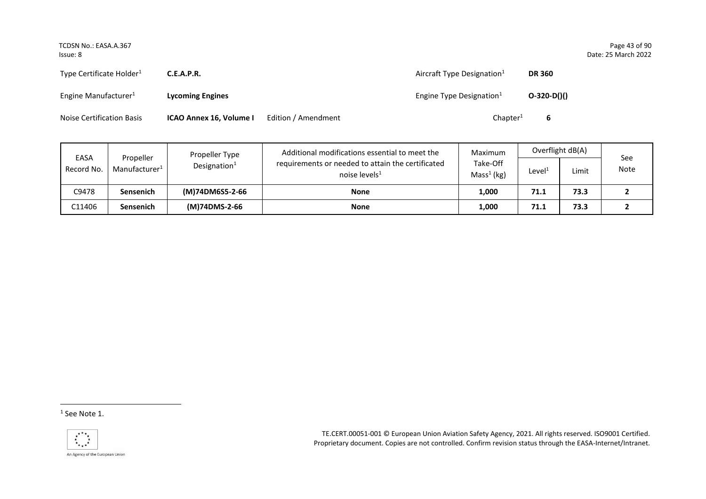| TCDSN No.: EASA.A.367<br>Issue: 8    |                         |                     |                                        |               | Page 43 of 90<br>Date: 25 March 2022 |
|--------------------------------------|-------------------------|---------------------|----------------------------------------|---------------|--------------------------------------|
| Type Certificate Holder <sup>1</sup> | C.E.A.P.R.              |                     | Aircraft Type Designation <sup>1</sup> | <b>DR 360</b> |                                      |
| Engine Manufacturer <sup>1</sup>     | <b>Lycoming Engines</b> |                     | Engine Type Designation <sup>1</sup>   | $O-320-D()()$ |                                      |
| <b>Noise Certification Basis</b>     | ICAO Annex 16, Volume I | Edition / Amendment | Chapter <sup>1</sup>                   | 6             |                                      |

| EASA<br>Propeller<br>Manufacturer <sup>1</sup><br>Record No. |                  | Propeller Type                                                                 | Additional modifications essential to meet the | Maximum            | Overflight dB(A) |      | See<br>Note |
|--------------------------------------------------------------|------------------|--------------------------------------------------------------------------------|------------------------------------------------|--------------------|------------------|------|-------------|
|                                                              | Designation $1$  | requirements or needed to attain the certificated<br>noise levels <sup>1</sup> | Take-Off<br>Mass <sup>1</sup> (kg)             | Level <sup>1</sup> | Limit            |      |             |
| C9478                                                        | <b>Sensenich</b> | (M)74DM6S5-2-66                                                                | <b>None</b>                                    | 1,000              | 71.1             | 73.3 |             |
| C11406                                                       | <b>Sensenich</b> | (M)74DMS-2-66                                                                  | <b>None</b>                                    | 1,000              | 71.1             | 73.3 |             |

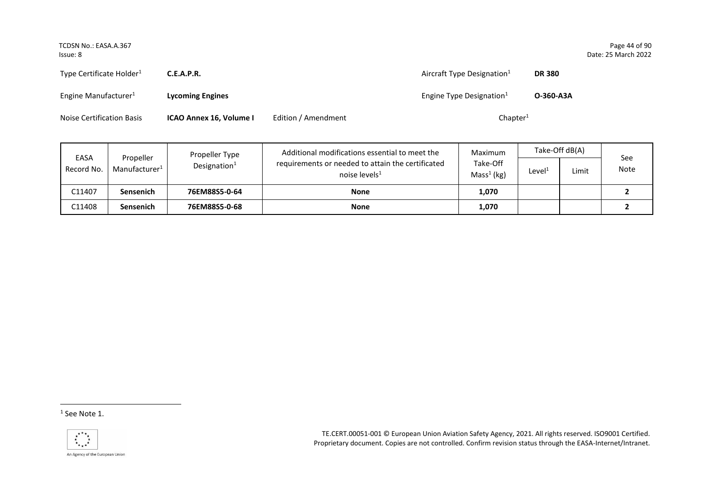| TCDSN No.: EASA.A.367<br>Issue: 8    |                         |                     |                                        |               | Page 44 of 90<br>Date: 25 March 2022 |
|--------------------------------------|-------------------------|---------------------|----------------------------------------|---------------|--------------------------------------|
| Type Certificate Holder <sup>1</sup> | C.E.A.P.R.              |                     | Aircraft Type Designation <sup>1</sup> | <b>DR 380</b> |                                      |
| Engine Manufacturer <sup>1</sup>     | <b>Lycoming Engines</b> |                     | Engine Type Designation <sup>1</sup>   | O-360-A3A     |                                      |
| <b>Noise Certification Basis</b>     | ICAO Annex 16, Volume I | Edition / Amendment | Chapter <sup>1</sup>                   |               |                                      |

| EASA       | Propeller Type<br>Propeller<br>Designation $1$<br>Manufacturer <sup>1</sup><br>noise levels <sup>1</sup> |                                                   | Additional modifications essential to meet the | Maximum          | Take-Off dB(A) |  | See<br>Note |
|------------|----------------------------------------------------------------------------------------------------------|---------------------------------------------------|------------------------------------------------|------------------|----------------|--|-------------|
| Record No. |                                                                                                          | requirements or needed to attain the certificated | Take-Off<br>Mass <sup>1</sup> (kg)             | Level $^{\rm 1}$ | Limit          |  |             |
| C11407     | <b>Sensenich</b>                                                                                         | 76EM88S5-0-64                                     | <b>None</b>                                    | 1,070            |                |  |             |
| C11408     | <b>Sensenich</b>                                                                                         | 76EM88S5-0-68                                     | <b>None</b>                                    | 1,070            |                |  |             |

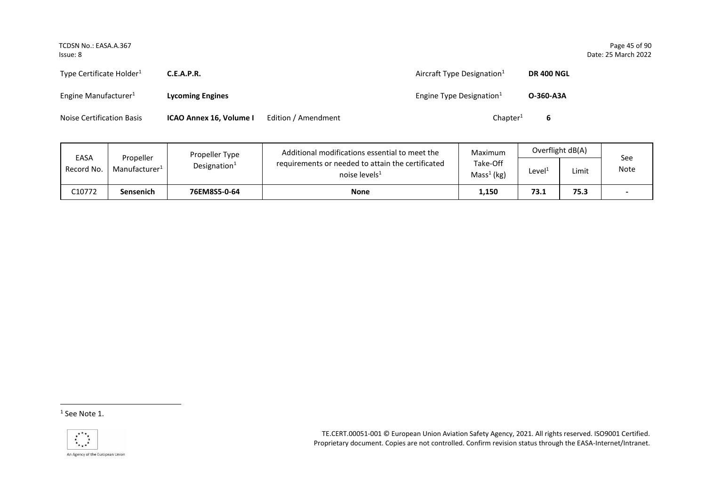| TCDSN No.: EASA.A.367<br>Issue: 8    |                         |                     |                                        |                   | Page 45 of 90<br>Date: 25 March 2022 |
|--------------------------------------|-------------------------|---------------------|----------------------------------------|-------------------|--------------------------------------|
| Type Certificate Holder <sup>1</sup> | C.E.A.P.R.              |                     | Aircraft Type Designation <sup>1</sup> | <b>DR 400 NGL</b> |                                      |
| Engine Manufacturer <sup>1</sup>     | <b>Lycoming Engines</b> |                     | Engine Type Designation <sup>1</sup>   | O-360-A3A         |                                      |
| Noise Certification Basis            | ICAO Annex 16, Volume I | Edition / Amendment | Chapter $1$                            | 6                 |                                      |

| EASA       |                           | Propeller Type                                                                                                 | Additional modifications essential to meet the | Maximum | Overflight dB(A) |      | See<br>Note              |
|------------|---------------------------|----------------------------------------------------------------------------------------------------------------|------------------------------------------------|---------|------------------|------|--------------------------|
| Record No. | Manufacturer <sup>1</sup> | Propeller<br>requirements or needed to attain the certificated<br>Designation $1$<br>noise levels <sup>1</sup> | Take-Off<br>Mass <sup>1</sup> (kg)             | Level   | Limit            |      |                          |
| C10772     | <b>Sensenich</b>          | 76EM8S5-0-64                                                                                                   | <b>None</b>                                    | 1,150   | 73.1             | 75.3 | $\overline{\phantom{0}}$ |

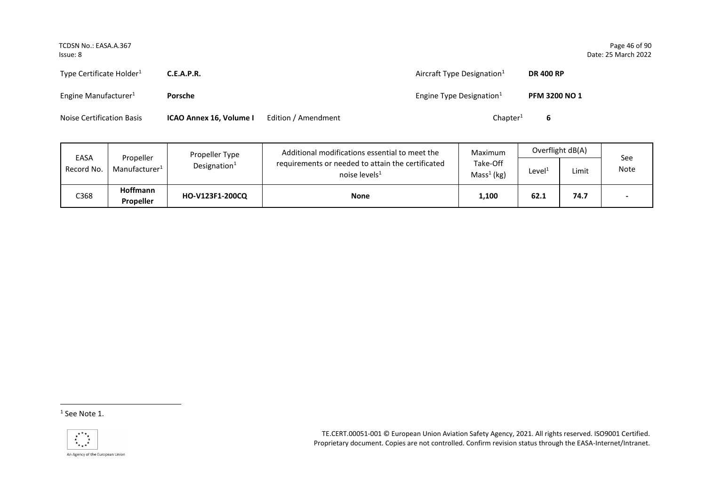| TCDSN No.: EASA.A.367<br>Issue: 8    |                         |                     |                                        |                      | Page 46 of 90<br>Date: 25 March 2022 |
|--------------------------------------|-------------------------|---------------------|----------------------------------------|----------------------|--------------------------------------|
| Type Certificate Holder <sup>1</sup> | C.E.A.P.R.              |                     | Aircraft Type Designation <sup>1</sup> | <b>DR 400 RP</b>     |                                      |
| Engine Manufacturer <sup>1</sup>     | Porsche                 |                     | Engine Type Designation <sup>1</sup>   | <b>PFM 3200 NO 1</b> |                                      |
| Noise Certification Basis            | ICAO Annex 16, Volume I | Edition / Amendment | Chapter <sup>1</sup>                   | 6                    |                                      |

| <b>EASA</b> | Propeller                           | Propeller Type  | Additional modifications essential to meet the                        | Maximum                            | Overflight dB(A)   |       | See  |
|-------------|-------------------------------------|-----------------|-----------------------------------------------------------------------|------------------------------------|--------------------|-------|------|
| Record No.  | Manufacturer <sup>1</sup>           | Designation $1$ | requirements or needed to attain the certificated<br>noise levels $1$ | Take-Off<br>Mass <sup>1</sup> (kg) | Level <sup>1</sup> | Limit | Note |
| C368        | <b>Hoffmann</b><br><b>Propeller</b> | HO-V123F1-200CQ | <b>None</b>                                                           | 1,100                              | 62.1               | 74.7  |      |

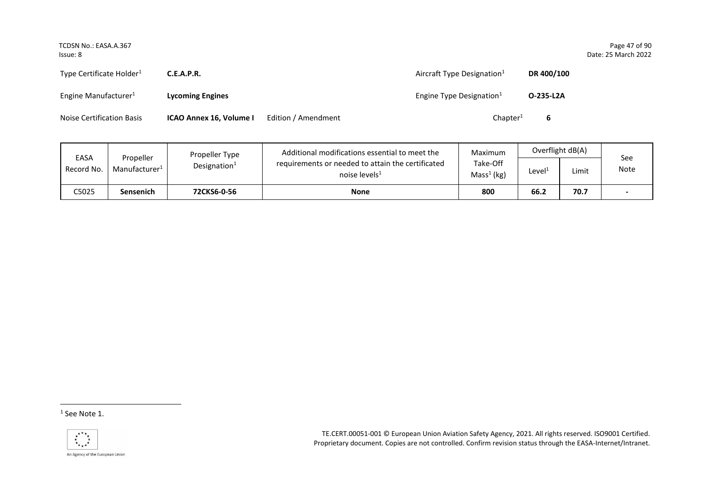| TCDSN No.: EASA.A.367<br>Issue: 8    |                         |                     |                                        |            | Page 47 of 90<br>Date: 25 March 2022 |
|--------------------------------------|-------------------------|---------------------|----------------------------------------|------------|--------------------------------------|
| Type Certificate Holder <sup>1</sup> | C.E.A.P.R.              |                     | Aircraft Type Designation <sup>1</sup> | DR 400/100 |                                      |
| Engine Manufacturer <sup>1</sup>     | <b>Lycoming Engines</b> |                     | Engine Type Designation <sup>1</sup>   | O-235-L2A  |                                      |
| <b>Noise Certification Basis</b>     | ICAO Annex 16, Volume I | Edition / Amendment | Chapter $1$                            | 6          |                                      |

|                    |                                        | Propeller Type  | Additional modifications essential to meet the                                 | Maximum                            | Overflight dB(A)   |       |             |
|--------------------|----------------------------------------|-----------------|--------------------------------------------------------------------------------|------------------------------------|--------------------|-------|-------------|
| EASA<br>Record No. | Propeller<br>Manufacturer <sup>1</sup> | Designation $1$ | requirements or needed to attain the certificated<br>noise levels <sup>1</sup> | Take-Off<br>Mass <sup>1</sup> (kg) | Level <sup>1</sup> | Limit | See<br>Note |
| C5025              | <b>Sensenich</b>                       | 72CKS6-0-56     | None                                                                           | 800                                | 66.2               | 70.7  |             |

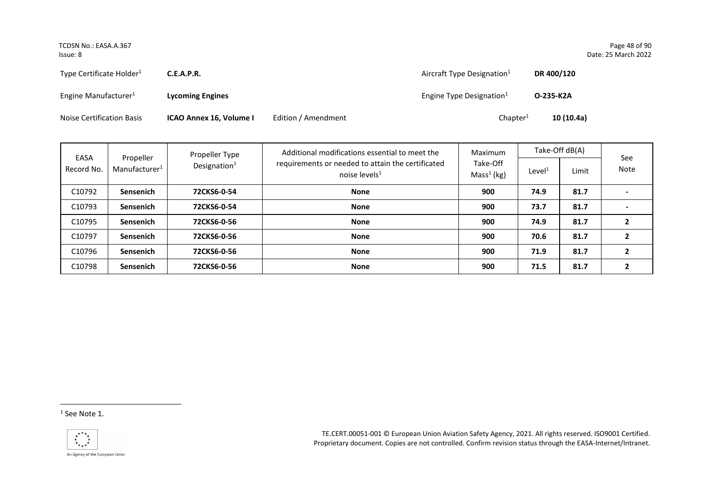| TCDSN No.: EASA.A.367<br>Issue: 8    |                                |                     |                                        |            | Page 48 of 90<br>Date: 25 March 2022 |
|--------------------------------------|--------------------------------|---------------------|----------------------------------------|------------|--------------------------------------|
| Type Certificate Holder <sup>1</sup> | C.E.A.P.R.                     |                     | Aircraft Type Designation <sup>1</sup> | DR 400/120 |                                      |
| Engine Manufacturer <sup>1</sup>     | <b>Lycoming Engines</b>        |                     | Engine Type Designation <sup>1</sup>   | O-235-K2A  |                                      |
| Noise Certification Basis            | <b>ICAO Annex 16, Volume I</b> | Edition / Amendment | Chapter $1$                            | 10 (10.4a) |                                      |

| EASA<br>Propeller | Propeller Type            | Additional modifications essential to meet the | Maximum                                                               | Take-Off dB(A)                     |                    | See   |      |
|-------------------|---------------------------|------------------------------------------------|-----------------------------------------------------------------------|------------------------------------|--------------------|-------|------|
| Record No.        | Manufacturer <sup>1</sup> | Designation $1$                                | requirements or needed to attain the certificated<br>noise levels $1$ | Take-Off<br>Mass <sup>1</sup> (kg) | Level <sup>1</sup> | Limit | Note |
| C10792            | <b>Sensenich</b>          | 72CKS6-0-54                                    | <b>None</b>                                                           | 900                                | 74.9               | 81.7  |      |
| C10793            | <b>Sensenich</b>          | 72CKS6-0-54                                    | <b>None</b>                                                           | 900                                | 73.7               | 81.7  |      |
| C10795            | Sensenich                 | 72CKS6-0-56                                    | <b>None</b>                                                           | 900                                | 74.9               | 81.7  |      |
| C10797            | Sensenich                 | 72CKS6-0-56                                    | <b>None</b>                                                           | 900                                | 70.6               | 81.7  | 2    |
| C10796            | Sensenich                 | 72CKS6-0-56                                    | <b>None</b>                                                           | 900                                | 71.9               | 81.7  | ∍    |
| C10798            | <b>Sensenich</b>          | 72CKS6-0-56                                    | <b>None</b>                                                           | 900                                | 71.5               | 81.7  |      |

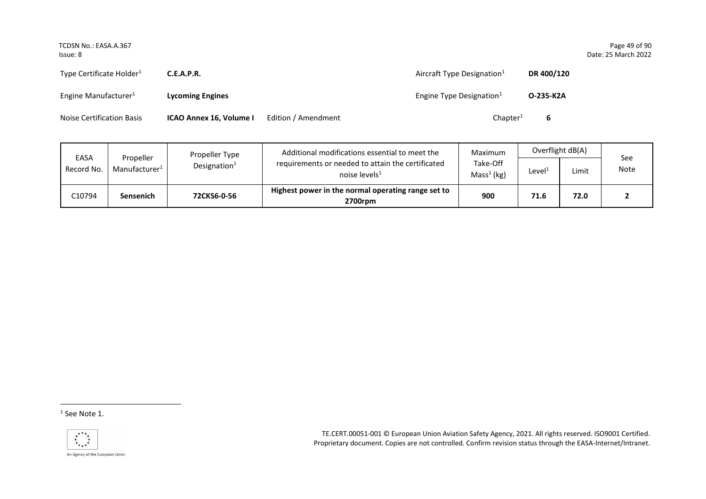| TCDSN No.: EASA.A.367<br>Issue: 8    |                         |                     |                                        |            | Page 49 of 90<br>Date: 25 March 2022 |
|--------------------------------------|-------------------------|---------------------|----------------------------------------|------------|--------------------------------------|
| Type Certificate Holder <sup>1</sup> | C.E.A.P.R.              |                     | Aircraft Type Designation <sup>1</sup> | DR 400/120 |                                      |
| Engine Manufacturer <sup>1</sup>     | <b>Lycoming Engines</b> |                     | Engine Type Designation <sup>1</sup>   | O-235-K2A  |                                      |
| Noise Certification Basis            | ICAO Annex 16, Volume I | Edition / Amendment | Chapter <sup>1</sup>                   | 6          |                                      |

| <b>EASA</b> |                                        | Propeller Type  | Additional modifications essential to meet the                                 | Maximum                            | Overflight dB(A)   |       |                    |
|-------------|----------------------------------------|-----------------|--------------------------------------------------------------------------------|------------------------------------|--------------------|-------|--------------------|
| Record No.  | Propeller<br>Manufacturer <sup>1</sup> | Designation $1$ | requirements or needed to attain the certificated<br>noise levels <sup>1</sup> | Take-Off<br>Mass <sup>1</sup> (kg) | Level <sup>1</sup> | Limit | See<br><b>Note</b> |
| C10794      | <b>Sensenich</b>                       | 72CKS6-0-56     | Highest power in the normal operating range set to<br>2700rpm                  | 900                                | 71.6               | 72.0  |                    |

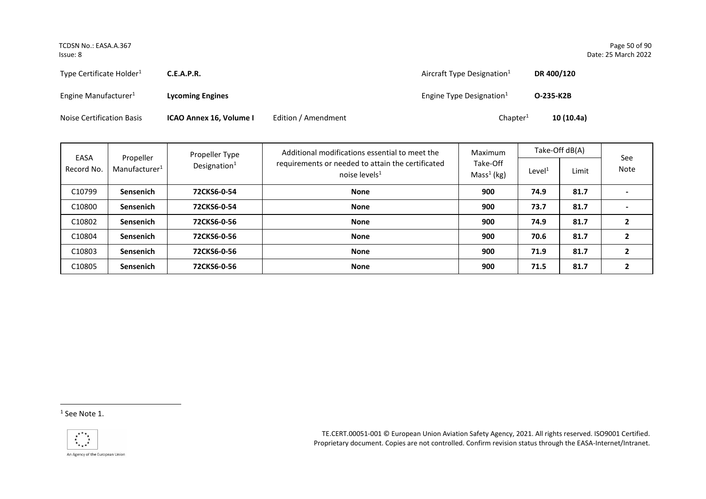| TCDSN No.: EASA.A.367<br>Issue: 8    |                                |                     |                                        |            | Page 50 of 90<br>Date: 25 March 2022 |
|--------------------------------------|--------------------------------|---------------------|----------------------------------------|------------|--------------------------------------|
| Type Certificate Holder <sup>1</sup> | C.E.A.P.R.                     |                     | Aircraft Type Designation <sup>1</sup> | DR 400/120 |                                      |
| Engine Manufacturer <sup>1</sup>     | <b>Lycoming Engines</b>        |                     | Engine Type Designation <sup>1</sup>   | O-235-K2B  |                                      |
| Noise Certification Basis            | <b>ICAO Annex 16, Volume I</b> | Edition / Amendment | Chapter $1$                            | 10 (10.4a) |                                      |

| EASA<br>Propeller | Propeller Type                                                                                                                 | Additional modifications essential to meet the | <b>Maximum</b>     | Take-Off dB(A) |      | See<br>Note |              |
|-------------------|--------------------------------------------------------------------------------------------------------------------------------|------------------------------------------------|--------------------|----------------|------|-------------|--------------|
| Record No.        | requirements or needed to attain the certificated<br>Designation $1$<br>Manufacturer <sup>1</sup><br>noise levels <sup>1</sup> | Take-Off<br>Mass <sup>1</sup> (kg)             | Level <sup>1</sup> | Limit          |      |             |              |
| C10799            | Sensenich                                                                                                                      | 72CKS6-0-54                                    | <b>None</b>        | 900            | 74.9 | 81.7        |              |
| C10800            | Sensenich                                                                                                                      | 72CKS6-0-54                                    | <b>None</b>        | 900            | 73.7 | 81.7        |              |
| C10802            | <b>Sensenich</b>                                                                                                               | 72CKS6-0-56                                    | <b>None</b>        | 900            | 74.9 | 81.7        |              |
| C10804            | <b>Sensenich</b>                                                                                                               | 72CKS6-0-56                                    | <b>None</b>        | 900            | 70.6 | 81.7        | C.           |
| C10803            | Sensenich                                                                                                                      | 72CKS6-0-56                                    | <b>None</b>        | 900            | 71.9 | 81.7        | $\mathbf{r}$ |
| C10805            | Sensenich                                                                                                                      | 72CKS6-0-56                                    | <b>None</b>        | 900            | 71.5 | 81.7        |              |

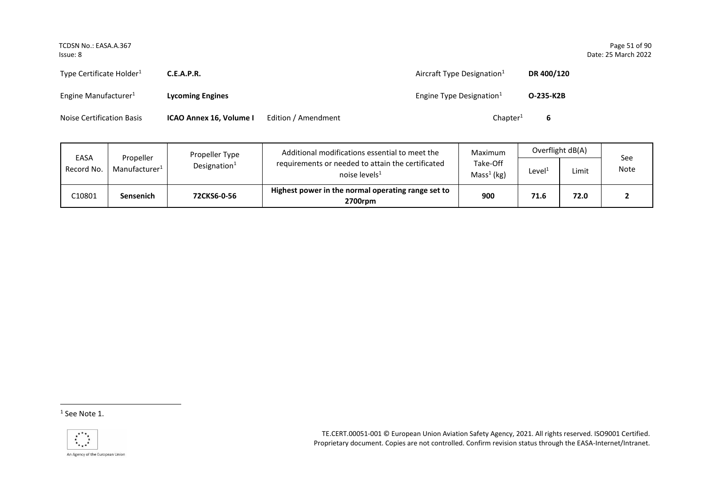| TCDSN No.: EASA.A.367<br>Issue: 8    |                         |                     |                                        |            | Page 51 of 90<br>Date: 25 March 2022 |
|--------------------------------------|-------------------------|---------------------|----------------------------------------|------------|--------------------------------------|
| Type Certificate Holder <sup>1</sup> | C.E.A.P.R.              |                     | Aircraft Type Designation <sup>1</sup> | DR 400/120 |                                      |
| Engine Manufacturer <sup>1</sup>     | <b>Lycoming Engines</b> |                     | Engine Type Designation <sup>1</sup>   | O-235-K2B  |                                      |
| Noise Certification Basis            | ICAO Annex 16, Volume I | Edition / Amendment | Chapter <sup>1</sup>                   | 6          |                                      |

| <b>EASA</b> |                                        | Propeller Type  | Additional modifications essential to meet the                                 | Maximum                            | Overflight dB(A)   |       | See         |
|-------------|----------------------------------------|-----------------|--------------------------------------------------------------------------------|------------------------------------|--------------------|-------|-------------|
| Record No.  | Propeller<br>Manufacturer <sup>1</sup> | Designation $1$ | requirements or needed to attain the certificated<br>noise levels <sup>1</sup> | Take-Off<br>Mass <sup>1</sup> (kg) | Level <sup>1</sup> | Limit | <b>Note</b> |
| C10801      | <b>Sensenich</b>                       | 72CKS6-0-56     | Highest power in the normal operating range set to<br>2700rpm                  | 900                                | 71.6               | 72.0  |             |

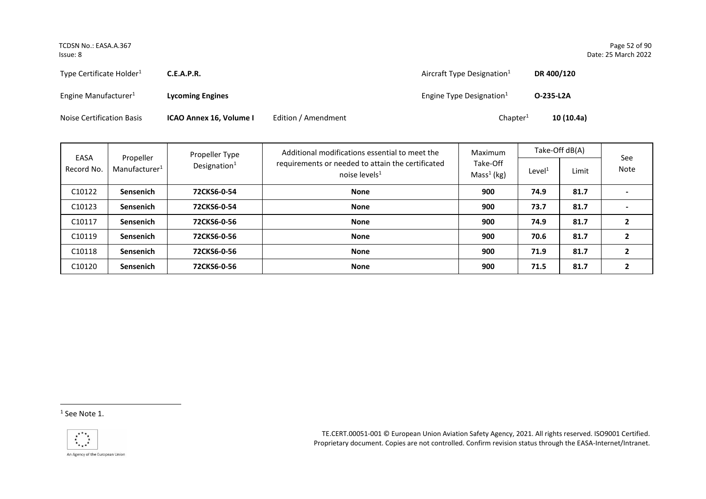| TCDSN No.: EASA.A.367<br>Issue: 8    |                                |                     |                                        |                      | Page 52 of 90<br>Date: 25 March 2022 |  |
|--------------------------------------|--------------------------------|---------------------|----------------------------------------|----------------------|--------------------------------------|--|
| Type Certificate Holder <sup>1</sup> | C.E.A.P.R.                     |                     | Aircraft Type Designation <sup>1</sup> |                      | DR 400/120                           |  |
| Engine Manufacturer <sup>1</sup>     | <b>Lycoming Engines</b>        |                     | Engine Type Designation <sup>1</sup>   |                      | O-235-L2A                            |  |
| Noise Certification Basis            | <b>ICAO Annex 16, Volume I</b> | Edition / Amendment |                                        | Chapter <sup>1</sup> | 10 (10.4a)                           |  |

| EASA<br>Propeller | Propeller Type                                                                                                                 | Additional modifications essential to meet the | <b>Maximum</b>                     | Take-Off dB(A)     |       | See<br>Note |          |
|-------------------|--------------------------------------------------------------------------------------------------------------------------------|------------------------------------------------|------------------------------------|--------------------|-------|-------------|----------|
| Record No.        | requirements or needed to attain the certificated<br>Designation $1$<br>Manufacturer <sup>1</sup><br>noise levels <sup>1</sup> |                                                | Take-Off<br>Mass <sup>1</sup> (kg) | Level <sup>1</sup> | Limit |             |          |
| C10122            | Sensenich                                                                                                                      | 72CKS6-0-54                                    | <b>None</b>                        | 900                | 74.9  | 81.7        |          |
| C10123            | Sensenich                                                                                                                      | 72CKS6-0-54                                    | None                               | 900                | 73.7  | 81.7        |          |
| C10117            | <b>Sensenich</b>                                                                                                               | 72CKS6-0-56                                    | <b>None</b>                        | 900                | 74.9  | 81.7        | 2        |
| C10119            | Sensenich                                                                                                                      | 72CKS6-0-56                                    | <b>None</b>                        | 900                | 70.6  | 81.7        | 2        |
| C10118            | Sensenich                                                                                                                      | 72CKS6-0-56                                    | <b>None</b>                        | 900                | 71.9  | 81.7        | <u>n</u> |
| C10120            | Sensenich                                                                                                                      | 72CKS6-0-56                                    | <b>None</b>                        | 900                | 71.5  | 81.7        | C        |

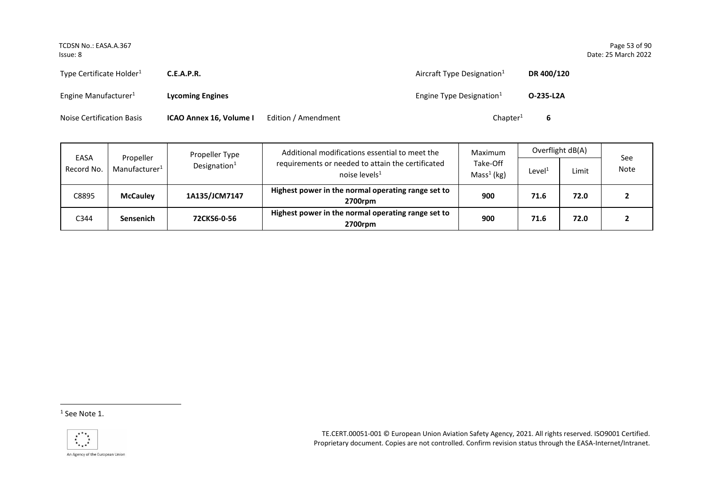| TCDSN No.: EASA.A.367<br>Issue: 8    |                         |                     |                                        |            | Page 53 of 90<br>Date: 25 March 2022 |
|--------------------------------------|-------------------------|---------------------|----------------------------------------|------------|--------------------------------------|
| Type Certificate Holder <sup>1</sup> | C.E.A.P.R.              |                     | Aircraft Type Designation <sup>1</sup> | DR 400/120 |                                      |
| Engine Manufacturer <sup>1</sup>     | <b>Lycoming Engines</b> |                     | Engine Type Designation <sup>1</sup>   | O-235-L2A  |                                      |
| Noise Certification Basis            | ICAO Annex 16, Volume I | Edition / Amendment | Chapter <sup>1</sup>                   | 6          |                                      |

| Propeller Type<br>Propeller<br>EASA | Additional modifications essential to meet the                                                                                 | Maximum                            | Overflight dB(A)                                              |       | See         |      |  |
|-------------------------------------|--------------------------------------------------------------------------------------------------------------------------------|------------------------------------|---------------------------------------------------------------|-------|-------------|------|--|
| Record No.                          | requirements or needed to attain the certificated<br>Designation $1$<br>Manufacturer <sup>1</sup><br>noise levels <sup>1</sup> | Take-Off<br>Mass <sup>1</sup> (kg) | Level <sup>1</sup>                                            | Limit | <b>Note</b> |      |  |
| C8895                               | <b>McCauley</b>                                                                                                                | 1A135/JCM7147                      | Highest power in the normal operating range set to<br>2700rpm | 900   | 71.6        | 72.0 |  |
| C344                                | Sensenich                                                                                                                      | 72CKS6-0-56                        | Highest power in the normal operating range set to<br>2700rpm | 900   | 71.6        | 72.0 |  |

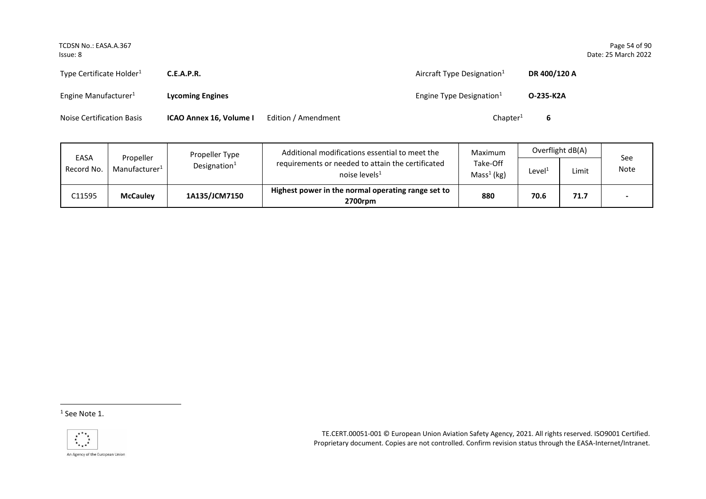| TCDSN No.: EASA.A.367<br>Issue: 8    |                         |                     |                                        |              | Page 54 of 90<br>Date: 25 March 2022 |
|--------------------------------------|-------------------------|---------------------|----------------------------------------|--------------|--------------------------------------|
| Type Certificate Holder <sup>1</sup> | C.E.A.P.R.              |                     | Aircraft Type Designation <sup>1</sup> | DR 400/120 A |                                      |
| Engine Manufacturer <sup>1</sup>     | <b>Lycoming Engines</b> |                     | Engine Type Designation <sup>1</sup>   | O-235-K2A    |                                      |
| Noise Certification Basis            | ICAO Annex 16, Volume I | Edition / Amendment | Chapter $1$                            | 6            |                                      |

| <b>EASA</b><br>Propeller | Propeller Type            | Additional modifications essential to meet the | Maximum                                                                        | Overflight dB(A)                   |            | See   |      |
|--------------------------|---------------------------|------------------------------------------------|--------------------------------------------------------------------------------|------------------------------------|------------|-------|------|
| Record No.               | Manufacturer <sup>1</sup> | Designation $1$                                | requirements or needed to attain the certificated<br>noise levels <sup>1</sup> | Take-Off<br>Mass <sup>1</sup> (kg) | Level $^1$ | Limit | Note |
| C11595                   | <b>McCaulev</b>           | 1A135/JCM7150                                  | Highest power in the normal operating range set to<br>2700rpm                  | 880                                | 70.6       | 71.7  |      |

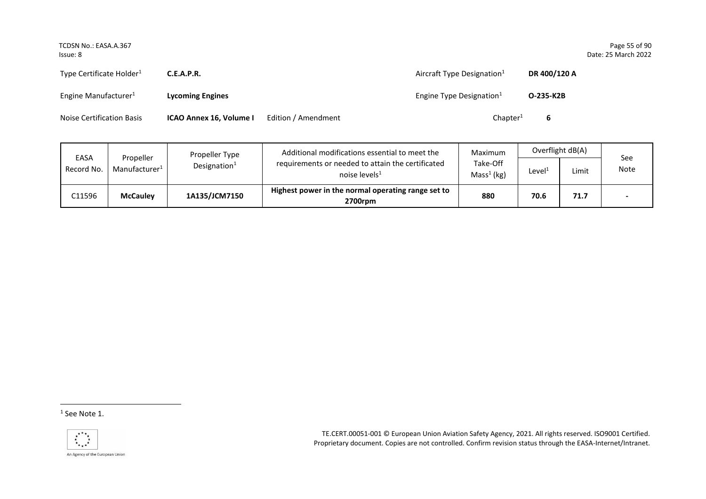| TCDSN No.: EASA.A.367<br>Issue: 8    |                         |                     |                                        |              | Page 55 of 90<br>Date: 25 March 2022 |
|--------------------------------------|-------------------------|---------------------|----------------------------------------|--------------|--------------------------------------|
| Type Certificate Holder <sup>1</sup> | C.E.A.P.R.              |                     | Aircraft Type Designation <sup>1</sup> | DR 400/120 A |                                      |
| Engine Manufacturer <sup>1</sup>     | <b>Lycoming Engines</b> |                     | Engine Type Designation <sup>1</sup>   | O-235-K2B    |                                      |
| Noise Certification Basis            | ICAO Annex 16, Volume I | Edition / Amendment | Chapter <sup>1</sup>                   | 6            |                                      |

| EASA       | Propeller                 | Propeller Type  | Additional modifications essential to meet the                                 | Maximum                            | Overflight dB(A)   |       |             |
|------------|---------------------------|-----------------|--------------------------------------------------------------------------------|------------------------------------|--------------------|-------|-------------|
| Record No. | Manufacturer <sup>1</sup> | Designation $1$ | requirements or needed to attain the certificated<br>noise levels <sup>1</sup> | Take-Off<br>Mass <sup>1</sup> (kg) | Level <sup>1</sup> | Limit | See<br>Note |
| C11596     | <b>McCaulev</b>           | 1A135/JCM7150   | Highest power in the normal operating range set to<br>2700rpm                  | 880                                | 70.6               | 71.7  |             |

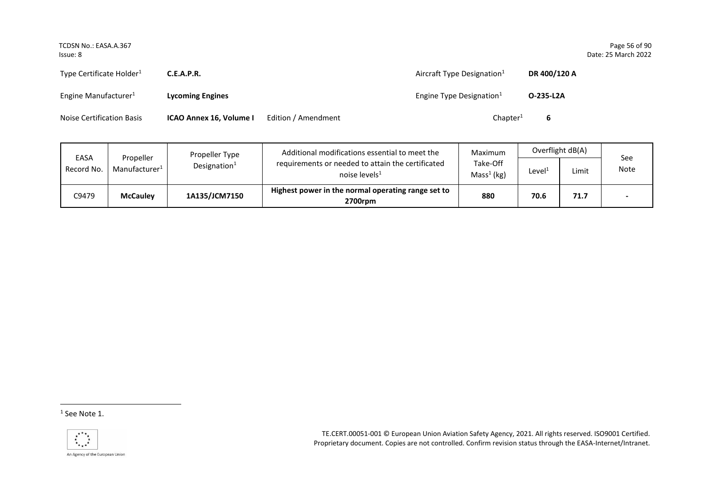| TCDSN No.: EASA.A.367<br>Issue: 8    |                         |                     |                                        |              | Page 56 of 90<br>Date: 25 March 2022 |
|--------------------------------------|-------------------------|---------------------|----------------------------------------|--------------|--------------------------------------|
| Type Certificate Holder <sup>1</sup> | C.E.A.P.R.              |                     | Aircraft Type Designation <sup>1</sup> | DR 400/120 A |                                      |
| Engine Manufacturer <sup>1</sup>     | <b>Lycoming Engines</b> |                     | Engine Type Designation <sup>1</sup>   | O-235-L2A    |                                      |
| <b>Noise Certification Basis</b>     | ICAO Annex 16, Volume I | Edition / Amendment | Chapter <sup>1</sup>                   | 6            |                                      |

| EASA       | Propeller                 | Propeller Type  | Additional modifications essential to meet the                        | Maximum                            | Overflight dB(A)                |       |             |
|------------|---------------------------|-----------------|-----------------------------------------------------------------------|------------------------------------|---------------------------------|-------|-------------|
| Record No. | Manufacturer <sup>1</sup> | Designation $1$ | requirements or needed to attain the certificated<br>noise levels $1$ | Take-Off<br>Mass <sup>1</sup> (kg) | Level $^{\scriptscriptstyle 1}$ | Limit | See<br>Note |
| C9479      | <b>McCauley</b>           | 1A135/JCM7150   | Highest power in the normal operating range set to<br>2700rpm         | 880                                | 70.6                            | 71.7  |             |

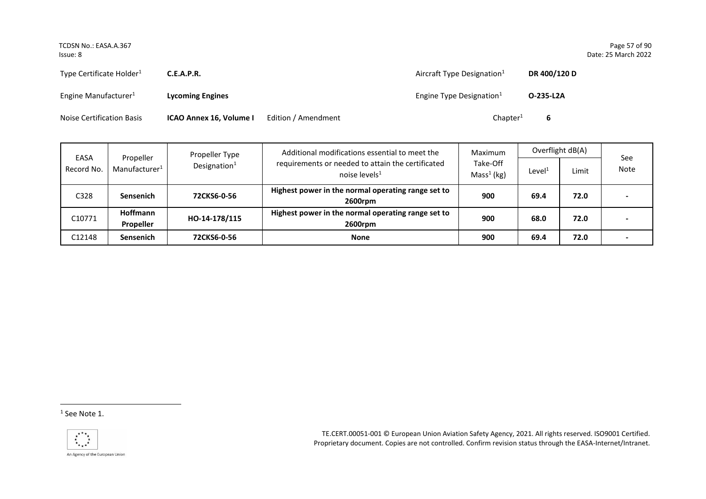| TCDSN No.: EASA.A.367<br>Issue: 8    |                         |                     |                                        |              | Page 57 of 90<br>Date: 25 March 2022 |
|--------------------------------------|-------------------------|---------------------|----------------------------------------|--------------|--------------------------------------|
| Type Certificate Holder <sup>1</sup> | C.E.A.P.R.              |                     | Aircraft Type Designation <sup>1</sup> | DR 400/120 D |                                      |
| Engine Manufacturer <sup>1</sup>     | <b>Lycoming Engines</b> |                     | Engine Type Designation <sup>1</sup>   | O-235-L2A    |                                      |
| <b>Noise Certification Basis</b>     | ICAO Annex 16, Volume I | Edition / Amendment | Chanter <sup>1</sup>                   | 6            |                                      |

| EASA<br>Propeller |                                                                                                                                | Propeller Type | Additional modifications essential to meet the                | <b>Maximum</b>     | Overflight dB(A) |      | See<br>Note |
|-------------------|--------------------------------------------------------------------------------------------------------------------------------|----------------|---------------------------------------------------------------|--------------------|------------------|------|-------------|
| Record No.        | requirements or needed to attain the certificated<br>Designation $1$<br>Manufacturer <sup>1</sup><br>noise levels <sup>1</sup> |                | Take-Off<br>Mass <sup>1</sup> (kg)                            | Level <sup>1</sup> | Limit            |      |             |
| C328              | <b>Sensenich</b>                                                                                                               | 72CKS6-0-56    | Highest power in the normal operating range set to<br>2600rpm | 900                | 69.4             | 72.0 |             |
| C10771            | <b>Hoffmann</b><br>Propeller                                                                                                   | HO-14-178/115  | Highest power in the normal operating range set to<br>2600rpm | 900                | 68.0             | 72.0 |             |
| C12148            | <b>Sensenich</b>                                                                                                               | 72CKS6-0-56    | <b>None</b>                                                   | 900                | 69.4             | 72.0 |             |

 $\mathbf{r}$ 

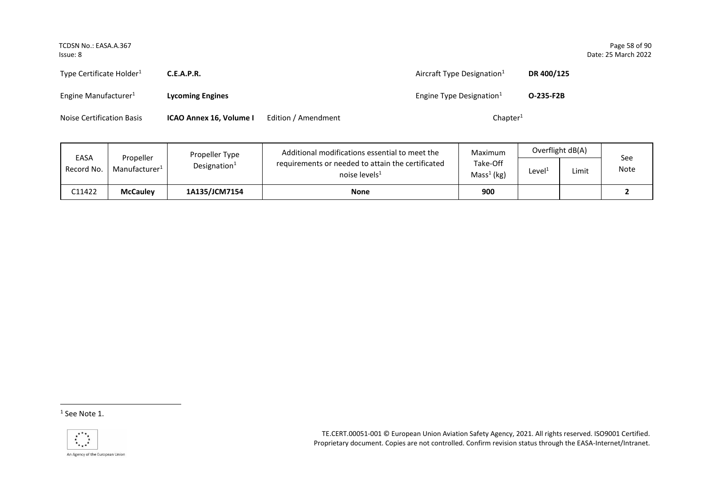| TCDSN No.: EASA.A.367<br>Issue: 8    |                         |                     |                                        |            | Page 58 of 90<br>Date: 25 March 2022 |
|--------------------------------------|-------------------------|---------------------|----------------------------------------|------------|--------------------------------------|
| Type Certificate Holder <sup>1</sup> | C.E.A.P.R.              |                     | Aircraft Type Designation <sup>1</sup> | DR 400/125 |                                      |
| Engine Manufacturer <sup>1</sup>     | <b>Lycoming Engines</b> |                     | Engine Type Designation <sup>1</sup>   | O-235-F2B  |                                      |
| <b>Noise Certification Basis</b>     | ICAO Annex 16, Volume I | Edition / Amendment | Chapter $1$                            |            |                                      |

| Propeller          |                           | Propeller Type  | Additional modifications essential to meet the                                 | Maximum                            |                  | Overflight dB(A) |             |
|--------------------|---------------------------|-----------------|--------------------------------------------------------------------------------|------------------------------------|------------------|------------------|-------------|
| EASA<br>Record No. | Manufacturer <sup>1</sup> | Designation $1$ | requirements or needed to attain the certificated<br>noise levels <sup>1</sup> | Take-Off<br>Mass <sup>1</sup> (kg) | Level $^{\rm 1}$ | Limit            | See<br>Note |
| C11422             | <b>McCauley</b>           | 1A135/JCM7154   | <b>None</b>                                                                    | 900                                |                  |                  |             |

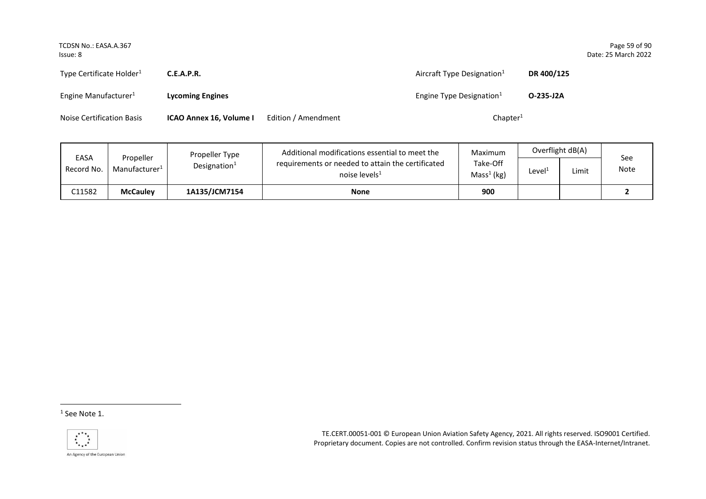| TCDSN No.: EASA.A.367<br>Issue: 8    |                         |                     |                                        | Page 59 of 90<br>Date: 25 March 2022 |
|--------------------------------------|-------------------------|---------------------|----------------------------------------|--------------------------------------|
| Type Certificate Holder <sup>1</sup> | C.E.A.P.R.              |                     | Aircraft Type Designation <sup>1</sup> | DR 400/125                           |
| Engine Manufacturer <sup>1</sup>     | <b>Lycoming Engines</b> |                     | Engine Type Designation <sup>1</sup>   | O-235-J2A                            |
| <b>Noise Certification Basis</b>     | ICAO Annex 16, Volume I | Edition / Amendment | Chapter $1$                            |                                      |

| EASA       |                           | Propeller Type<br>Propeller | Additional modifications essential to meet the                                 | Maximum                            |                    | Overflight dB(A) |             |
|------------|---------------------------|-----------------------------|--------------------------------------------------------------------------------|------------------------------------|--------------------|------------------|-------------|
| Record No. | Manufacturer <sup>1</sup> | Designation $1$             | requirements or needed to attain the certificated<br>noise levels <sup>1</sup> | Take-Off<br>Mass <sup>1</sup> (kg) | Level <sup>1</sup> | Limit            | See<br>Note |
| C11582     | <b>McCauley</b>           | 1A135/JCM7154               | <b>None</b>                                                                    | 900                                |                    |                  |             |

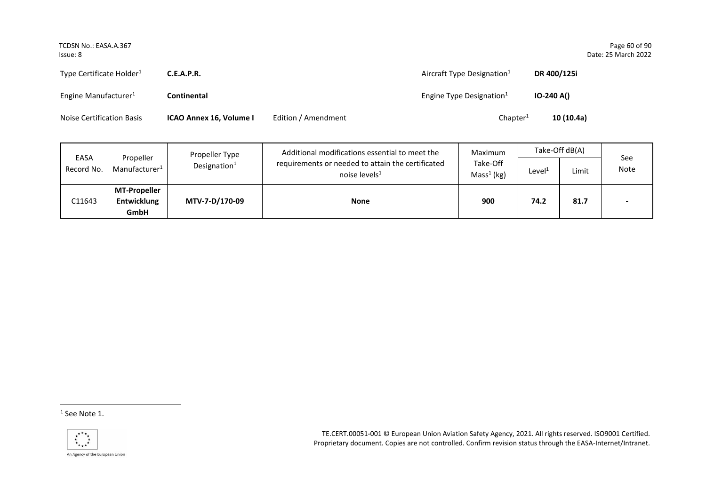| TCDSN No.: EASA.A.367<br>Issue: 8    |                         |                     |                                        |              | Page 60 of 90<br>Date: 25 March 2022 |
|--------------------------------------|-------------------------|---------------------|----------------------------------------|--------------|--------------------------------------|
| Type Certificate Holder <sup>1</sup> | C.E.A.P.R.              |                     | Aircraft Type Designation <sup>1</sup> | DR 400/125i  |                                      |
| Engine Manufacturer <sup>1</sup>     | <b>Continental</b>      |                     | Engine Type Designation <sup>1</sup>   | $IO-240 A()$ |                                      |
| <b>Noise Certification Basis</b>     | ICAO Annex 16, Volume I | Edition / Amendment | Chapter <sup>1</sup>                   | 10 (10.4a)   |                                      |

| EASA<br>Propeller |                                                   | Propeller Type  | Additional modifications essential to meet the                                                           | <b>Maximum</b> | Take-Off dB(A)     |       | See<br>Note |
|-------------------|---------------------------------------------------|-----------------|----------------------------------------------------------------------------------------------------------|----------------|--------------------|-------|-------------|
| Record No.        | Manufacturer <sup>1</sup>                         | Designation $1$ | requirements or needed to attain the certificated<br>Mass <sup>1</sup> (kg)<br>noise levels <sup>1</sup> |                | Level <sup>1</sup> | Limit |             |
| C11643            | <b>MT-Propeller</b><br><b>Entwicklung</b><br>GmbH | MTV-7-D/170-09  | <b>None</b>                                                                                              | 900            | 74.2               | 81.7  |             |

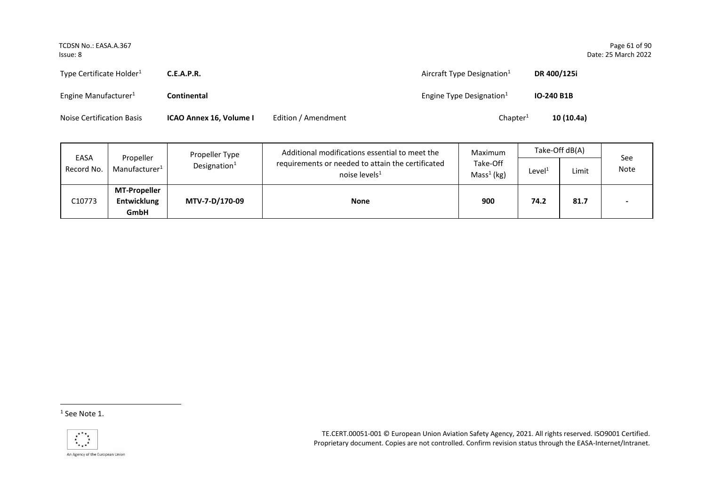| TCDSN No.: EASA.A.367<br>Issue: 8    |                         |                     |                                        | Page 61 of 90<br>Date: 25 March 2022 |
|--------------------------------------|-------------------------|---------------------|----------------------------------------|--------------------------------------|
| Type Certificate Holder <sup>1</sup> | C.E.A.P.R.              |                     | Aircraft Type Designation <sup>1</sup> | DR 400/125i                          |
| Engine Manufacturer <sup>1</sup>     | <b>Continental</b>      |                     | Engine Type Designation <sup>1</sup>   | <b>IO-240 B1B</b>                    |
| <b>Noise Certification Basis</b>     | ICAO Annex 16, Volume I | Edition / Amendment | Chapter <sup>1</sup>                   | 10 (10.4a)                           |

| EASA       |                            | Additional modifications essential to meet the<br>Propeller Type<br>Propeller<br>requirements or needed to attain the certificated<br>Designation $1$<br>noise levels <sup>1</sup> |             | <b>Maximum</b>                     | Take-Off dB(A)     |       | See  |
|------------|----------------------------|------------------------------------------------------------------------------------------------------------------------------------------------------------------------------------|-------------|------------------------------------|--------------------|-------|------|
| Record No. | Manufacturer <sup>1</sup>  |                                                                                                                                                                                    |             | Take-Off<br>Mass <sup>1</sup> (kg) | Level <sup>1</sup> | Limit | Note |
|            | <b>MT-Propeller</b>        |                                                                                                                                                                                    |             |                                    |                    |       |      |
| C10773     | <b>Entwicklung</b><br>GmbH | MTV-7-D/170-09                                                                                                                                                                     | <b>None</b> | 900                                | 74.2               | 81.7  |      |

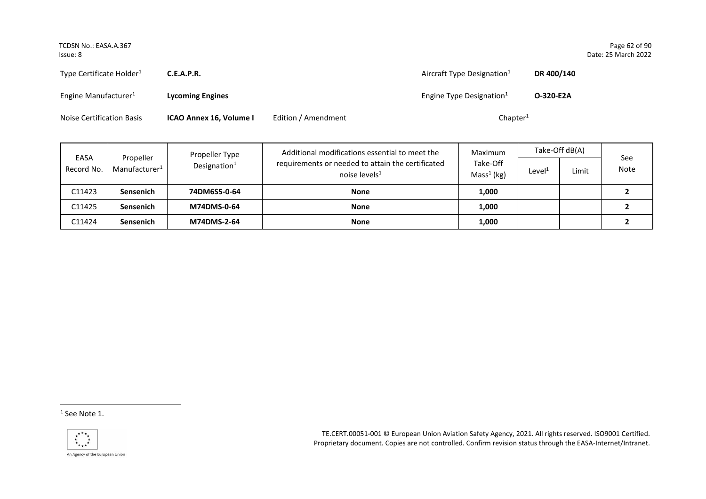| TCDSN No.: EASA.A.367<br>Issue: 8    |                         |                     |                                        |                      |            | Page 62 of 90<br>Date: 25 March 2022 |
|--------------------------------------|-------------------------|---------------------|----------------------------------------|----------------------|------------|--------------------------------------|
| Type Certificate Holder <sup>1</sup> | C.E.A.P.R.              |                     | Aircraft Type Designation <sup>1</sup> |                      | DR 400/140 |                                      |
| Engine Manufacturer <sup>1</sup>     | <b>Lycoming Engines</b> |                     | Engine Type Designation <sup>1</sup>   |                      | O-320-E2A  |                                      |
| Noise Certification Basis            | ICAO Annex 16, Volume I | Edition / Amendment |                                        | Chapter <sup>1</sup> |            |                                      |

| Propeller<br>EASA | Propeller Type            | Additional modifications essential to meet the | <b>Maximum</b>                                                        | Take-Off dB(A)                     |                    | See   |      |
|-------------------|---------------------------|------------------------------------------------|-----------------------------------------------------------------------|------------------------------------|--------------------|-------|------|
| Record No.        | Manufacturer <sup>1</sup> | Designation $1$                                | requirements or needed to attain the certificated<br>noise levels $1$ | Take-Off<br>Mass <sup>1</sup> (kg) | Level <sup>1</sup> | Limit | Note |
| C11423            | Sensenich                 | 74DM6S5-0-64                                   | <b>None</b>                                                           | 1,000                              |                    |       |      |
| C11425            | Sensenich                 | <b>M74DMS-0-64</b>                             | None                                                                  | 1,000                              |                    |       |      |
| C11424            | Sensenich                 | <b>M74DMS-2-64</b>                             | <b>None</b>                                                           | 1,000                              |                    |       |      |

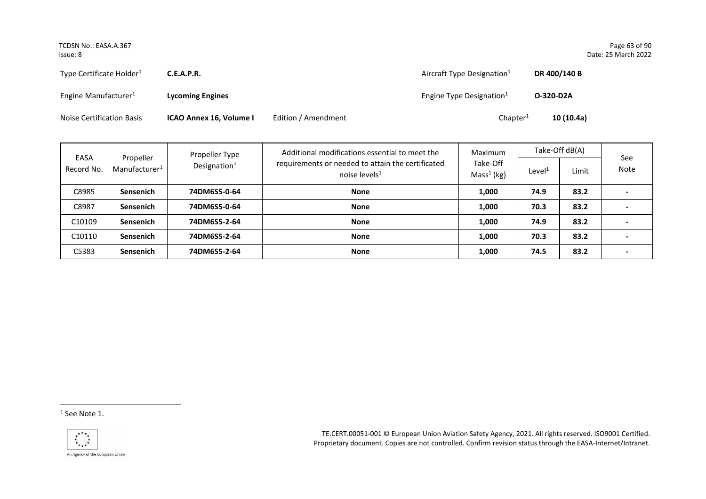| TCDSN No.: EASA.A.367<br>Issue: 8    |                         |                     |                                        | Page 63 of 90<br>Date: 25 March 2022 |
|--------------------------------------|-------------------------|---------------------|----------------------------------------|--------------------------------------|
| Type Certificate Holder <sup>1</sup> | C.E.A.P.R.              |                     | Aircraft Type Designation <sup>1</sup> | DR 400/140 B                         |
| Engine Manufacturer <sup>1</sup>     | <b>Lycoming Engines</b> |                     | Engine Type Designation <sup>1</sup>   | O-320-D2A                            |
| <b>Noise Certification Basis</b>     | ICAO Annex 16, Volume I | Edition / Amendment | Chapter <sup>1</sup>                   | 10 (10.4a)                           |

| EASA<br>Propeller | Propeller Type                               | Additional modifications essential to meet the                        | Maximum<br>Take-Off<br>Mass <sup>1</sup> (kg) | Take-Off dB(A)     |       | See  |  |
|-------------------|----------------------------------------------|-----------------------------------------------------------------------|-----------------------------------------------|--------------------|-------|------|--|
| Record No.        | Designation $1$<br>Manufacturer <sup>1</sup> | requirements or needed to attain the certificated<br>noise levels $1$ |                                               | Level <sup>1</sup> | Limit | Note |  |
| C8985             | <b>Sensenich</b>                             | 74DM6S5-0-64                                                          | <b>None</b>                                   | 1,000              | 74.9  | 83.2 |  |
| C8987             | <b>Sensenich</b>                             | 74DM6S5-0-64                                                          | <b>None</b>                                   | 1,000              | 70.3  | 83.2 |  |
| C10109            | <b>Sensenich</b>                             | 74DM6S5-2-64                                                          | <b>None</b>                                   | 1,000              | 74.9  | 83.2 |  |
| C10110            | <b>Sensenich</b>                             | 74DM6S5-2-64                                                          | <b>None</b>                                   | 1,000              | 70.3  | 83.2 |  |
| C5383             | <b>Sensenich</b>                             | 74DM6S5-2-64                                                          | <b>None</b>                                   | 1,000              | 74.5  | 83.2 |  |

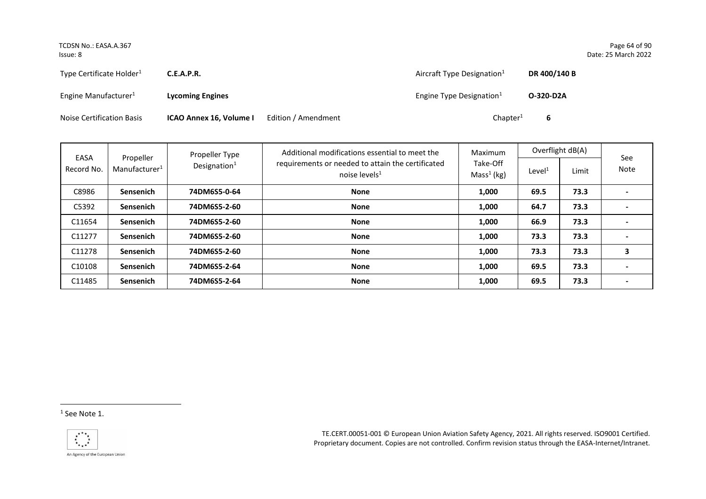| TCDSN No.: EASA.A.367<br>Issue: 8    |                         |                     |                                        | Page 64 of 90<br>Date: 25 March 2022 |
|--------------------------------------|-------------------------|---------------------|----------------------------------------|--------------------------------------|
| Type Certificate Holder <sup>1</sup> | C.E.A.P.R.              |                     | Aircraft Type Designation <sup>1</sup> | DR 400/140 B                         |
| Engine Manufacturer <sup>1</sup>     | <b>Lycoming Engines</b> |                     | Engine Type Designation <sup>1</sup>   | O-320-D2A                            |
| Noise Certification Basis            | ICAO Annex 16, Volume I | Edition / Amendment | Chapter <sup>1</sup>                   | 6                                    |

| EASA<br>Propeller | Propeller Type            | Additional modifications essential to meet the                                                    |             | Overflight dB(A)                   |                    | See   |      |
|-------------------|---------------------------|---------------------------------------------------------------------------------------------------|-------------|------------------------------------|--------------------|-------|------|
| Record No.        | Manufacturer <sup>1</sup> | requirements or needed to attain the certificated<br>Designation $1$<br>noise levels <sup>1</sup> |             | Take-Off<br>Mass <sup>1</sup> (kg) | Level <sup>1</sup> | Limit | Note |
| C8986             | Sensenich                 | 74DM6S5-0-64                                                                                      | <b>None</b> | 1,000                              | 69.5               | 73.3  |      |
| C5392             | Sensenich                 | 74DM6S5-2-60                                                                                      | <b>None</b> | 1,000                              | 64.7               | 73.3  |      |
| C11654            | Sensenich                 | 74DM6S5-2-60                                                                                      | <b>None</b> | 1,000                              | 66.9               | 73.3  |      |
| C11277            | Sensenich                 | 74DM6S5-2-60                                                                                      | <b>None</b> | 1,000                              | 73.3               | 73.3  |      |
| C11278            | Sensenich                 | 74DM6S5-2-60                                                                                      | <b>None</b> | 1,000                              | 73.3               | 73.3  | 3    |
| C10108            | Sensenich                 | 74DM6S5-2-64                                                                                      | <b>None</b> | 1,000                              | 69.5               | 73.3  |      |
| C11485            | Sensenich                 | 74DM6S5-2-64                                                                                      | <b>None</b> | 1,000                              | 69.5               | 73.3  |      |

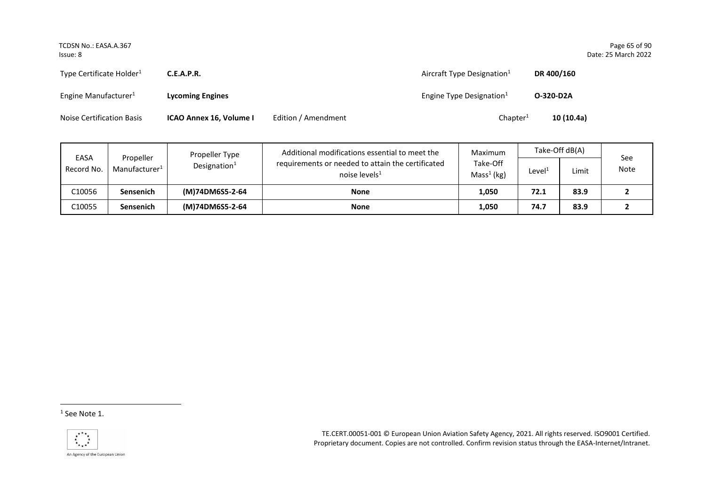| TCDSN No.: EASA.A.367<br>Issue: 8    |                         |                     |                                        | Page 65 of 90<br>Date: 25 March 2022 |
|--------------------------------------|-------------------------|---------------------|----------------------------------------|--------------------------------------|
| Type Certificate Holder <sup>1</sup> | C.E.A.P.R.              |                     | Aircraft Type Designation <sup>1</sup> | DR 400/160                           |
| Engine Manufacturer <sup>1</sup>     | <b>Lycoming Engines</b> |                     | Engine Type Designation <sup>1</sup>   | O-320-D2A                            |
| <b>Noise Certification Basis</b>     | ICAO Annex 16, Volume I | Edition / Amendment | Chapter $1$                            | 10 (10.4a)                           |

| <b>EASA</b><br>Propeller | Propeller Type            | Additional modifications essential to meet the | Maximum                                                                        | Take-Off dB(A) |                    | See   |      |
|--------------------------|---------------------------|------------------------------------------------|--------------------------------------------------------------------------------|----------------|--------------------|-------|------|
| Record No.               | Manufacturer <sup>1</sup> | Designation $1$                                | requirements or needed to attain the certificated<br>noise levels <sup>1</sup> |                | Level <sup>1</sup> | Limit | Note |
| C10056                   | <b>Sensenich</b>          | (M)74DM6S5-2-64                                | <b>None</b>                                                                    | 1.050          | 72.1               | 83.9  |      |
| C10055                   | <b>Sensenich</b>          | (M)74DM6S5-2-64                                | <b>None</b>                                                                    | 1,050          | 74.7               | 83.9  |      |

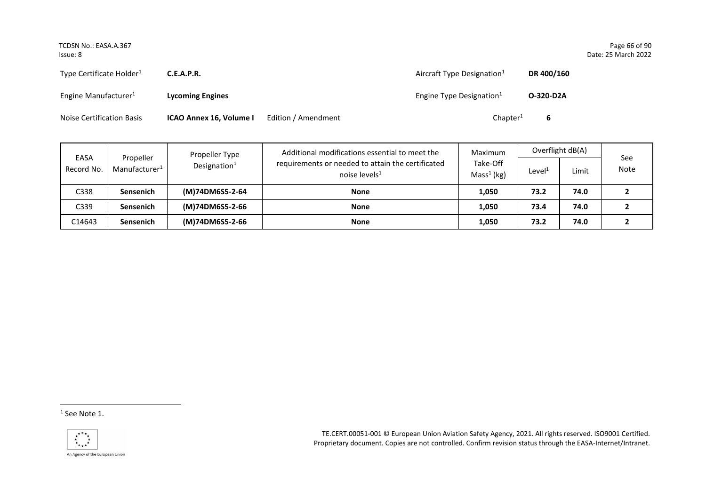| TCDSN No.: EASA.A.367<br>Issue: 8    |                                |                     |                                        |            | Page 66 of 90<br>Date: 25 March 2022 |
|--------------------------------------|--------------------------------|---------------------|----------------------------------------|------------|--------------------------------------|
| Type Certificate Holder <sup>1</sup> | C.E.A.P.R.                     |                     | Aircraft Type Designation <sup>1</sup> | DR 400/160 |                                      |
| Engine Manufacturer <sup>1</sup>     | <b>Lycoming Engines</b>        |                     | Engine Type Designation <sup>1</sup>   | O-320-D2A  |                                      |
| Noise Certification Basis            | <b>ICAO Annex 16, Volume I</b> | Edition / Amendment | Chapter $1$                            | 6          |                                      |

| EASA<br>Propeller<br>Manufacturer <sup>1</sup><br>Record No. | Propeller Type                                                                                    | Additional modifications essential to meet the | Maximum            | Overflight dB(A) |      | See<br>Note |  |
|--------------------------------------------------------------|---------------------------------------------------------------------------------------------------|------------------------------------------------|--------------------|------------------|------|-------------|--|
|                                                              | requirements or needed to attain the certificated<br>Designation $1$<br>noise levels <sup>1</sup> | Take-Off<br>Mass <sup>1</sup> (kg)             | Level <sup>1</sup> | .imit            |      |             |  |
| C338                                                         | Sensenich                                                                                         | (M)74DM6S5-2-64                                | <b>None</b>        | 1,050            | 73.2 | 74.0        |  |
| C339                                                         | Sensenich                                                                                         | (M)74DM6S5-2-66                                | <b>None</b>        | 1,050            | 73.4 | 74.0        |  |
| C14643                                                       | Sensenich                                                                                         | (M)74DM6S5-2-66                                | <b>None</b>        | 1,050            | 73.2 | 74.0        |  |

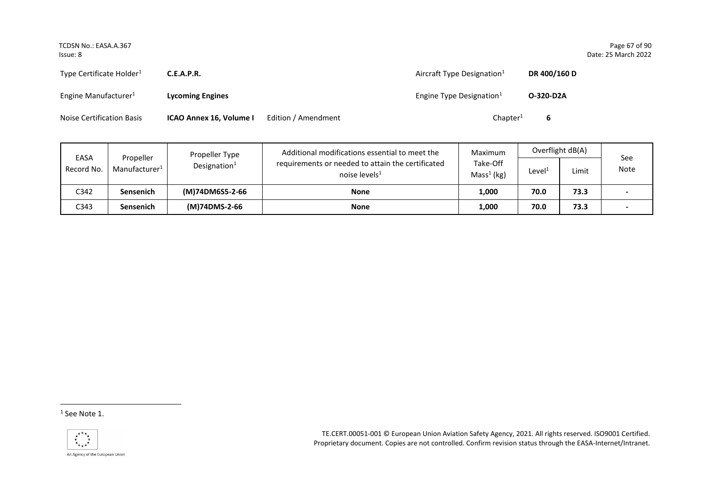| TCDSN No.: EASA.A.367<br>Issue: 8    |                         |                     |                                        |              | Page 67 of 90<br>Date: 25 March 2022 |
|--------------------------------------|-------------------------|---------------------|----------------------------------------|--------------|--------------------------------------|
| Type Certificate Holder <sup>1</sup> | C.E.A.P.R.              |                     | Aircraft Type Designation <sup>1</sup> | DR 400/160 D |                                      |
| Engine Manufacturer <sup>1</sup>     | <b>Lycoming Engines</b> |                     | Engine Type Designation $1$            | O-320-D2A    |                                      |
| Noise Certification Basis            | ICAO Annex 16, Volume I | Edition / Amendment | Chapter <sup>1</sup>                   | 6            |                                      |

| EASA       | Propeller                 | Propeller Type  | Additional modifications essential to meet the                                 | Maximum<br>Take-Off<br>Mass <sup>1</sup> (kg) | Overflight dB(A) |       |             |
|------------|---------------------------|-----------------|--------------------------------------------------------------------------------|-----------------------------------------------|------------------|-------|-------------|
| Record No. | Manufacturer <sup>1</sup> | Designation $1$ | requirements or needed to attain the certificated<br>noise levels <sup>1</sup> |                                               | Level $^{\rm 1}$ | Limit | See<br>Note |
| C342       | <b>Sensenich</b>          | (M)74DM6S5-2-66 | <b>None</b>                                                                    | 1,000                                         | 70.0             | 73.3  |             |
| C343       | <b>Sensenich</b>          | (M)74DMS-2-66   | <b>None</b>                                                                    | 1,000                                         | 70.0             | 73.3  |             |

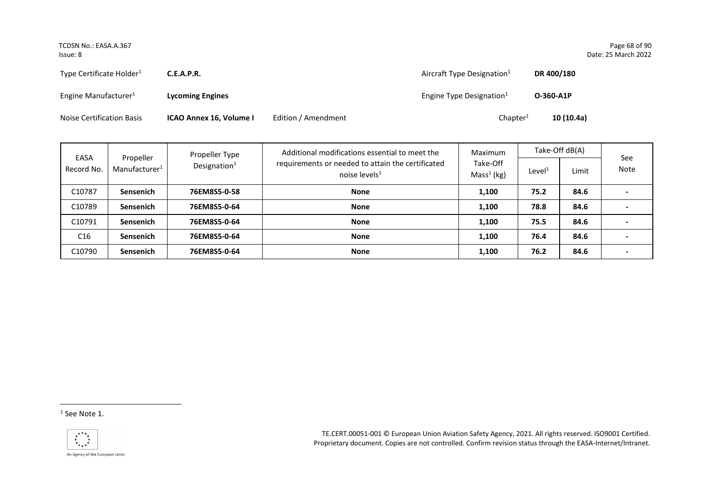| TCDSN No.: EASA.A.367<br>Issue: 8    |                         |                     |                                        |            | Page 68 of 90<br>Date: 25 March 2022 |
|--------------------------------------|-------------------------|---------------------|----------------------------------------|------------|--------------------------------------|
| Type Certificate Holder <sup>1</sup> | C.E.A.P.R.              |                     | Aircraft Type Designation <sup>1</sup> | DR 400/180 |                                      |
| Engine Manufacturer <sup>1</sup>     | <b>Lycoming Engines</b> |                     | Engine Type Designation <sup>1</sup>   | O-360-A1P  |                                      |
| <b>Noise Certification Basis</b>     | ICAO Annex 16, Volume I | Edition / Amendment | Chapter <sup>1</sup>                   | 10 (10.4a) |                                      |

| EASA<br>Propeller | Propeller Type            | Additional modifications essential to meet the                                           | Maximum     | Take-Off dB(A)                     |                    | See   |      |
|-------------------|---------------------------|------------------------------------------------------------------------------------------|-------------|------------------------------------|--------------------|-------|------|
| Record No.        | Manufacturer <sup>1</sup> | requirements or needed to attain the certificated<br>Designation $1$<br>noise levels $1$ |             | Take-Off<br>Mass <sup>1</sup> (kg) | Level <sup>1</sup> | Limit | Note |
| C10787            | Sensenich                 | 76EM8S5-0-58                                                                             | <b>None</b> | 1,100                              | 75.2               | 84.6  |      |
| C10789            | <b>Sensenich</b>          | 76EM8S5-0-64                                                                             | <b>None</b> | 1,100                              | 78.8               | 84.6  | -    |
| C10791            | Sensenich                 | 76EM8S5-0-64                                                                             | <b>None</b> | 1,100                              | 75.5               | 84.6  | -    |
| C16               | Sensenich                 | 76EM8S5-0-64                                                                             | <b>None</b> | 1,100                              | 76.4               | 84.6  |      |
| C10790            | Sensenich                 | 76EM8S5-0-64                                                                             | <b>None</b> | 1,100                              | 76.2               | 84.6  |      |

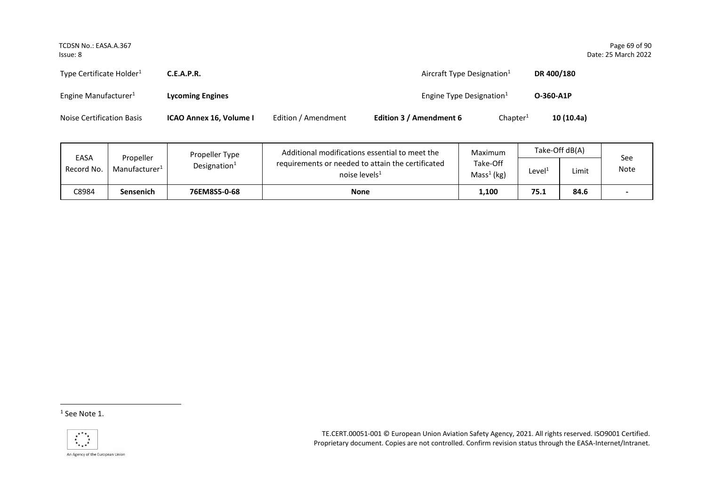| TCDSN No.: EASA.A.367<br>Issue: 8    |                                |                     |                                        |                      | Page 69 of 90<br>Date: 25 March 2022 |
|--------------------------------------|--------------------------------|---------------------|----------------------------------------|----------------------|--------------------------------------|
| Type Certificate Holder <sup>1</sup> | <b>C.E.A.P.R.</b>              |                     | Aircraft Type Designation <sup>1</sup> |                      | DR 400/180                           |
| Engine Manufacturer <sup>1</sup>     | <b>Lycoming Engines</b>        |                     | Engine Type Designation <sup>1</sup>   |                      | O-360-A1P                            |
| Noise Certification Basis            | <b>ICAO Annex 16, Volume I</b> | Edition / Amendment | Edition 3 / Amendment 6                | Chapter <sup>1</sup> | 10 (10.4a)                           |

|                    |                                        | Propeller Type  | Additional modifications essential to meet the                                 | Maximum                            | Take-Off dB(A)     |       |             |
|--------------------|----------------------------------------|-----------------|--------------------------------------------------------------------------------|------------------------------------|--------------------|-------|-------------|
| EASA<br>Record No. | Propeller<br>Manufacturer <sup>1</sup> | Designation $1$ | requirements or needed to attain the certificated<br>noise levels <sup>1</sup> | Take-Off<br>Mass <sup>1</sup> (kg) | Level <sup>1</sup> | Limit | See<br>Note |
| C8984              | <b>Sensenich</b>                       | 76EM8S5-0-68    | <b>None</b>                                                                    | 1,100                              | 75.1               | 84.6  |             |

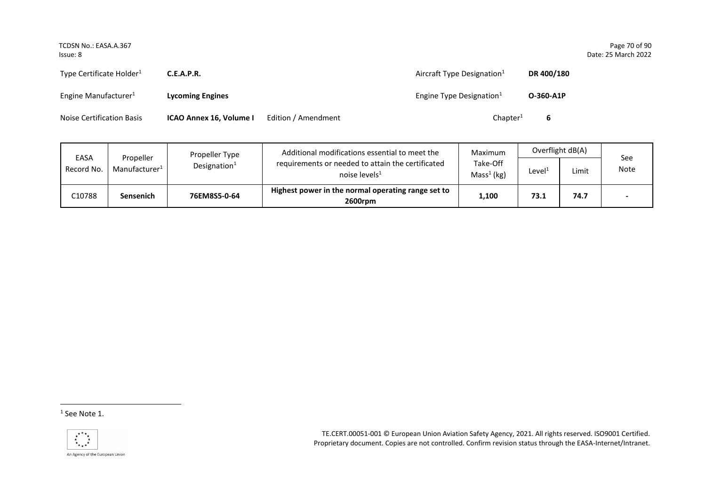| TCDSN No.: EASA.A.367<br>Issue: 8    |                         |                     |                                        |            | Page 70 of 90<br>Date: 25 March 2022 |
|--------------------------------------|-------------------------|---------------------|----------------------------------------|------------|--------------------------------------|
| Type Certificate Holder <sup>1</sup> | C.E.A.P.R.              |                     | Aircraft Type Designation <sup>1</sup> | DR 400/180 |                                      |
| Engine Manufacturer <sup>1</sup>     | <b>Lycoming Engines</b> |                     | Engine Type Designation <sup>1</sup>   | O-360-A1P  |                                      |
| Noise Certification Basis            | ICAO Annex 16, Volume I | Edition / Amendment | Chapter <sup>1</sup>                   | 6          |                                      |

| EASA       | Propeller Type<br>Propeller | Additional modifications essential to meet the | Maximum                                                               | Overflight dB(A)                   |                                 | See   |      |
|------------|-----------------------------|------------------------------------------------|-----------------------------------------------------------------------|------------------------------------|---------------------------------|-------|------|
| Record No. | Manufacturer <sup>1</sup>   | Designation $1$                                | requirements or needed to attain the certificated<br>noise levels $1$ | Take-Off<br>Mass <sup>1</sup> (kg) | Level $^{\scriptscriptstyle 1}$ | Limit | Note |
| C10788     | <b>Sensenich</b>            | 76EM8S5-0-64                                   | Highest power in the normal operating range set to<br>2600rpm         | 1,100                              | 73.1                            | 74.7  |      |

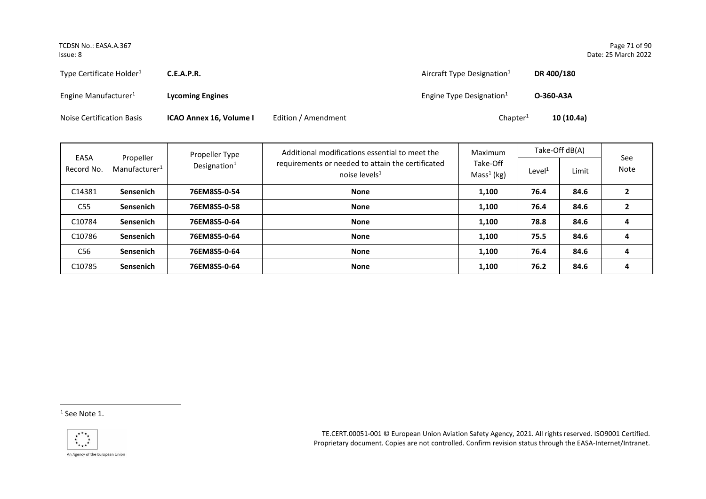| TCDSN No.: EASA.A.367<br>Issue: 8    |                         |                     |                                        |             | Page 71 of 90<br>Date: 25 March 2022 |
|--------------------------------------|-------------------------|---------------------|----------------------------------------|-------------|--------------------------------------|
| Type Certificate Holder <sup>1</sup> | C.E.A.P.R.              |                     | Aircraft Type Designation <sup>1</sup> |             | DR 400/180                           |
| Engine Manufacturer <sup>1</sup>     | <b>Lycoming Engines</b> |                     | Engine Type Designation <sup>1</sup>   |             | O-360-A3A                            |
| <b>Noise Certification Basis</b>     | ICAO Annex 16, Volume I | Edition / Amendment |                                        | Chapter $1$ | 10 (10.4a)                           |

| EASA<br>Propeller | Propeller Type                                                                                                                 | Additional modifications essential to meet the | <b>Maximum</b>                     | Take-Off dB(A)     |       | See<br>Note |   |
|-------------------|--------------------------------------------------------------------------------------------------------------------------------|------------------------------------------------|------------------------------------|--------------------|-------|-------------|---|
| Record No.        | requirements or needed to attain the certificated<br>Designation $1$<br>Manufacturer <sup>1</sup><br>noise levels <sup>1</sup> |                                                | Take-Off<br>Mass <sup>1</sup> (kg) | Level <sup>1</sup> | Limit |             |   |
| C14381            | Sensenich                                                                                                                      | 76EM8S5-0-54                                   | <b>None</b>                        | 1,100              | 76.4  | 84.6        |   |
| C <sub>55</sub>   | Sensenich                                                                                                                      | 76EM8S5-0-58                                   | <b>None</b>                        | 1,100              | 76.4  | 84.6        |   |
| C10784            | Sensenich                                                                                                                      | 76EM8S5-0-64                                   | <b>None</b>                        | 1,100              | 78.8  | 84.6        | 4 |
| C10786            | Sensenich                                                                                                                      | 76EM8S5-0-64                                   | <b>None</b>                        | 1,100              | 75.5  | 84.6        | 4 |
| C56               | Sensenich                                                                                                                      | 76EM8S5-0-64                                   | <b>None</b>                        | 1,100              | 76.4  | 84.6        | 4 |
| C10785            | Sensenich                                                                                                                      | 76EM8S5-0-64                                   | <b>None</b>                        | 1,100              | 76.2  | 84.6        | 4 |

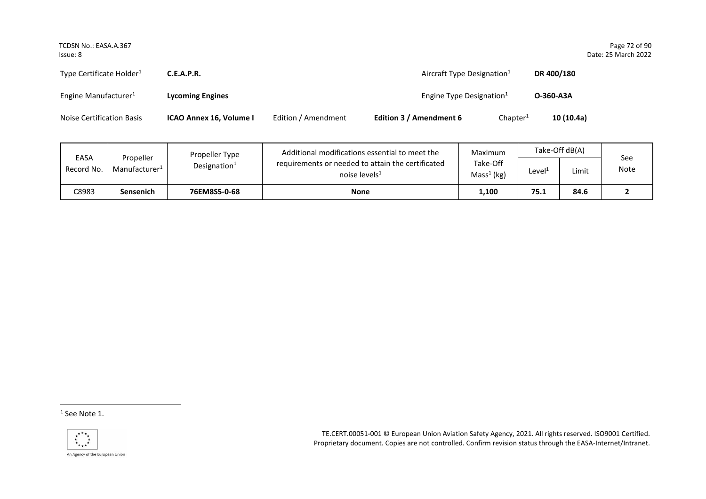| TCDSN No.: EASA.A.367<br>Issue: 8    |                                |                     |                                        |                      | Page 72 of 90<br>Date: 25 March 2022 |
|--------------------------------------|--------------------------------|---------------------|----------------------------------------|----------------------|--------------------------------------|
| Type Certificate Holder <sup>1</sup> | C.E.A.P.R.                     |                     | Aircraft Type Designation <sup>1</sup> |                      | DR 400/180                           |
| Engine Manufacturer <sup>1</sup>     | <b>Lycoming Engines</b>        |                     | Engine Type Designation <sup>1</sup>   |                      | O-360-A3A                            |
| Noise Certification Basis            | <b>ICAO Annex 16, Volume I</b> | Edition / Amendment | Edition 3 / Amendment 6                | Chapter <sup>1</sup> | 10 (10.4a)                           |

|                    |                                        | Propeller Type  | Additional modifications essential to meet the                                 | Maximum                  | Take-Off dB(A) |       |             |
|--------------------|----------------------------------------|-----------------|--------------------------------------------------------------------------------|--------------------------|----------------|-------|-------------|
| EASA<br>Record No. | Propeller<br>Manufacturer <sup>1</sup> | Designation $1$ | requirements or needed to attain the certificated<br>noise levels <sup>1</sup> | Take-Off<br>$Mass1$ (kg) | Level          | Limit | See<br>Note |
| C8983              | <b>Sensenich</b>                       | 76EM8S5-0-68    | <b>None</b>                                                                    | 1,100                    | 75.1           | 84.6  |             |

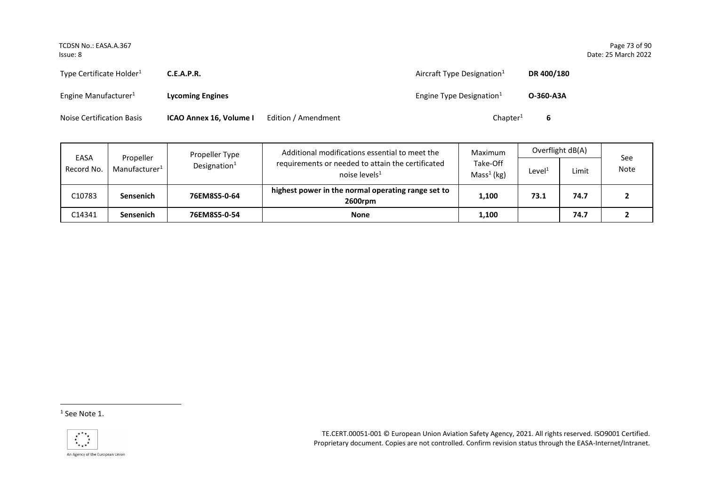| TCDSN No.: EASA.A.367<br>Issue: 8    |                                |                     |                                        |            | Page 73 of 90<br>Date: 25 March 2022 |
|--------------------------------------|--------------------------------|---------------------|----------------------------------------|------------|--------------------------------------|
| Type Certificate Holder <sup>1</sup> | C.E.A.P.R.                     |                     | Aircraft Type Designation <sup>1</sup> | DR 400/180 |                                      |
| Engine Manufacturer <sup>1</sup>     | <b>Lycoming Engines</b>        |                     | Engine Type Designation <sup>1</sup>   | O-360-A3A  |                                      |
| <b>Noise Certification Basis</b>     | <b>ICAO Annex 16, Volume I</b> | Edition / Amendment | Chapter <sup>1</sup>                   | 6          |                                      |

| <b>EASA</b> | Propeller Type<br>Propeller | Additional modifications essential to meet the | <b>Maximum</b>                                                        | Overflight dB(A)                   |                    | See   |             |
|-------------|-----------------------------|------------------------------------------------|-----------------------------------------------------------------------|------------------------------------|--------------------|-------|-------------|
| Record No.  | Manufacturer <sup>1</sup>   | Designation $1$                                | requirements or needed to attain the certificated<br>noise levels $1$ | Take-Off<br>Mass <sup>1</sup> (kg) | Level <sup>1</sup> | Limit | <b>Note</b> |
| C10783      | Sensenich                   | 76EM8S5-0-64                                   | highest power in the normal operating range set to<br>2600rpm         | 1,100                              | 73.1               | 74.7  |             |
| C14341      | Sensenich                   | 76EM8S5-0-54                                   | <b>None</b>                                                           | 1,100                              |                    | 74.7  |             |

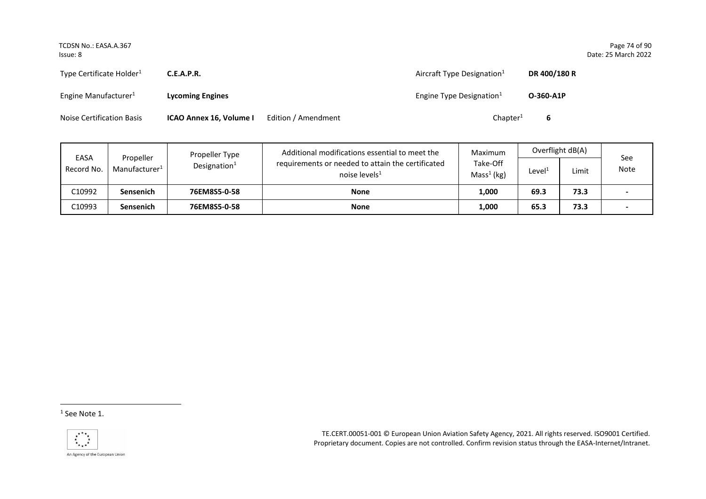| TCDSN No.: EASA.A.367<br>Issue: 8    |                         |                     |                                        |              | Page 74 of 90<br>Date: 25 March 2022 |
|--------------------------------------|-------------------------|---------------------|----------------------------------------|--------------|--------------------------------------|
| Type Certificate Holder <sup>1</sup> | C.E.A.P.R.              |                     | Aircraft Type Designation <sup>1</sup> | DR 400/180 R |                                      |
| Engine Manufacturer <sup>1</sup>     | <b>Lycoming Engines</b> |                     | Engine Type Designation <sup>1</sup>   | O-360-A1P    |                                      |
| <b>Noise Certification Basis</b>     | ICAO Annex 16, Volume I | Edition / Amendment | Chapter <sup>1</sup>                   | 6            |                                      |

| EASA       | Propeller                 | Propeller Type  | Additional modifications essential to meet the                                 | Maximum                            | Overflight dB(A)   |       | See         |
|------------|---------------------------|-----------------|--------------------------------------------------------------------------------|------------------------------------|--------------------|-------|-------------|
| Record No. | Manufacturer <sup>1</sup> | Designation $1$ | requirements or needed to attain the certificated<br>noise levels <sup>1</sup> | Take-Off<br>Mass <sup>1</sup> (kg) | Level <sup>1</sup> | Limit | <b>Note</b> |
| C10992     | <b>Sensenich</b>          | 76EM8S5-0-58    | None                                                                           | 1.000                              | 69.3               | 73.3  |             |
| C10993     | <b>Sensenich</b>          | 76EM8S5-0-58    | None                                                                           | 1,000                              | 65.3               | 73.3  |             |

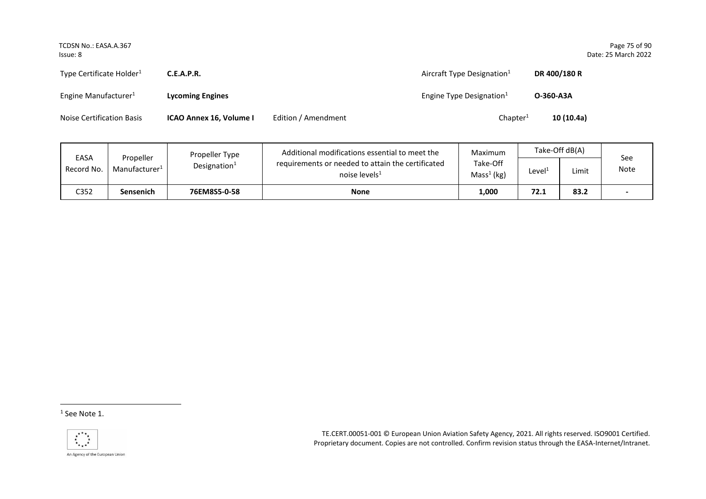| TCDSN No.: EASA.A.367<br>Issue: 8    |                         |                     |                                        | Page 75 of 90<br>Date: 25 March 2022 |
|--------------------------------------|-------------------------|---------------------|----------------------------------------|--------------------------------------|
| Type Certificate Holder <sup>1</sup> | C.E.A.P.R.              |                     | Aircraft Type Designation <sup>1</sup> | DR 400/180 R                         |
| Engine Manufacturer <sup>1</sup>     | <b>Lycoming Engines</b> |                     | Engine Type Designation <sup>1</sup>   | O-360-A3A                            |
| Noise Certification Basis            | ICAO Annex 16, Volume I | Edition / Amendment | Chapter <sup>1</sup>                   | 10 (10.4a)                           |

| <b>EASA</b> | Propeller                 | Propeller Type  | Additional modifications essential to meet the                                 | Maximum                  | Take-Off dB(A) |       |             |
|-------------|---------------------------|-----------------|--------------------------------------------------------------------------------|--------------------------|----------------|-------|-------------|
| Record No.  | Manufacturer <sup>1</sup> | Designation $1$ | requirements or needed to attain the certificated<br>noise levels <sup>1</sup> | Take-Off<br>$Mass1$ (kg) | Level          | Limit | See<br>Note |
| C352        | <b>Sensenich</b>          | 76EM8S5-0-58    | <b>None</b>                                                                    | L,000                    | 72.1           | 83.2  |             |

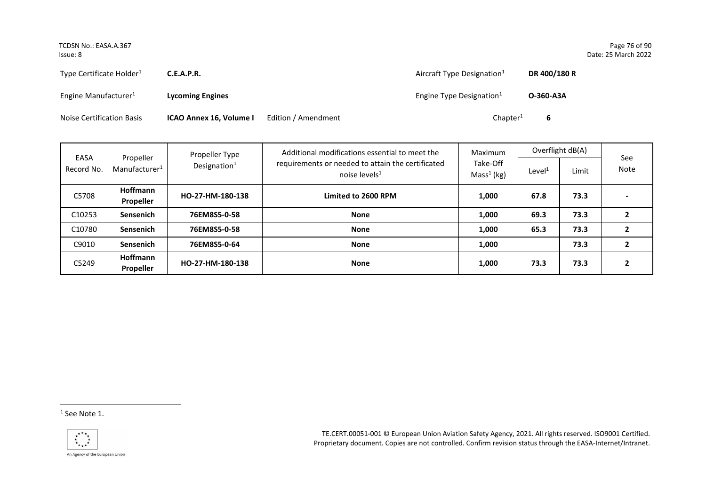| TCDSN No.: EASA.A.367<br>Issue: 8    |                         |                     |                                        |              | Page 76 of 90<br>Date: 25 March 2022 |
|--------------------------------------|-------------------------|---------------------|----------------------------------------|--------------|--------------------------------------|
| Type Certificate Holder <sup>1</sup> | C.E.A.P.R.              |                     | Aircraft Type Designation <sup>1</sup> | DR 400/180 R |                                      |
| Engine Manufacturer <sup>1</sup>     | <b>Lycoming Engines</b> |                     | Engine Type Designation <sup>1</sup>   | O-360-A3A    |                                      |
| Noise Certification Basis            | ICAO Annex 16, Volume I | Edition / Amendment | Chapter <sup>1</sup>                   | 6            |                                      |

| EASA<br>Propeller | Propeller Type                                                                                                                 | Additional modifications essential to meet the | Maximum                            | Overflight dB(A)   |       | See<br>Note |              |
|-------------------|--------------------------------------------------------------------------------------------------------------------------------|------------------------------------------------|------------------------------------|--------------------|-------|-------------|--------------|
| Record No.        | requirements or needed to attain the certificated<br>Designation $1$<br>Manufacturer <sup>1</sup><br>noise levels <sup>1</sup> |                                                | Take-Off<br>Mass <sup>1</sup> (kg) | Level <sup>1</sup> | Limit |             |              |
| C5708             | <b>Hoffmann</b><br>Propeller                                                                                                   | HO-27-HM-180-138                               | Limited to 2600 RPM                | 1,000              | 67.8  | 73.3        |              |
| C10253            | <b>Sensenich</b>                                                                                                               | 76EM8S5-0-58                                   | <b>None</b>                        | 1,000              | 69.3  | 73.3        |              |
| C10780            | <b>Sensenich</b>                                                                                                               | 76EM8S5-0-58                                   | <b>None</b>                        | 1,000              | 65.3  | 73.3        | 2            |
| C9010             | <b>Sensenich</b>                                                                                                               | 76EM8S5-0-64                                   | <b>None</b>                        | 1,000              |       | 73.3        | $\mathbf{2}$ |
| C5249             | <b>Hoffmann</b><br>Propeller                                                                                                   | HO-27-HM-180-138                               | <b>None</b>                        | 1,000              | 73.3  | 73.3        | 2            |

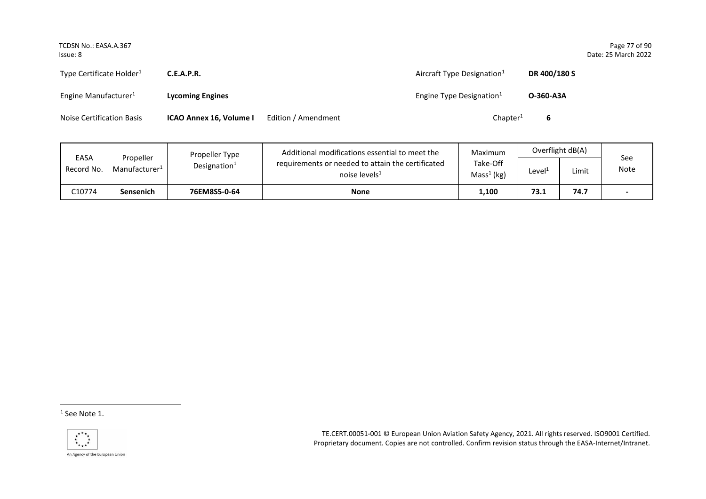| TCDSN No.: EASA.A.367<br>Issue: 8    |                                                |                                        |              | Page 77 of 90<br>Date: 25 March 2022 |
|--------------------------------------|------------------------------------------------|----------------------------------------|--------------|--------------------------------------|
| Type Certificate Holder <sup>1</sup> | C.E.A.P.R.                                     | Aircraft Type Designation <sup>1</sup> | DR 400/180 S |                                      |
| Engine Manufacturer <sup>1</sup>     | <b>Lycoming Engines</b>                        | Engine Type Designation <sup>1</sup>   | O-360-A3A    |                                      |
| Noise Certification Basis            | Edition / Amendment<br>ICAO Annex 16, Volume I | Chapter $1$                            | 6            |                                      |

| EASA       | Propeller                 | Propeller Type  | Additional modifications essential to meet the                                 | Maximum                            |                  | Overflight dB(A) |             |
|------------|---------------------------|-----------------|--------------------------------------------------------------------------------|------------------------------------|------------------|------------------|-------------|
| Record No. | Manufacturer <sup>1</sup> | Designation $1$ | requirements or needed to attain the certificated<br>noise levels <sup>1</sup> | Take-Off<br>Mass <sup>1</sup> (kg) | Level $^{\rm 1}$ | Limit            | See<br>Note |
| C10774     | <b>Sensenich</b>          | 76EM8S5-0-64    | <b>None</b>                                                                    | 1,100                              | 73.1             | 74.7             |             |

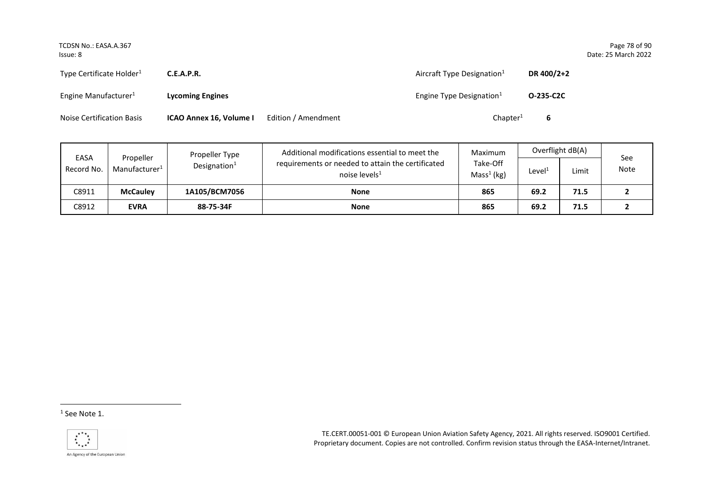| TCDSN No.: EASA.A.367<br>Issue: 8    |                                |                     |                                        |            | Page 78 of 90<br>Date: 25 March 2022 |
|--------------------------------------|--------------------------------|---------------------|----------------------------------------|------------|--------------------------------------|
| Type Certificate Holder <sup>1</sup> | C.E.A.P.R.                     |                     | Aircraft Type Designation <sup>1</sup> | DR 400/2+2 |                                      |
| Engine Manufacturer <sup>1</sup>     | <b>Lycoming Engines</b>        |                     | Engine Type Designation <sup>1</sup>   | O-235-C2C  |                                      |
| Noise Certification Basis            | <b>ICAO Annex 16, Volume I</b> | Edition / Amendment | Chapter <sup>1</sup>                   | 6          |                                      |

| <b>EASA</b> |                                        | Propeller Type  | Additional modifications essential to meet the                                 | Maximum                            | Overflight dB(A)   |       |             |
|-------------|----------------------------------------|-----------------|--------------------------------------------------------------------------------|------------------------------------|--------------------|-------|-------------|
| Record No.  | Propeller<br>Manufacturer <sup>1</sup> | Designation $1$ | requirements or needed to attain the certificated<br>noise levels <sup>1</sup> | Take-Off<br>Mass <sup>1</sup> (kg) | Level <sup>1</sup> | Limit | See<br>Note |
| C8911       | <b>McCauley</b>                        | 1A105/BCM7056   | <b>None</b>                                                                    | 865                                | 69.2               | 71.5  |             |
| C8912       | <b>EVRA</b>                            | 88-75-34F       | <b>None</b>                                                                    | 865                                | 69.2               | 71.5  |             |

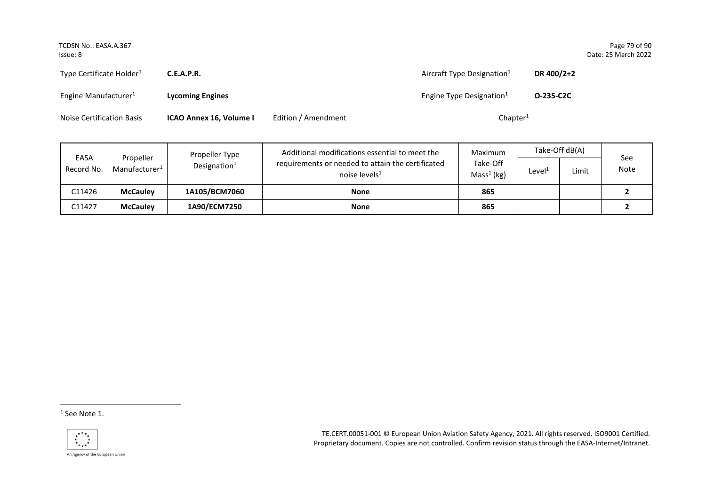| TCDSN No.: EASA.A.367<br>Issue: 8    |                         |                     |                                        |            | Page 79 of 90<br>Date: 25 March 2022 |
|--------------------------------------|-------------------------|---------------------|----------------------------------------|------------|--------------------------------------|
| Type Certificate Holder <sup>1</sup> | C.E.A.P.R.              |                     | Aircraft Type Designation <sup>1</sup> | DR 400/2+2 |                                      |
| Engine Manufacturer <sup>1</sup>     | <b>Lycoming Engines</b> |                     | Engine Type Designation <sup>1</sup>   | O-235-C2C  |                                      |
| <b>Noise Certification Basis</b>     | ICAO Annex 16, Volume I | Edition / Amendment | Chapter <sup>1</sup>                   |            |                                      |

| <b>EASA</b> |                                        | Propeller Type  | Additional modifications essential to meet the                                 | Maximum |                  | Take-Off dB(A) |             |
|-------------|----------------------------------------|-----------------|--------------------------------------------------------------------------------|---------|------------------|----------------|-------------|
| Record No.  | Propeller<br>Manufacturer <sup>1</sup> | Designation $1$ | requirements or needed to attain the certificated<br>noise levels <sup>1</sup> |         | Level $^{\rm 1}$ | Limit          | See<br>Note |
| C11426      | <b>McCaulev</b>                        | 1A105/BCM7060   | <b>None</b>                                                                    | 865     |                  |                |             |
| C11427      | <b>McCauley</b>                        | 1A90/ECM7250    | <b>None</b>                                                                    | 865     |                  |                |             |

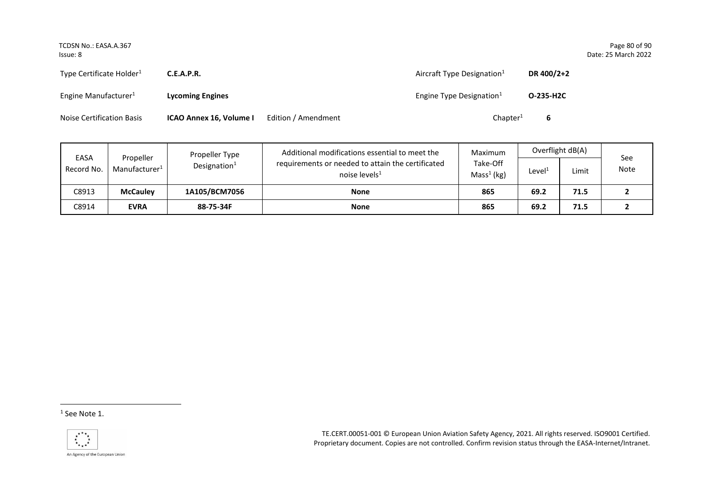| TCDSN No.: EASA.A.367<br>Issue: 8    |                                |                     |                                        |                      |            | Page 80 of 90<br>Date: 25 March 2022 |
|--------------------------------------|--------------------------------|---------------------|----------------------------------------|----------------------|------------|--------------------------------------|
| Type Certificate Holder <sup>1</sup> | C.E.A.P.R.                     |                     | Aircraft Type Designation <sup>1</sup> |                      | DR 400/2+2 |                                      |
| Engine Manufacturer <sup>1</sup>     | <b>Lycoming Engines</b>        |                     | Engine Type Designation <sup>1</sup>   |                      | O-235-H2C  |                                      |
| Noise Certification Basis            | <b>ICAO Annex 16, Volume I</b> | Edition / Amendment |                                        | Chapter <sup>1</sup> | 6          |                                      |

| <b>EASA</b> |                                                                                                                                             | Propeller Type | Additional modifications essential to meet the | Maximum          | Overflight dB(A) |                    |  |
|-------------|---------------------------------------------------------------------------------------------------------------------------------------------|----------------|------------------------------------------------|------------------|------------------|--------------------|--|
| Record No.  | Propeller<br>requirements or needed to attain the certificated<br>Designation $1$<br>Manufacturer <sup>1</sup><br>noise levels <sup>1</sup> |                | Take-Off<br>Mass <sup>1</sup> (kg)             | Level $^{\rm 1}$ | Limit            | See<br><b>Note</b> |  |
| C8913       | <b>McCauley</b>                                                                                                                             | 1A105/BCM7056  | <b>None</b>                                    | 865              | 69.2             | 71.5               |  |
| C8914       | <b>EVRA</b>                                                                                                                                 | 88-75-34F      | <b>None</b>                                    | 865              | 69.2             | 71.5               |  |

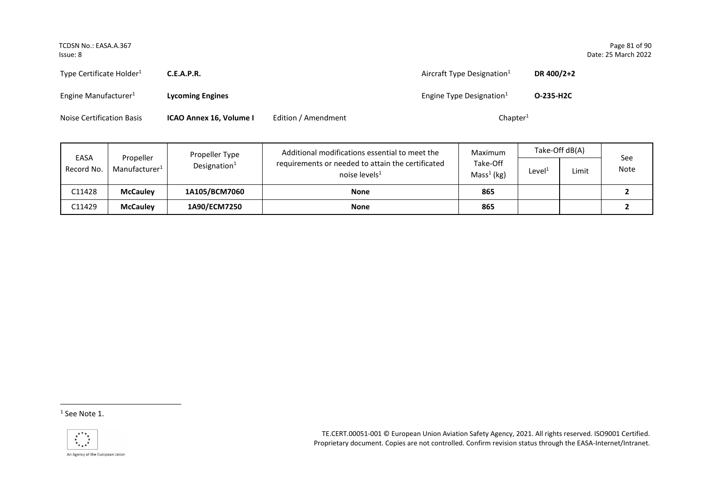| TCDSN No.: EASA.A.367<br>Issue: 8    |                         |                     |                                        |            | Page 81 of 90<br>Date: 25 March 2022 |
|--------------------------------------|-------------------------|---------------------|----------------------------------------|------------|--------------------------------------|
| Type Certificate Holder <sup>1</sup> | C.E.A.P.R.              |                     | Aircraft Type Designation <sup>1</sup> | DR 400/2+2 |                                      |
| Engine Manufacturer <sup>1</sup>     | <b>Lycoming Engines</b> |                     | Engine Type Designation <sup>1</sup>   | O-235-H2C  |                                      |
| <b>Noise Certification Basis</b>     | ICAO Annex 16, Volume I | Edition / Amendment | Chapter <sup>1</sup>                   |            |                                      |

| EASA | Propeller  | Propeller Type            | Additional modifications essential to meet the | Maximum                                                                        |     | Take-Off dB(A)   | See   |      |
|------|------------|---------------------------|------------------------------------------------|--------------------------------------------------------------------------------|-----|------------------|-------|------|
|      | Record No. | Manufacturer <sup>1</sup> | Designation $1$                                | requirements or needed to attain the certificated<br>noise levels <sup>1</sup> |     | Level $^{\rm 1}$ | Limit | Note |
|      | C11428     | <b>McCauley</b>           | 1A105/BCM7060                                  | <b>None</b>                                                                    | 865 |                  |       |      |
|      | C11429     | <b>McCauley</b>           | 1A90/ECM7250                                   | <b>None</b>                                                                    | 865 |                  |       |      |

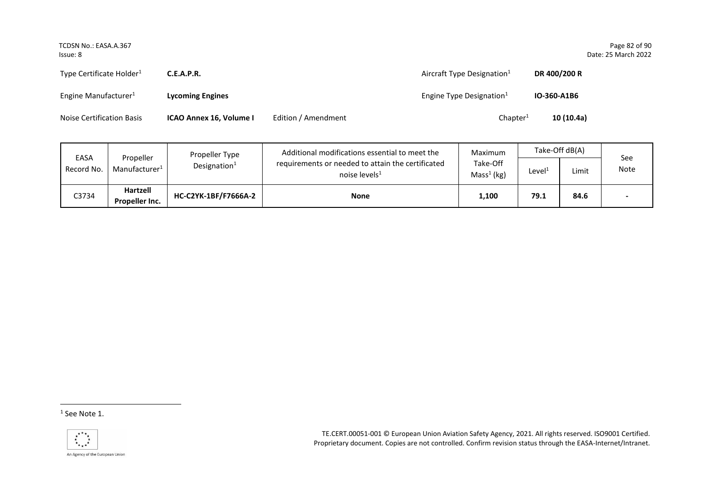| TCDSN No.: EASA.A.367<br>Issue: 8    |                                |                     |                                        |                      |              | Page 82 of 90<br>Date: 25 March 2022 |
|--------------------------------------|--------------------------------|---------------------|----------------------------------------|----------------------|--------------|--------------------------------------|
| Type Certificate Holder <sup>1</sup> | C.E.A.P.R.                     |                     | Aircraft Type Designation <sup>1</sup> |                      | DR 400/200 R |                                      |
| Engine Manufacturer <sup>1</sup>     | <b>Lycoming Engines</b>        |                     | Engine Type Designation <sup>1</sup>   |                      | IO-360-A1B6  |                                      |
| Noise Certification Basis            | <b>ICAO Annex 16, Volume I</b> | Edition / Amendment |                                        | Chapter <sup>1</sup> | 10 (10.4a)   |                                      |

| <b>EASA</b> |                                        | Propeller Type       | Additional modifications essential to meet the                        | Maximum | Take-Off dB(A) |       | See                      |
|-------------|----------------------------------------|----------------------|-----------------------------------------------------------------------|---------|----------------|-------|--------------------------|
| Record No.  | Propeller<br>Manufacturer <sup>1</sup> | Designation $1$      | requirements or needed to attain the certificated<br>noise levels $1$ |         | Level          | Limit | Note                     |
| C3734       | Hartzell<br><b>Propeller Inc.</b>      | HC-C2YK-1BF/F7666A-2 | <b>None</b>                                                           | 1,100   | 79.1           | 84.6  | $\overline{\phantom{0}}$ |

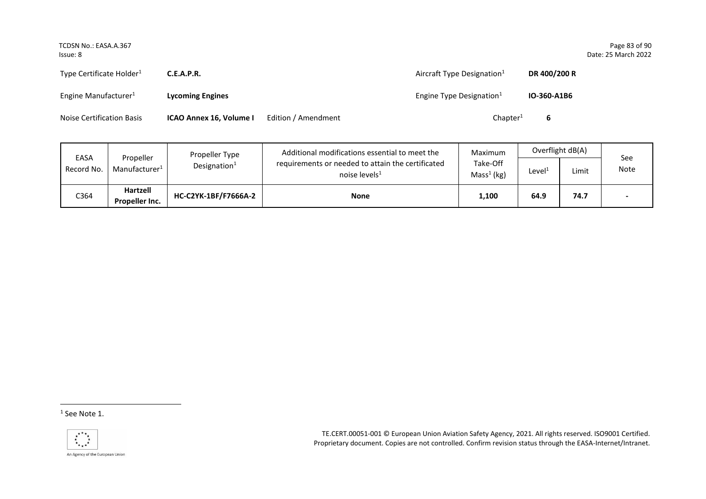| TCDSN No.: EASA.A.367<br>Issue: 8    |                         |                     |                                        |              | Page 83 of 90<br>Date: 25 March 2022 |
|--------------------------------------|-------------------------|---------------------|----------------------------------------|--------------|--------------------------------------|
| Type Certificate Holder <sup>1</sup> | C.E.A.P.R.              |                     | Aircraft Type Designation <sup>1</sup> | DR 400/200 R |                                      |
| Engine Manufacturer <sup>1</sup>     | <b>Lycoming Engines</b> |                     | Engine Type Designation <sup>1</sup>   | IO-360-A1B6  |                                      |
| <b>Noise Certification Basis</b>     | ICAO Annex 16, Volume I | Edition / Amendment | Chapter <sup>1</sup>                   | 6            |                                      |

| <b>EASA</b> |                                                                                                                                    | Propeller Type       | Additional modifications essential to meet the | Maximum            | Overflight dB(A) |      | See                      |
|-------------|------------------------------------------------------------------------------------------------------------------------------------|----------------------|------------------------------------------------|--------------------|------------------|------|--------------------------|
| Record No.  | Propeller<br>requirements or needed to attain the certificated<br>Designation $1$<br>Manufacturer <sup>1</sup><br>noise levels $1$ |                      | Take-Off<br>Mass <sup>1</sup> (kg)             | Level <sup>1</sup> | Limit            | Note |                          |
| C364        | Hartzell<br><b>Propeller Inc.</b>                                                                                                  | HC-C2YK-1BF/F7666A-2 | <b>None</b>                                    | 1,100              | 64.9             | 74.7 | $\overline{\phantom{0}}$ |

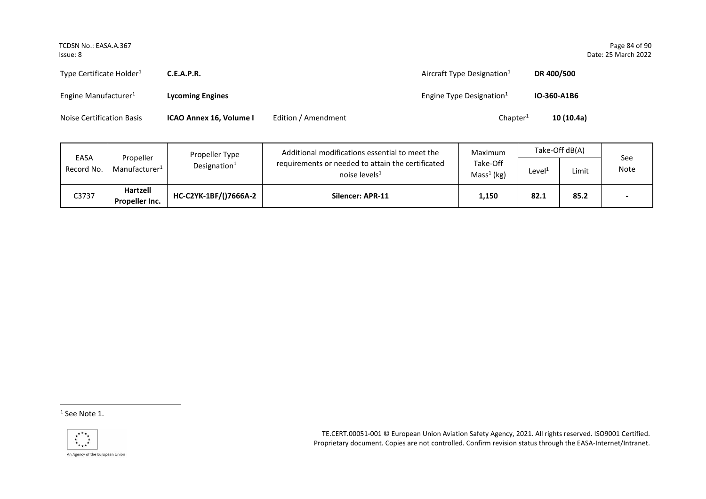| TCDSN No.: EASA.A.367<br>Issue: 8    |                                |                     |                                        |             | Page 84 of 90<br>Date: 25 March 2022 |
|--------------------------------------|--------------------------------|---------------------|----------------------------------------|-------------|--------------------------------------|
| Type Certificate Holder <sup>1</sup> | C.E.A.P.R.                     |                     | Aircraft Type Designation <sup>1</sup> | DR 400/500  |                                      |
| Engine Manufacturer <sup>1</sup>     | <b>Lycoming Engines</b>        |                     | Engine Type Designation <sup>1</sup>   | IO-360-A1B6 |                                      |
| Noise Certification Basis            | <b>ICAO Annex 16, Volume I</b> | Edition / Amendment | Chapter <sup>1</sup>                   | 10(10.4a)   |                                      |

| <b>EASA</b> |                                        | Propeller Type        | Additional modifications essential to meet the                        | Maximum | Take-Off dB(A) |       | See                      |
|-------------|----------------------------------------|-----------------------|-----------------------------------------------------------------------|---------|----------------|-------|--------------------------|
| Record No.  | Propeller<br>Manufacturer <sup>1</sup> | Designation $1$       | requirements or needed to attain the certificated<br>noise levels $1$ |         | Level          | Limit | Note                     |
| C3737       | Hartzell<br><b>Propeller Inc.</b>      | HC-C2YK-1BF/()7666A-2 | Silencer: APR-11                                                      | 1,150   | 82.1           | 85.2  | $\overline{\phantom{0}}$ |

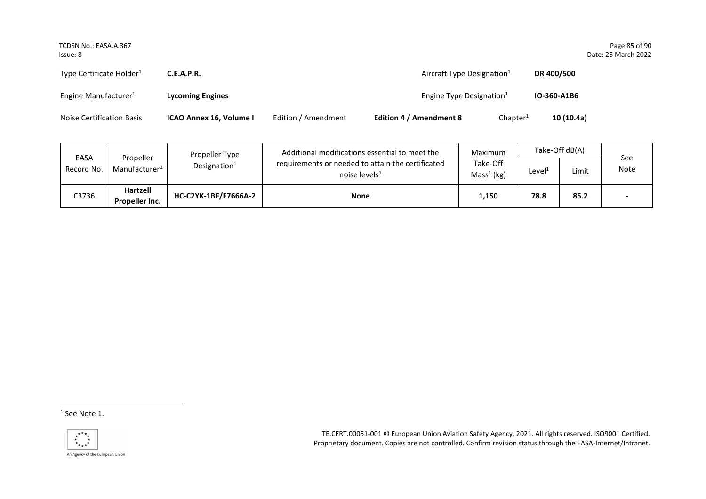| TCDSN No.: EASA.A.367<br>Issue: 8    |                         |                     |                                        |                      | Page 85 of 90<br>Date: 25 March 2022 |
|--------------------------------------|-------------------------|---------------------|----------------------------------------|----------------------|--------------------------------------|
| Type Certificate Holder <sup>1</sup> | C.E.A.P.R.              |                     | Aircraft Type Designation <sup>1</sup> |                      | DR 400/500                           |
| Engine Manufacturer <sup>1</sup>     | <b>Lycoming Engines</b> |                     | Engine Type Designation <sup>1</sup>   |                      | IO-360-A1B6                          |
| Noise Certification Basis            | ICAO Annex 16, Volume I | Edition / Amendment | Edition 4 / Amendment 8                | Chapter <sup>1</sup> | 10 (10.4a)                           |

|                           |                                        | Propeller Type       | Additional modifications essential to meet the<br>Maximum                      |       |                    | Take-Off dB(A) |             |
|---------------------------|----------------------------------------|----------------------|--------------------------------------------------------------------------------|-------|--------------------|----------------|-------------|
| <b>EASA</b><br>Record No. | Propeller<br>Manufacturer <sup>1</sup> | Designation $1$      | requirements or needed to attain the certificated<br>noise levels <sup>1</sup> |       | Level <sup>1</sup> | Limit          | See<br>Note |
| C3736                     | Hartzell<br><b>Propeller Inc.</b>      | HC-C2YK-1BF/F7666A-2 | <b>None</b>                                                                    | 1,150 | 78.8               | 85.2           |             |

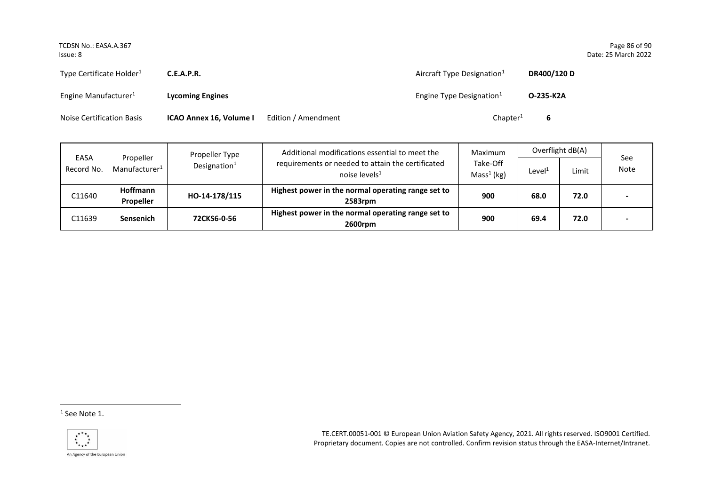| TCDSN No.: EASA.A.367<br>Issue: 8    |                                |                     |                                        |             | Page 86 of 90<br>Date: 25 March 2022 |
|--------------------------------------|--------------------------------|---------------------|----------------------------------------|-------------|--------------------------------------|
| Type Certificate Holder <sup>1</sup> | C.E.A.P.R.                     |                     | Aircraft Type Designation <sup>1</sup> | DR400/120 D |                                      |
| Engine Manufacturer <sup>1</sup>     | <b>Lycoming Engines</b>        |                     | Engine Type Designation <sup>1</sup>   | O-235-K2A   |                                      |
| <b>Noise Certification Basis</b>     | <b>ICAO Annex 16, Volume I</b> | Edition / Amendment | Chapter <sup>1</sup>                   | 6           |                                      |

| EASA       |                                     | Additional modifications essential to meet the<br>Propeller Type<br>Propeller |                                                                                | Maximum                            | Overflight dB(A)   |       |                    |
|------------|-------------------------------------|-------------------------------------------------------------------------------|--------------------------------------------------------------------------------|------------------------------------|--------------------|-------|--------------------|
| Record No. | Manufacturer <sup>1</sup>           | Designation $1$                                                               | requirements or needed to attain the certificated<br>noise levels <sup>1</sup> | Take-Off<br>Mass <sup>1</sup> (kg) | Level <sup>1</sup> | Limit | See<br><b>Note</b> |
| C11640     | <b>Hoffmann</b><br><b>Propeller</b> | HO-14-178/115                                                                 | Highest power in the normal operating range set to<br>2583rpm                  | 900                                | 68.0               | 72.0  |                    |
| C11639     | Sensenich                           | 72CKS6-0-56                                                                   | Highest power in the normal operating range set to<br>2600rpm                  | 900                                | 69.4               | 72.0  |                    |

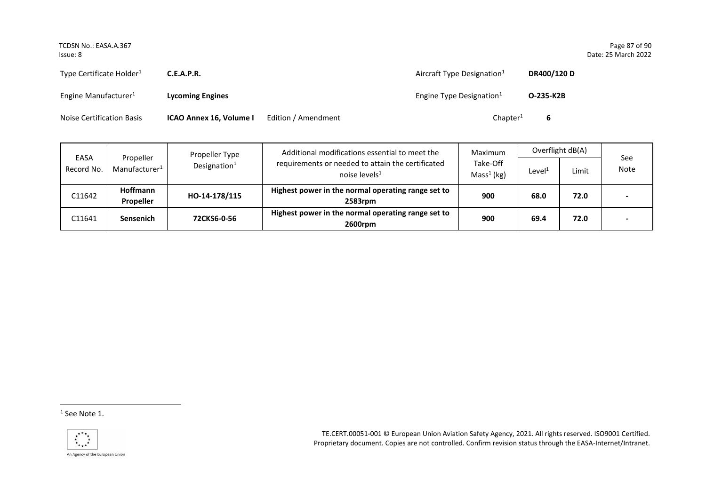| TCDSN No.: EASA.A.367<br>Issue: 8    |                         |                     |                                        |             | Page 87 of 90<br>Date: 25 March 2022 |
|--------------------------------------|-------------------------|---------------------|----------------------------------------|-------------|--------------------------------------|
| Type Certificate Holder <sup>1</sup> | C.E.A.P.R.              |                     | Aircraft Type Designation <sup>1</sup> | DR400/120 D |                                      |
| Engine Manufacturer <sup>1</sup>     | <b>Lycoming Engines</b> |                     | Engine Type Designation <sup>1</sup>   | O-235-K2B   |                                      |
| Noise Certification Basis            | ICAO Annex 16, Volume I | Edition / Amendment | Chapter <sup>1</sup>                   | 6           |                                      |

| EASA       | Propeller                    | Additional modifications essential to meet the<br>Propeller Type |                                                                                | Maximum                            | Overflight dB(A)   |       |             |  |
|------------|------------------------------|------------------------------------------------------------------|--------------------------------------------------------------------------------|------------------------------------|--------------------|-------|-------------|--|
| Record No. | Manufacturer <sup>1</sup>    | Designation $1$                                                  | requirements or needed to attain the certificated<br>noise levels <sup>1</sup> | Take-Off<br>Mass <sup>1</sup> (kg) | Level <sup>1</sup> | Limit | See<br>Note |  |
| C11642     | <b>Hoffmann</b><br>Propeller | HO-14-178/115                                                    | Highest power in the normal operating range set to<br>2583rpm                  | 900                                | 68.0               | 72.0  |             |  |
| C11641     | <b>Sensenich</b>             | 72CKS6-0-56                                                      | Highest power in the normal operating range set to<br>2600rpm                  | 900                                | 69.4               | 72.0  |             |  |

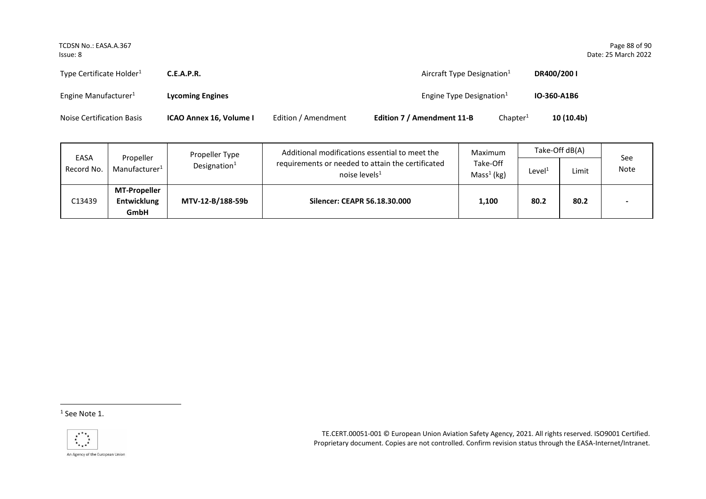| TCDSN No.: EASA.A.367<br>Issue: 8    |                         |                     |                                        |                      | Page 88 of 90<br>Date: 25 March 2022 |  |
|--------------------------------------|-------------------------|---------------------|----------------------------------------|----------------------|--------------------------------------|--|
| Type Certificate Holder <sup>1</sup> | C.E.A.P.R.              |                     | Aircraft Type Designation <sup>1</sup> |                      | DR400/2001                           |  |
| Engine Manufacturer <sup>1</sup>     | <b>Lycoming Engines</b> |                     | Engine Type Designation <sup>1</sup>   |                      | IO-360-A1B6                          |  |
| <b>Noise Certification Basis</b>     | ICAO Annex 16, Volume I | Edition / Amendment | Edition 7 / Amendment 11-B             | Chapter <sup>1</sup> | 10 (10.4b)                           |  |

| EASA       | Additional modifications essential to meet the<br>Propeller Type<br>Propeller |                  | Maximum                                                                        | Take-Off dB(A)                     | See                |       |      |
|------------|-------------------------------------------------------------------------------|------------------|--------------------------------------------------------------------------------|------------------------------------|--------------------|-------|------|
| Record No. | Manufacturer <sup>1</sup>                                                     | Designation $1$  | requirements or needed to attain the certificated<br>noise levels <sup>1</sup> | Take-Off<br>Mass <sup>1</sup> (kg) | Level <sup>1</sup> | Limit | Note |
| C13439     | <b>MT-Propeller</b><br>Entwicklung<br>GmbH                                    | MTV-12-B/188-59b | Silencer: CEAPR 56.18.30.000                                                   | 1,100                              | 80.2               | 80.2  |      |

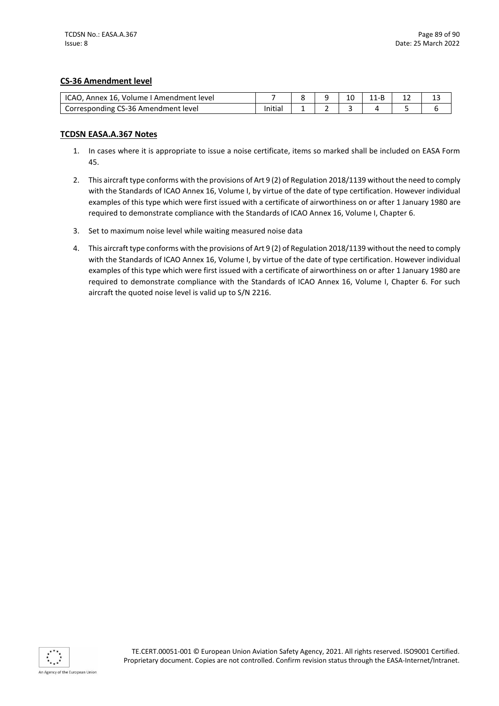## **CS-36 Amendment level**

| ICAO,<br>l Amendment level<br>16<br>Volume I<br>. Annex : |  |   | . .<br>⊥∪⊥ | -- | -- | ᅩ |
|-----------------------------------------------------------|--|---|------------|----|----|---|
| Corresponding<br>level<br>---->-sb Amendment ۱۳۰۰         |  | - |            |    |    |   |

## **TCDSN EASA.A.367 Notes**

- 1. In cases where it is appropriate to issue a noise certificate, items so marked shall be included on EASA Form 45.
- 2. This aircraft type conforms with the provisions of Art 9 (2) of Regulation 2018/1139 without the need to comply with the Standards of ICAO Annex 16, Volume I, by virtue of the date of type certification. However individual examples of this type which were first issued with a certificate of airworthiness on or after 1 January 1980 are required to demonstrate compliance with the Standards of ICAO Annex 16, Volume I, Chapter 6.
- 3. Set to maximum noise level while waiting measured noise data
- 4. This aircraft type conforms with the provisions of Art 9 (2) of Regulation 2018/1139 without the need to comply with the Standards of ICAO Annex 16, Volume I, by virtue of the date of type certification. However individual examples of this type which were first issued with a certificate of airworthiness on or after 1 January 1980 are required to demonstrate compliance with the Standards of ICAO Annex 16, Volume I, Chapter 6. For such aircraft the quoted noise level is valid up to S/N 2216.